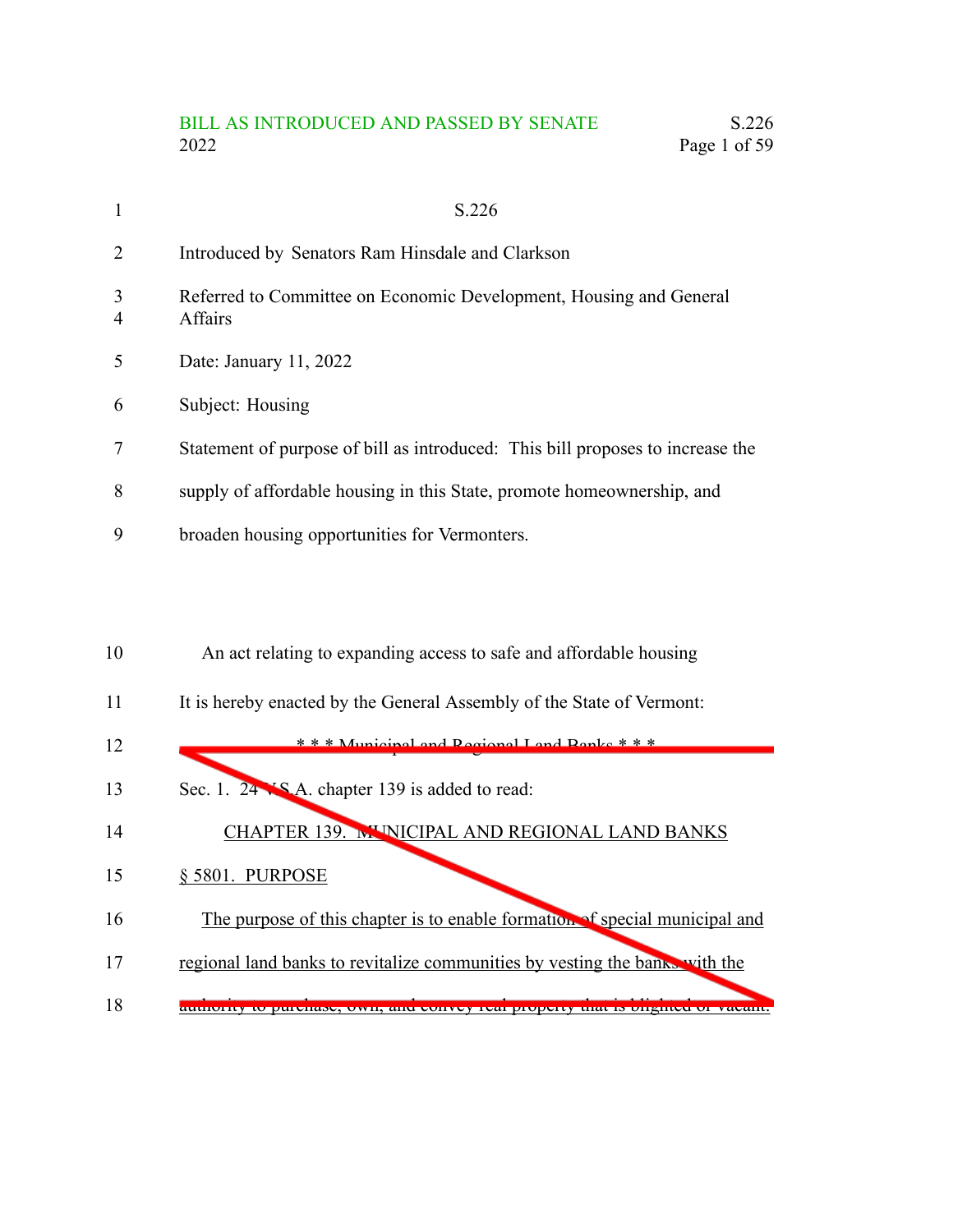# BILL AS INTRODUCED AND PASSED BY SENATE S.226<br>2022 Page 1 of 59 Page 1 of 59

| $\mathbf{1}$   | S.226                                                                          |
|----------------|--------------------------------------------------------------------------------|
| $\overline{2}$ | Introduced by Senators Ram Hinsdale and Clarkson                               |
| 3<br>4         | Referred to Committee on Economic Development, Housing and General<br>Affairs  |
| 5              | Date: January 11, 2022                                                         |
| 6              | Subject: Housing                                                               |
| 7              | Statement of purpose of bill as introduced: This bill proposes to increase the |
| 8              | supply of affordable housing in this State, promote homeownership, and         |
| 9              | broaden housing opportunities for Vermonters.                                  |
|                |                                                                                |
|                |                                                                                |

| 10 | An act relating to expanding access to safe and affordable housing             |
|----|--------------------------------------------------------------------------------|
| 11 | It is hereby enacted by the General Assembly of the State of Vermont:          |
| 12 | *** Municipal and Pecional Land Panke ***                                      |
| 13 | Sec. 1. 24 XS A. chapter 139 is added to read:                                 |
| 14 | CHAPTER 139. MUNICIPAL AND REGIONAL LAND BANKS                                 |
| 15 | § 5801. PURPOSE                                                                |
| 16 | The purpose of this chapter is to enable formation of special municipal and    |
| 17 | regional land banks to revitalize communities by vesting the banks with the    |
| 18 | authority to purchase, own, and convey ical property that is onghicd or vacant |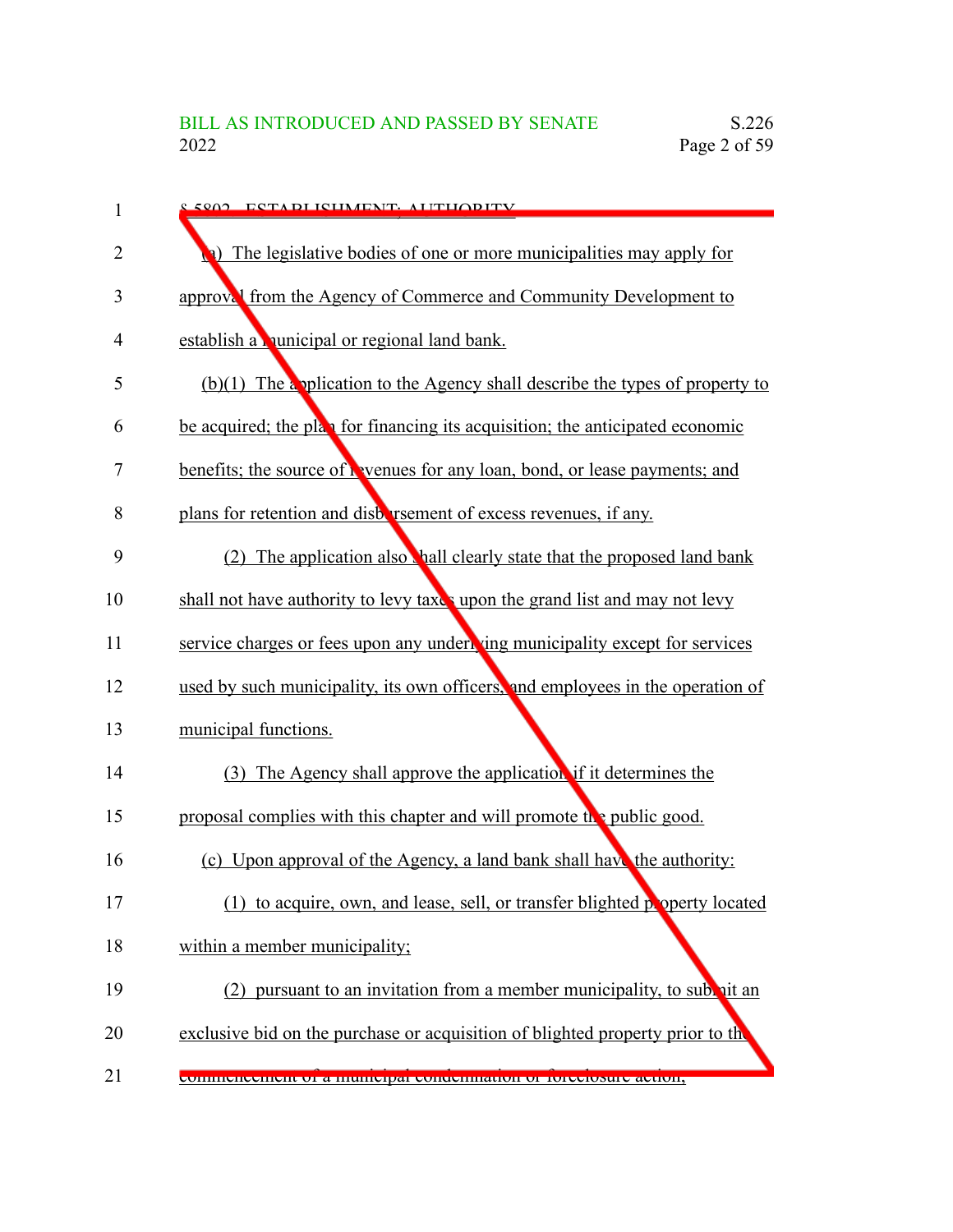| 1              | <u>e 5002 - ESTA DI ISHMENT, ALITHODITV</u>                                    |
|----------------|--------------------------------------------------------------------------------|
| $\overline{2}$ | a) The legislative bodies of one or more municipalities may apply for          |
| 3              | approval from the Agency of Commerce and Community Development to              |
| 4              | establish a nunicipal or regional land bank.                                   |
| 5              | $(b)(1)$ The application to the Agency shall describe the types of property to |
| 6              | be acquired; the plan for financing its acquisition; the anticipated economic  |
| 7              | benefits; the source of hevenues for any loan, bond, or lease payments; and    |
| 8              | plans for retention and disbursement of excess revenues, if any.               |
| 9              | (2) The application also hall clearly state that the proposed land bank        |
| 10             | shall not have authority to levy taxes upon the grand list and may not levy    |
| 11             | service charges or fees upon any under ing municipality except for services    |
| 12             | used by such municipality, its own officers, and employees in the operation of |
| 13             | municipal functions.                                                           |
| 14             | (3) The Agency shall approve the application if it determines the              |
| 15             | proposal complies with this chapter and will promote the public good.          |
| 16             | (c) Upon approval of the Agency, a land bank shall have the authority:         |
| 17             | to acquire, own, and lease, sell, or transfer blighted property located<br>(1) |
| 18             | within a member municipality;                                                  |
| 19             | (2) pursuant to an invitation from a member municipality, to subvit an         |
| 20             | exclusive bid on the purchase or acquisition of blighted property prior to the |
| 21             | commencement or a municipal condemnation or forecrosure action,                |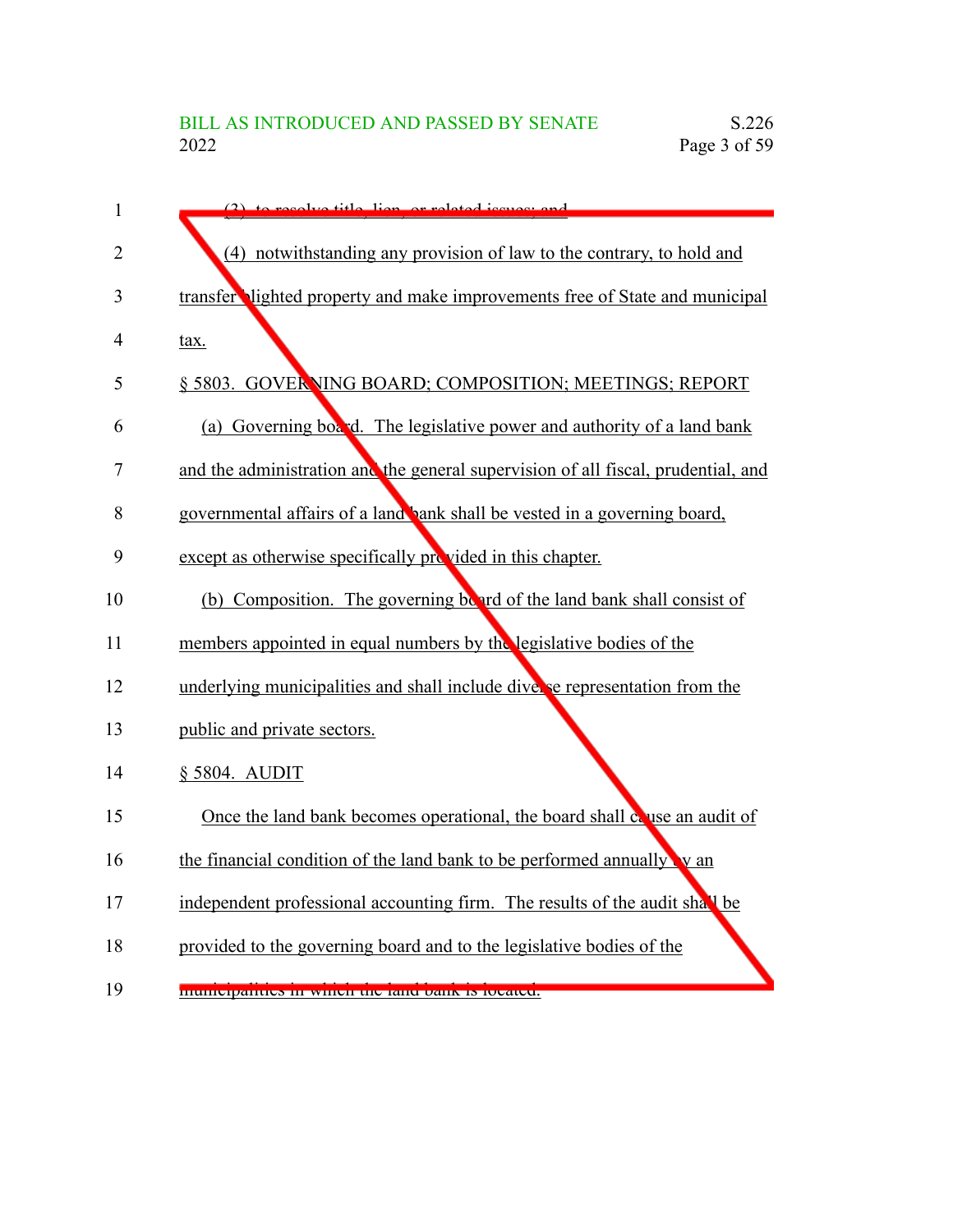| $\mathbf{1}$   | $(2)$ to recolve title liep or related issues; and                                |
|----------------|-----------------------------------------------------------------------------------|
| 2              | (4) notwithstanding any provision of law to the contrary, to hold and             |
| 3              | transfer lighted property and make improvements free of State and municipal       |
| $\overline{4}$ | tax.                                                                              |
| 5              | § 5803. GOVERNING BOARD; COMPOSITION; MEETINGS; REPORT                            |
| 6              | (a) Governing board. The legislative power and authority of a land bank           |
| 7              | and the administration and the general supervision of all fiscal, prudential, and |
| 8              | governmental affairs of a land bank shall be vested in a governing board,         |
| 9              | except as otherwise specifically provided in this chapter.                        |
| 10             | (b) Composition. The governing board of the land bank shall consist of            |
| 11             | members appointed in equal numbers by the legislative bodies of the               |
| 12             | underlying municipalities and shall include diverse representation from the       |
| 13             | public and private sectors.                                                       |
| 14             | § 5804. AUDIT                                                                     |
| 15             | Once the land bank becomes operational, the board shall couse an audit of         |
| 16             | the financial condition of the land bank to be performed annually v an            |
| 17             | independent professional accounting firm. The results of the audit shall be       |
| 18             | provided to the governing board and to the legislative bodies of the              |
| 19             | municipanties in winch the fand bank is focated.                                  |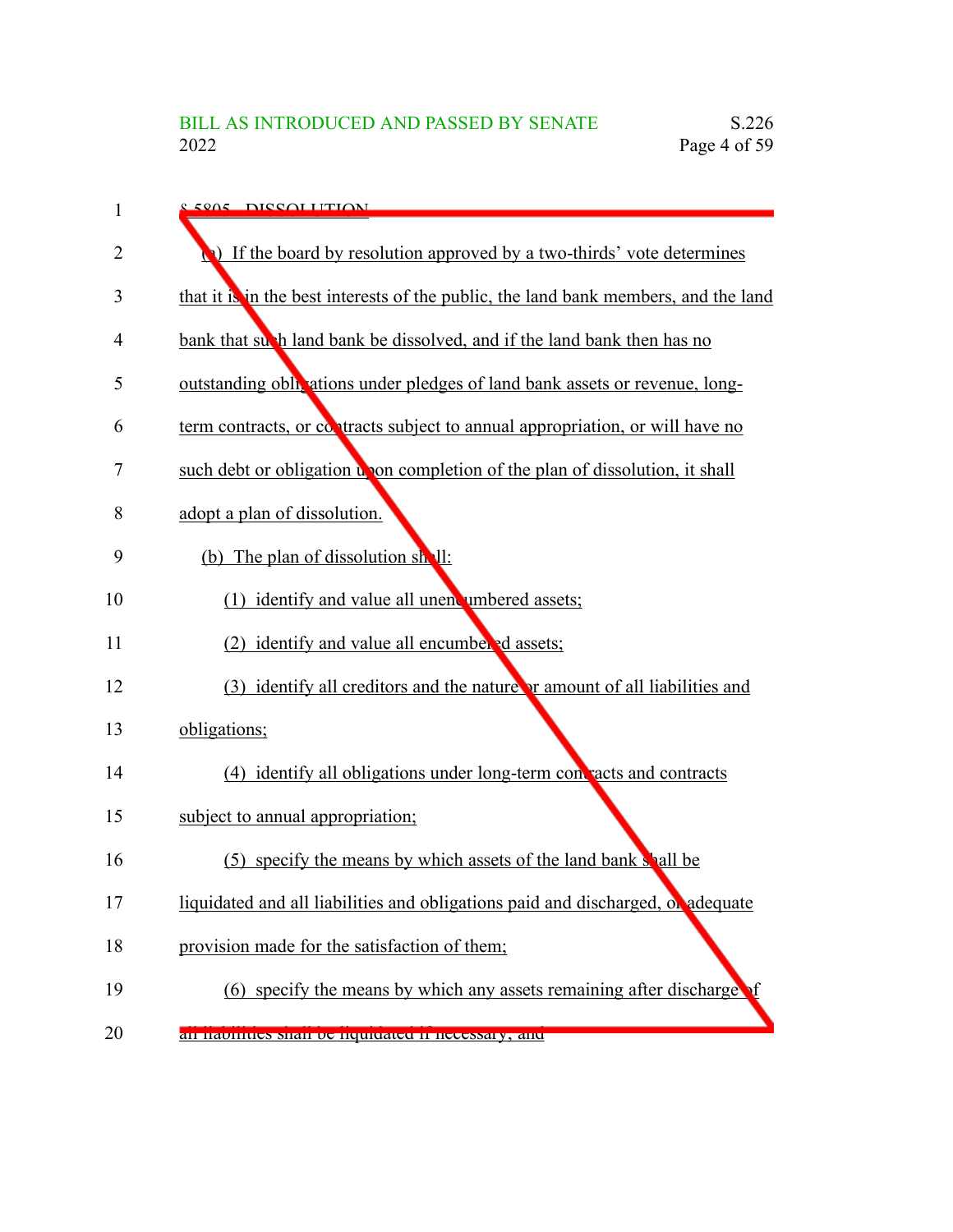| 1  | 8.5805 DISSOLUTION                                                                  |
|----|-------------------------------------------------------------------------------------|
| 2  | If the board by resolution approved by a two-thirds' vote determines                |
| 3  | that it is in the best interests of the public, the land bank members, and the land |
| 4  | bank that such land bank be dissolved, and if the land bank then has no             |
| 5  | outstanding obligations under pledges of land bank assets or revenue, long-         |
| 6  | term contracts, or contracts subject to annual appropriation, or will have no       |
| 7  | such debt or obligation upon completion of the plan of dissolution, it shall        |
| 8  | adopt a plan of dissolution.                                                        |
| 9  | (b) The plan of dissolution shall:                                                  |
| 10 | (1) identify and value all unencumbered assets;                                     |
| 11 | (2) identify and value all encumbered assets;                                       |
| 12 | (3) identify all creditors and the nature or amount of all liabilities and          |
| 13 | obligations;                                                                        |
| 14 | (4) identify all obligations under long-term contracts and contracts                |
| 15 | subject to annual appropriation;                                                    |
| 16 | (5) specify the means by which assets of the land bank shall be                     |
| 17 | liquidated and all liabilities and obligations paid and discharged, or adequate     |
| 18 | provision made for the satisfaction of them;                                        |
| 19 | (6) specify the means by which any assets remaining after discharge of              |
| 20 | an naomues snan oe nquiuateu ir necessary, anu                                      |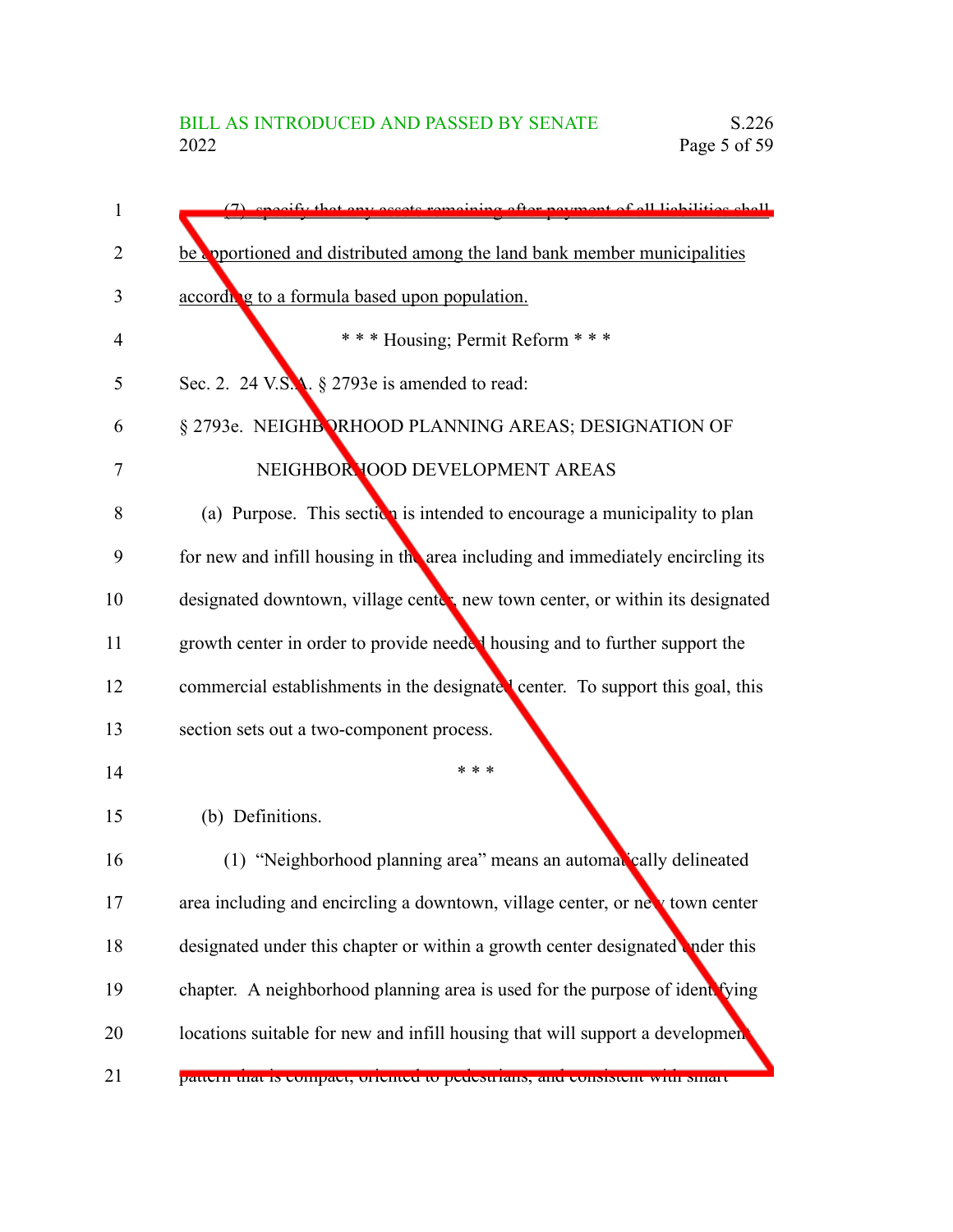| $\mathbf{1}$ | (7) specify that any assots remaining efter neyment of all lightlities shall    |
|--------------|---------------------------------------------------------------------------------|
| 2            | be apportioned and distributed among the land bank member municipalities        |
| 3            | according to a formula based upon population.                                   |
| 4            | *** Housing; Permit Reform ***                                                  |
| 5            | Sec. 2. 24 V.S.A. § 2793e is amended to read:                                   |
| 6            | § 2793e. NEIGHBORHOOD PLANNING AREAS; DESIGNATION OF                            |
| 7            | NEIGHBOR TOOD DEVELOPMENT AREAS                                                 |
| 8            | (a) Purpose. This section is intended to encourage a municipality to plan       |
| 9            | for new and infill housing in the area including and immediately encircling its |
| 10           | designated downtown, village center new town center, or within its designated   |
| 11           | growth center in order to provide needed housing and to further support the     |
| 12           | commercial establishments in the designated center. To support this goal, this  |
| 13           | section sets out a two-component process.                                       |
| 14           | * * *                                                                           |
| 15           | (b) Definitions.                                                                |
| 16           | (1) "Neighborhood planning area" means an automatically delineated              |
| 17           | area including and encircling a downtown, village center, or new town center    |
| 18           | designated under this chapter or within a growth center designated inder this   |
| 19           | chapter. A neighborhood planning area is used for the purpose of ident fying    |
| 20           | locations suitable for new and infill housing that will support a development   |
| 21           | pattern that is compact, oriented to peucstrians, and consistent with smart     |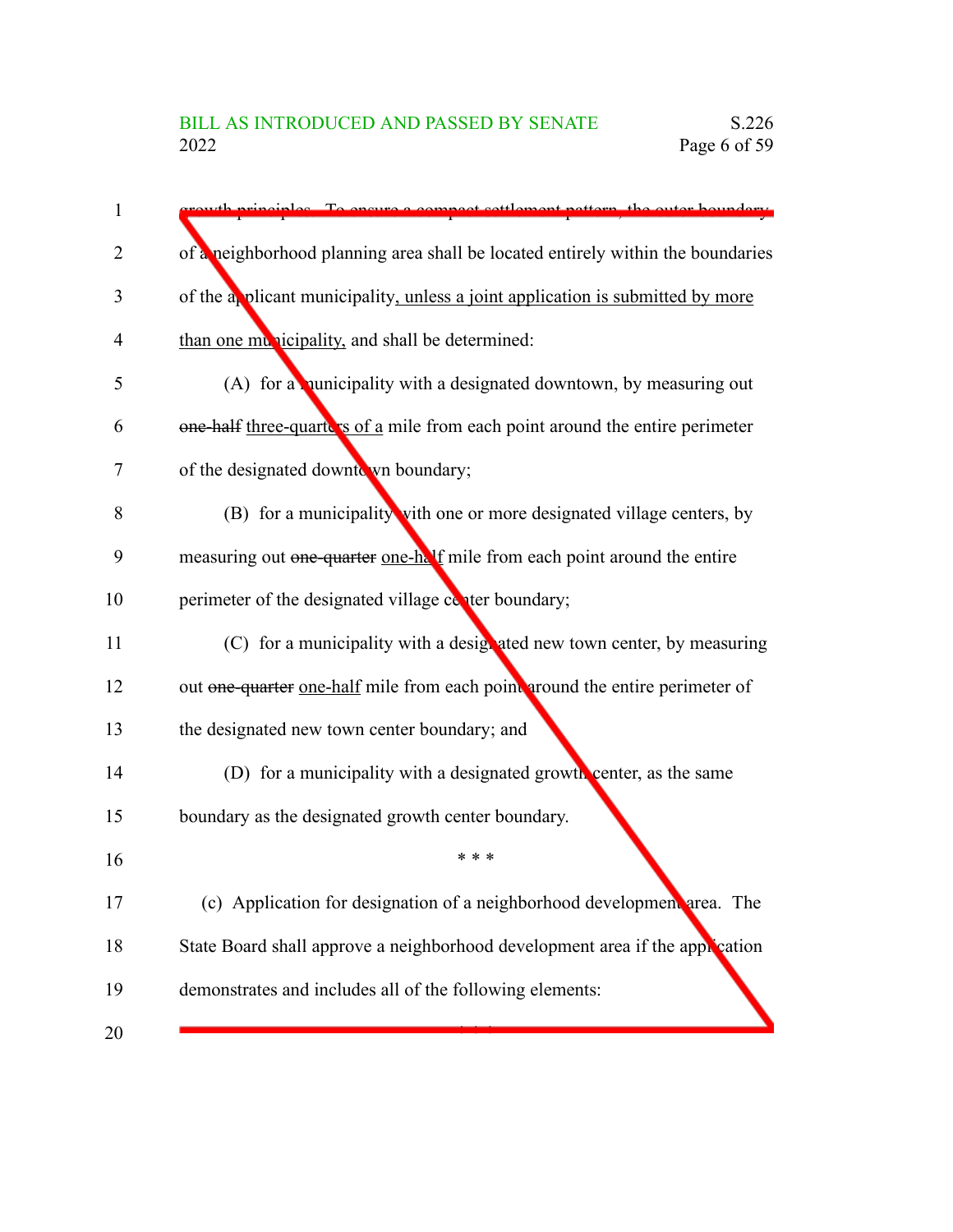| 1              | principles. To ensure a compact settlement pettern, the outer houndary.         |
|----------------|---------------------------------------------------------------------------------|
| $\overline{2}$ | of a neighborhood planning area shall be located entirely within the boundaries |
| 3              | of the applicant municipality, unless a joint application is submitted by more  |
| 4              | than one municipality, and shall be determined:                                 |
| 5              | (A) for a nunicipality with a designated downtown, by measuring out             |
| 6              | one-half three-quarters of a mile from each point around the entire perimeter   |
| 7              | of the designated downto wn boundary;                                           |
| 8              | (B) for a municipality with one or more designated village centers, by          |
| 9              | measuring out one-quarter one-half mile from each point around the entire       |
| 10             | perimeter of the designated village conter boundary;                            |
| 11             | (C) for a municipality with a designated new town center, by measuring          |
| 12             | out one-quarter one-half mile from each point around the entire perimeter of    |
| 13             | the designated new town center boundary; and                                    |
| 14             | (D) for a municipality with a designated growth center, as the same             |
| 15             | boundary as the designated growth center boundary.                              |
| 16             | * * *                                                                           |
| 17             | (c) Application for designation of a neighborhood development area. The         |
| 18             | State Board shall approve a neighborhood development area if the application    |
| 19             | demonstrates and includes all of the following elements:                        |
| 20             |                                                                                 |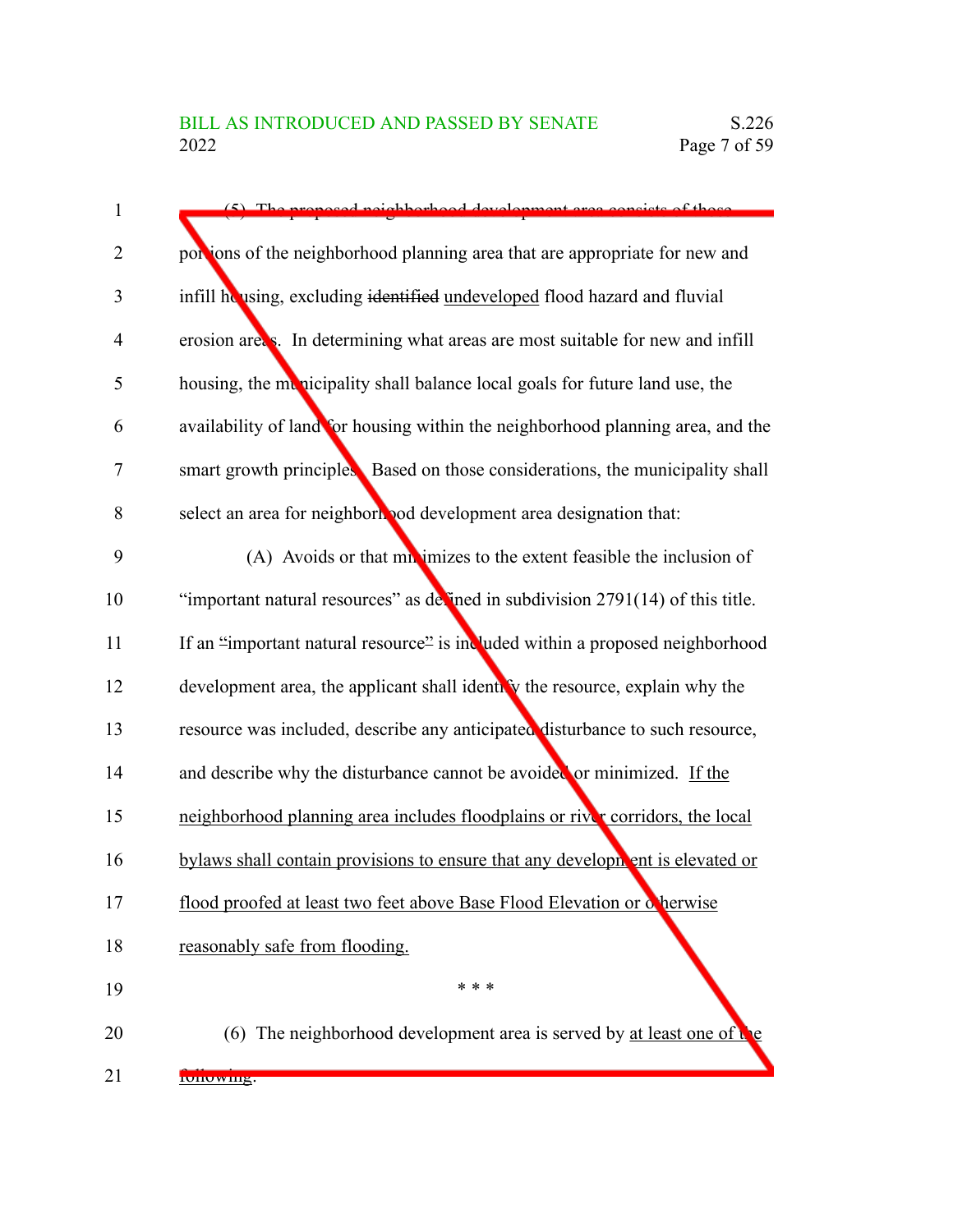| (5) The proposed peighborhood development area consists of those                  |
|-----------------------------------------------------------------------------------|
| portions of the neighborhood planning area that are appropriate for new and       |
| infill housing, excluding identified undeveloped flood hazard and fluvial         |
| erosion areas. In determining what areas are most suitable for new and infill     |
| housing, the menicipality shall balance local goals for future land use, the      |
| availability of land for housing within the neighborhood planning area, and the   |
| smart growth principles. Based on those considerations, the municipality shall    |
| select an area for neighborhood development area designation that:                |
| (A) Avoids or that mixturizes to the extent feasible the inclusion of             |
| "important natural resources" as devined in subdivision $2791(14)$ of this title. |
| If an "important natural resource" is included within a proposed neighborhood     |
| development area, the applicant shall identify the resource, explain why the      |
| resource was included, describe any anticipated disturbance to such resource,     |
| and describe why the disturbance cannot be avoided or minimized. If the           |
| neighborhood planning area includes floodplains or river corridors, the local     |
| bylaws shall contain provisions to ensure that any development is elevated or     |
| flood proofed at least two feet above Base Flood Elevation or cherwise            |
| reasonably safe from flooding.                                                    |
| * * *                                                                             |
| (6) The neighborhood development area is served by at least one of $\mathbf{t}$ e |
|                                                                                   |

following: 21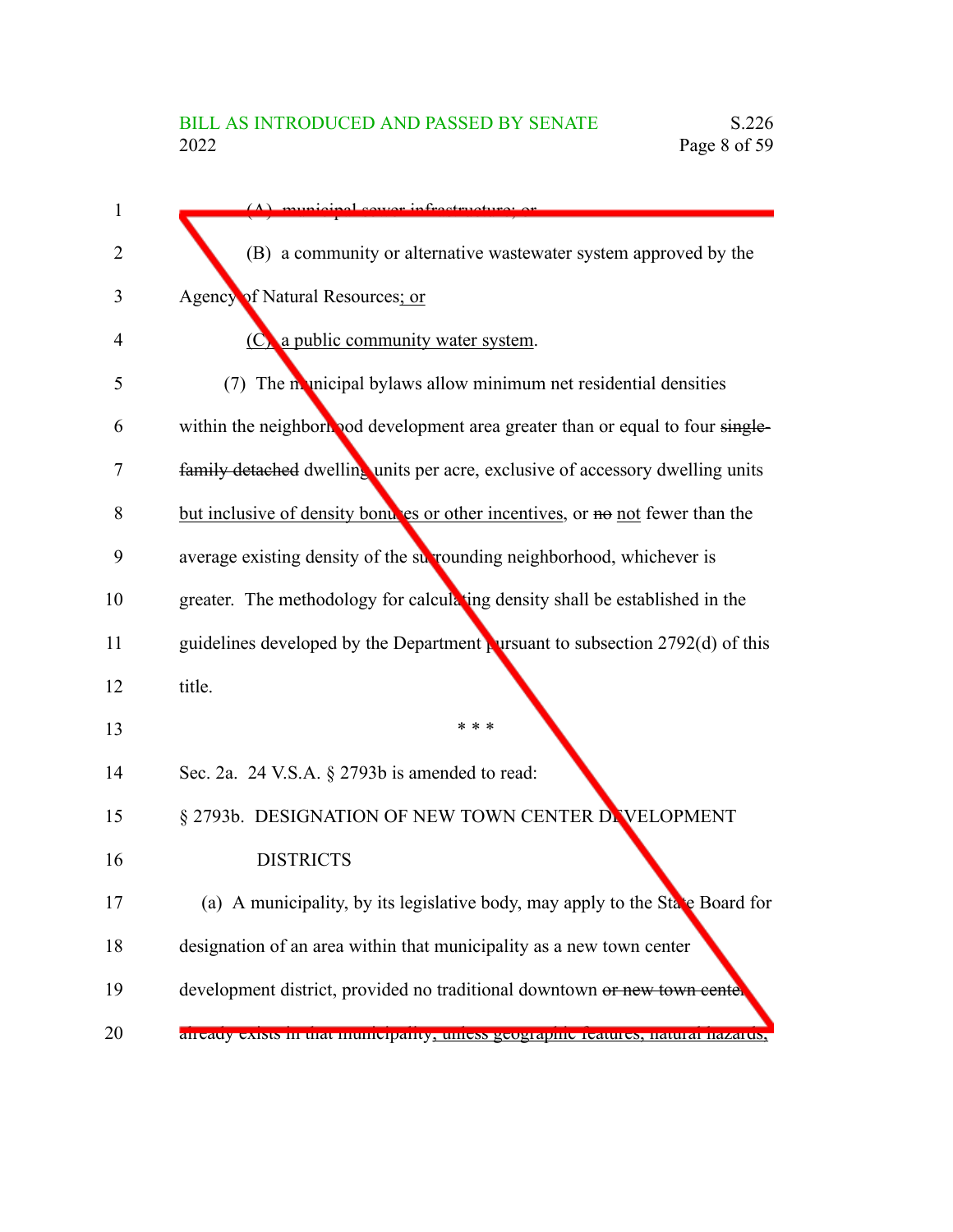|        | $(\Lambda)$ municipal course infractmenture or                                  |
|--------|---------------------------------------------------------------------------------|
|        | (B) a community or alternative wastewater system approved by the                |
|        | Agency of Natural Resources; or                                                 |
|        | (C) a public community water system.                                            |
|        | (7) The municipal bylaws allow minimum net residential densities                |
|        | within the neighborhood development area greater than or equal to four single-  |
|        | family detached dwelling units per acre, exclusive of accessory dwelling units  |
|        | but inclusive of density bond es or other incentives, or no not fewer than the  |
|        | average existing density of the surrounding neighborhood, whichever is          |
|        | greater. The methodology for calculating density shall be established in the    |
|        | guidelines developed by the Department pursuant to subsection $2792(d)$ of this |
| title. |                                                                                 |
|        | * * *                                                                           |
|        | Sec. 2a. 24 V.S.A. § 2793b is amended to read:                                  |
|        | § 2793b. DESIGNATION OF NEW TOWN CENTER DEVELOPMENT                             |
|        | <b>DISTRICTS</b>                                                                |
|        | (a) A municipality, by its legislative body, may apply to the State Board for   |
|        | designation of an area within that municipality as a new town center            |
|        | development district, provided no traditional downtown or new town center       |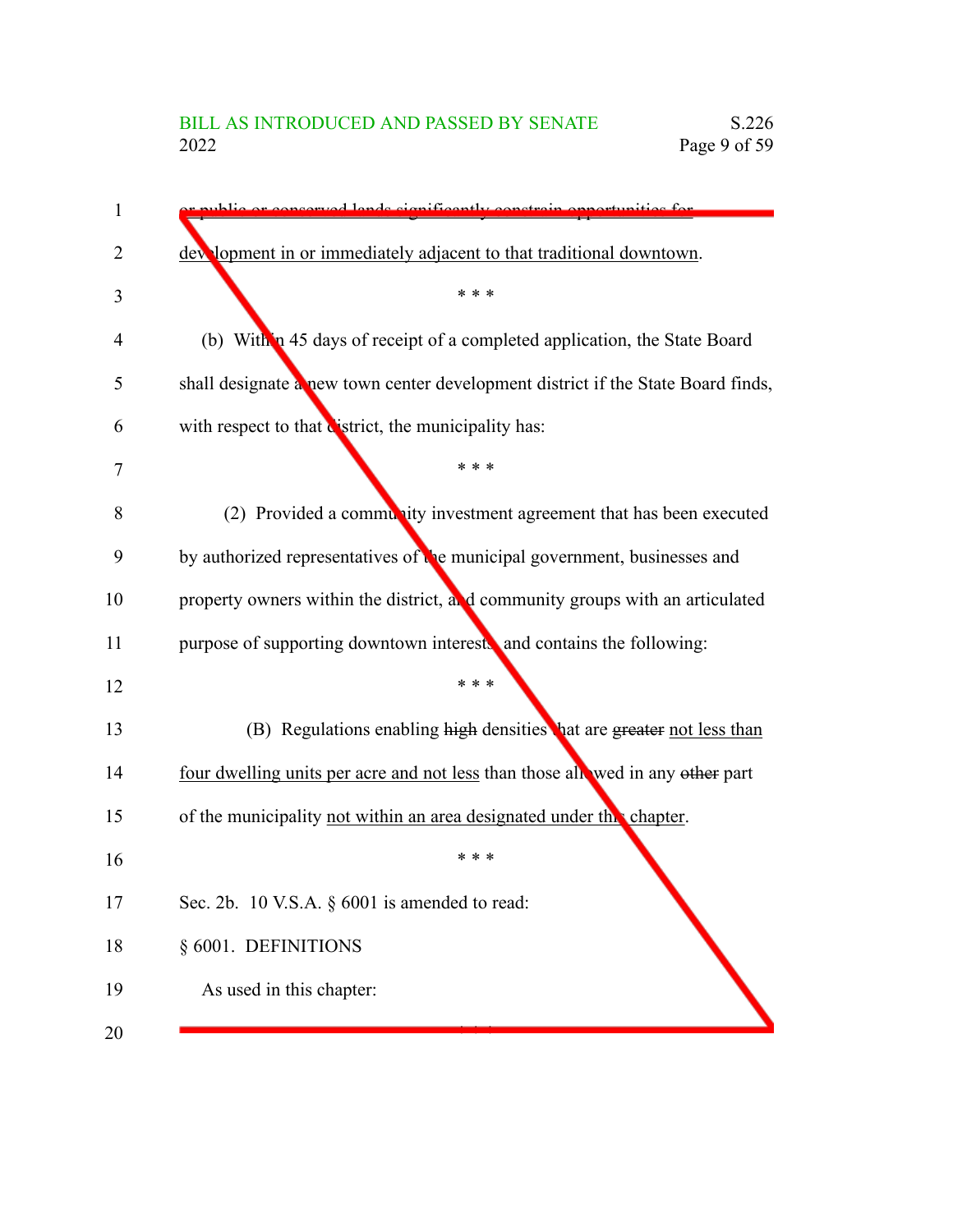# BILL AS INTRODUCED AND PASSED BY SENATE S.226<br>2022 Page 9 of 59 Page 9 of 59

| 1              | thlig or conserved lands significantly constrain opportu                         |
|----------------|----------------------------------------------------------------------------------|
| $\overline{2}$ | dev lopment in or immediately adjacent to that traditional downtown.             |
| 3              | * * *                                                                            |
| 4              | (b) Within 45 days of receipt of a completed application, the State Board        |
| 5              | shall designate a new town center development district if the State Board finds, |
| 6              | with respect to that district, the municipality has:                             |
| 7              | * * *                                                                            |
| 8              | (2) Provided a community investment agreement that has been executed             |
| 9              | by authorized representatives of the municipal government, businesses and        |
| 10             | property owners within the district, and community groups with an articulated    |
| 11             | purpose of supporting downtown interests and contains the following:             |
| 12             | * * *                                                                            |
| 13             | (B) Regulations enabling high densities hat are greater not less than            |
| 14             | four dwelling units per acre and not less than those allowed in any other part   |
| 15             | of the municipality not within an area designated under the chapter.             |
| 16             | * * *                                                                            |
| 17             | Sec. 2b. 10 V.S.A. $\S$ 6001 is amended to read:                                 |
| 18             | § 6001. DEFINITIONS                                                              |
| 19             | As used in this chapter:                                                         |
| 20             |                                                                                  |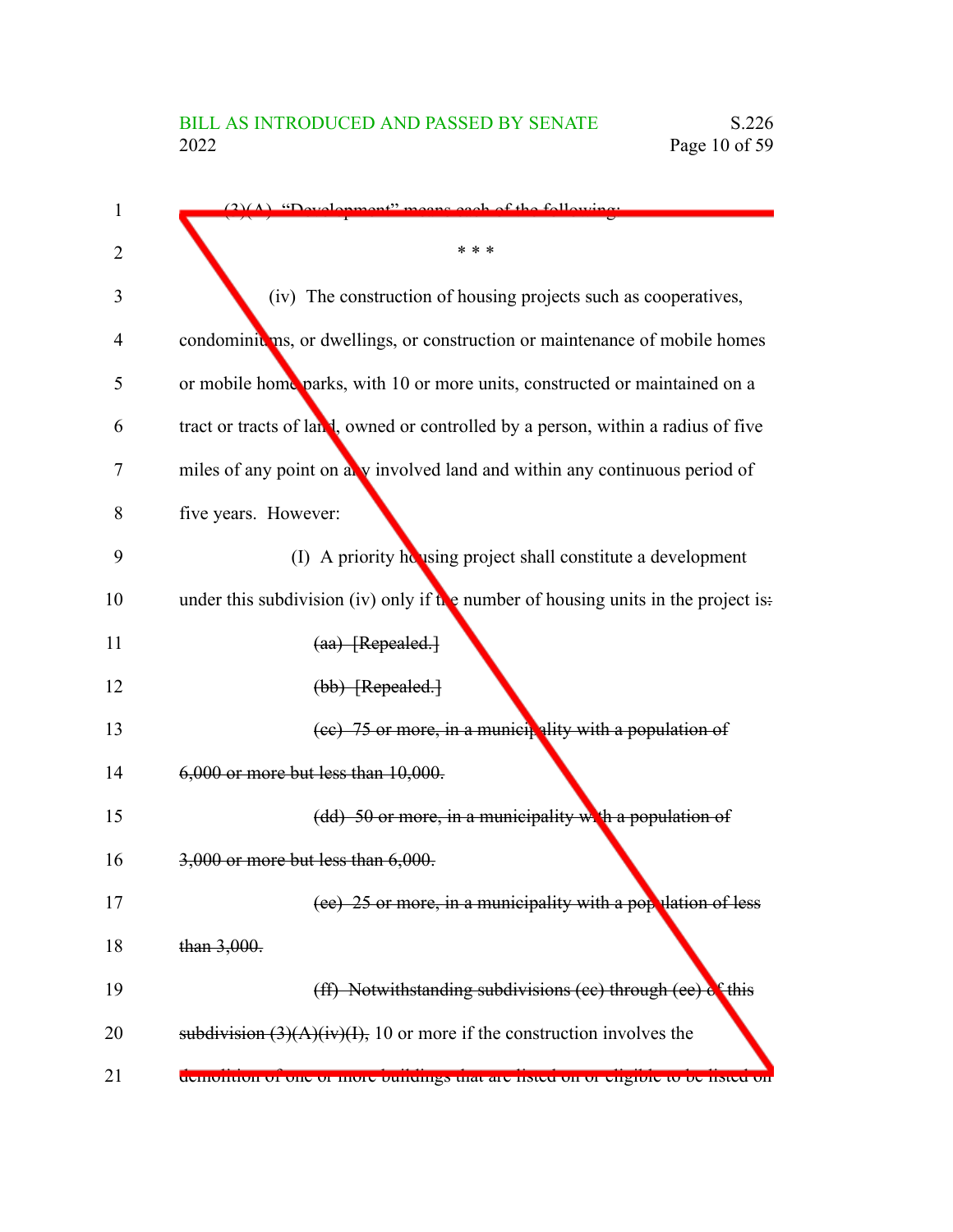| 1  | $(2)(A)$ "Development" means each of the following                                 |
|----|------------------------------------------------------------------------------------|
| 2  | * * *                                                                              |
| 3  | (iv) The construction of housing projects such as cooperatives,                    |
| 4  | condominiums, or dwellings, or construction or maintenance of mobile homes         |
| 5  | or mobile home parks, with 10 or more units, constructed or maintained on a        |
| 6  | tract or tracts of land, owned or controlled by a person, within a radius of five  |
| 7  | miles of any point on any involved land and within any continuous period of        |
| 8  | five years. However:                                                               |
| 9  | (I) A priority housing project shall constitute a development                      |
| 10 | under this subdivision (iv) only if the number of housing units in the project is: |
| 11 | $(aa)$ [Repealed.]                                                                 |
| 12 | (bb) [Repealed.]                                                                   |
| 13 | (ee) 75 or more, in a municipality with a population of                            |
| 14 | 6,000 or more but less than 10,000.                                                |
| 15 | (dd) 50 or more, in a municipality with a population of                            |
| 16 | 3,000 or more but less than 6,000.                                                 |
| 17 | (ee) 25 or more, in a municipality with a population of less                       |
| 18 | than $3,000$ .                                                                     |
| 19 | (ff) Notwithstanding subdivisions (cc) through (ee) of this                        |
| 20 | subdivision $(3)(A)(iv)(I)$ , 10 or more if the construction involves the          |
| 21 | demondon or one or more oundings that are instea on or engione to be fisted on     |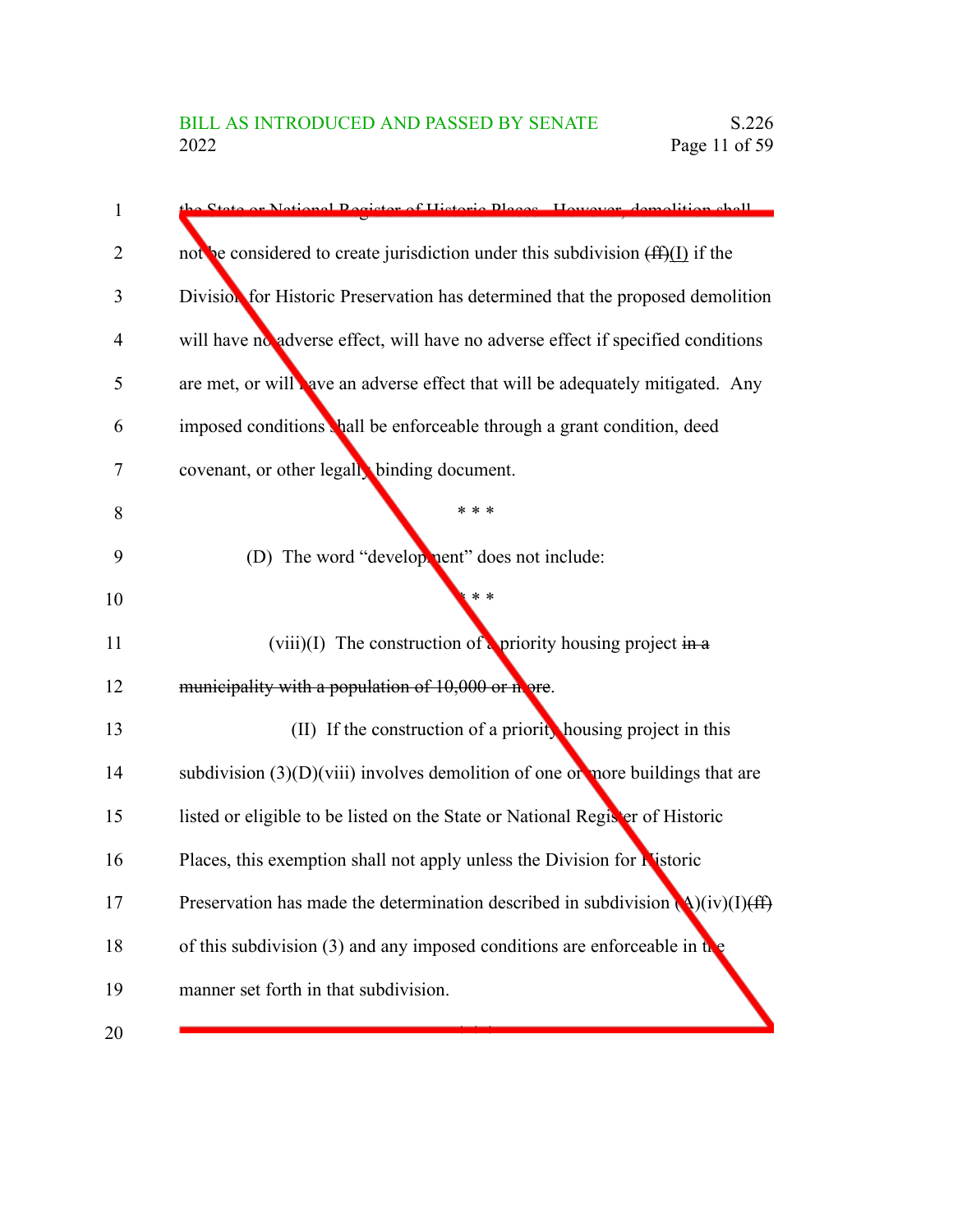| 1              | the State or National Pegister of Historic Places. However, demolition shall           |
|----------------|----------------------------------------------------------------------------------------|
| $\overline{2}$ | not be considered to create jurisdiction under this subdivision $(ff)(I)$ if the       |
| 3              | Division for Historic Preservation has determined that the proposed demolition         |
| 4              | will have no adverse effect, will have no adverse effect if specified conditions       |
| 5              | are met, or will nave an adverse effect that will be adequately mitigated. Any         |
| 6              | imposed conditions thall be enforceable through a grant condition, deed                |
| 7              | covenant, or other legally binding document.                                           |
| 8              | * * *                                                                                  |
| 9              | (D) The word "development" does not include:                                           |
| 10             | $* *$                                                                                  |
| 11             | (viii)(I) The construction of priority housing project in $\bf{a}$                     |
| 12             | municipality with a population of 10,000 or nore.                                      |
| 13             | (II) If the construction of a priority housing project in this                         |
| 14             | subdivision $(3)(D)(viii)$ involves demolition of one or nore buildings that are       |
| 15             | listed or eligible to be listed on the State or National Register of Historic          |
| 16             | Places, this exemption shall not apply unless the Division for Nistoric                |
| 17             | Preservation has made the determination described in subdivision $\Delta$ )(iv)(I)(ff) |
| 18             | of this subdivision (3) and any imposed conditions are enforceable in the              |
| 19             | manner set forth in that subdivision.                                                  |
| 20             |                                                                                        |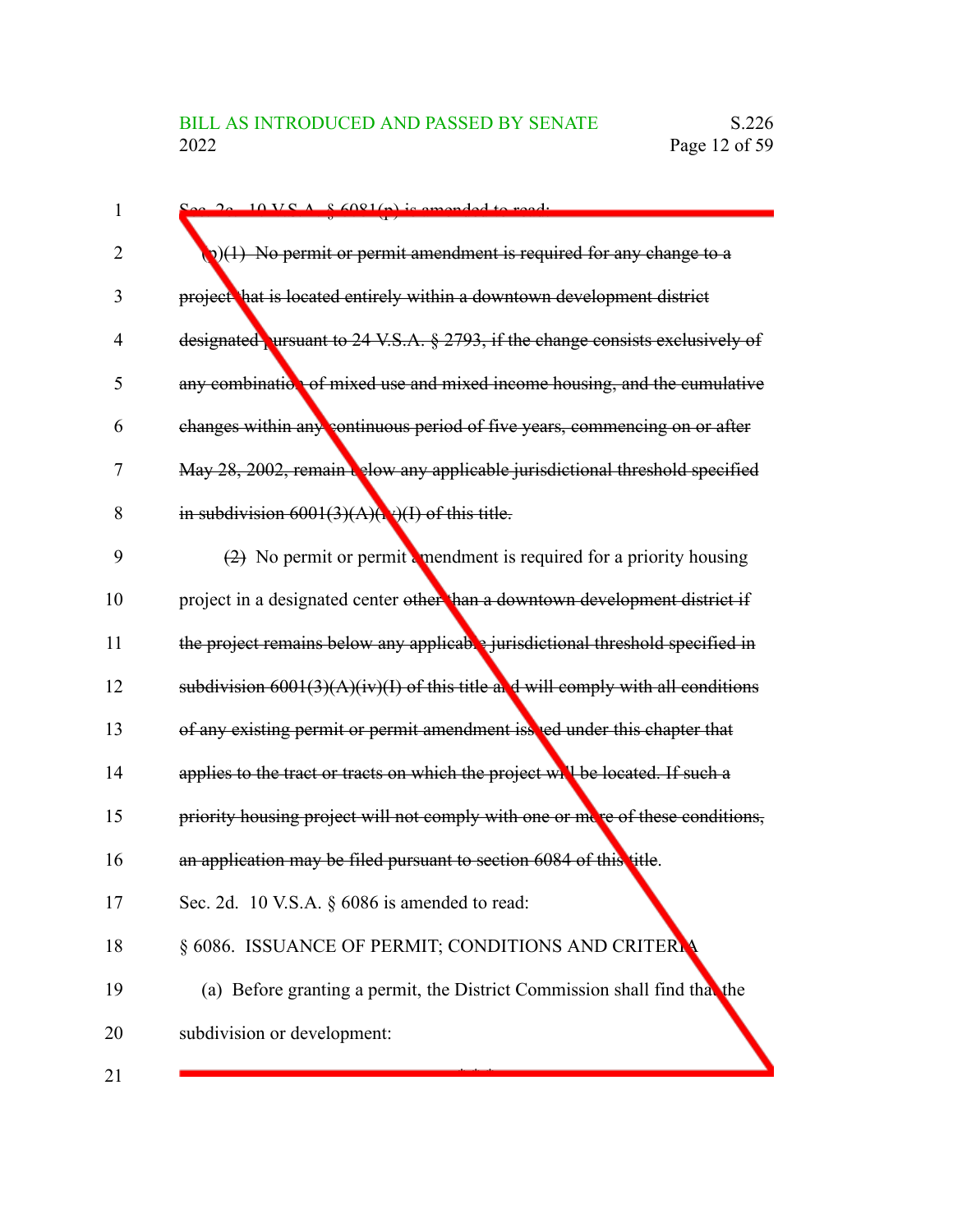| 1              | $\sim$ 20 10 VS A $\sim$ 6081(n) is amonded to read.                              |
|----------------|-----------------------------------------------------------------------------------|
| $\overline{2}$ | (1) No permit or permit amendment is required for any change to a                 |
| 3              | project hat is located entirely within a downtown development district            |
| 4              | designated ursuant to 24 V.S.A. § 2793, if the change consists exclusively of     |
| 5              | any combination of mixed use and mixed income housing, and the cumulative         |
| 6              | changes within any continuous period of five years, commencing on or after        |
| 7              | May 28, 2002, remain below any applicable jurisdictional threshold specified      |
| 8              | in subdivision $6001(3)(A)(N)(I)$ of this title.                                  |
| 9              | $(2)$ No permit or permit a mendment is required for a priority housing           |
| 10             | project in a designated center other han a downtown development district if       |
| 11             | the project remains below any applicable jurisdictional threshold specified in    |
| 12             | subdivision $6001(3)(A)(iv)(I)$ of this title and will comply with all conditions |
| 13             | of any existing permit or permit amendment issued under this chapter that         |
| 14             | applies to the tract or tracts on which the project will be located. If such a    |
| 15             | priority housing project will not comply with one or more of these conditions,    |
| 16             | an application may be filed pursuant to section 6084 of this title.               |
| 17             | Sec. 2d. 10 V.S.A. § 6086 is amended to read:                                     |
| 18             | § 6086. ISSUANCE OF PERMIT; CONDITIONS AND CRITERLY                               |
| 19             | (a) Before granting a permit, the District Commission shall find that the         |
| 20             | subdivision or development:                                                       |
| 21             |                                                                                   |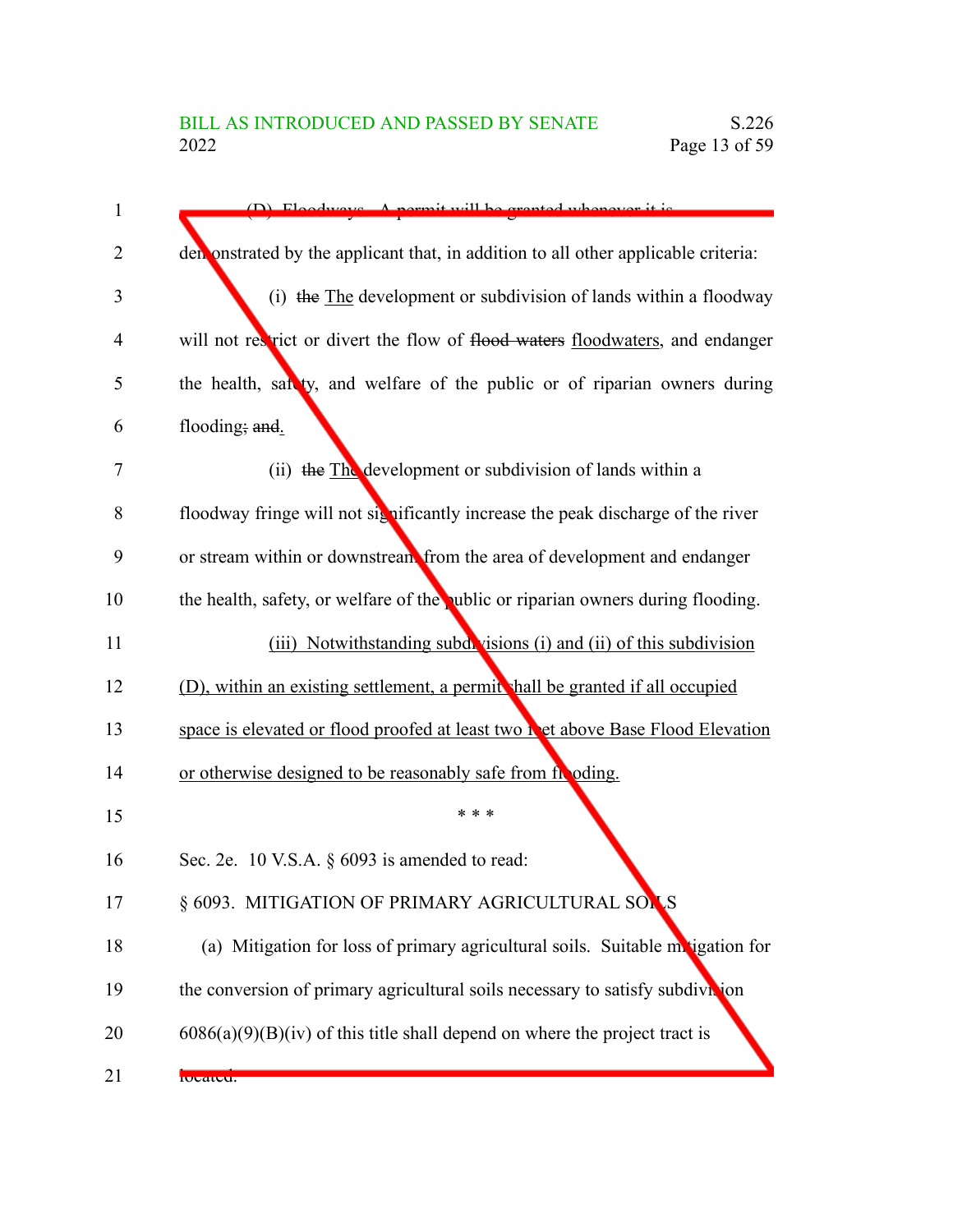| $\mathbf{1}$   | (D) Floodways A permit will be grapted whenever it is                             |
|----------------|-----------------------------------------------------------------------------------|
| $\overline{2}$ | demonstrated by the applicant that, in addition to all other applicable criteria: |
| 3              | (i) the The development or subdivision of lands within a floodway                 |
| 4              | will not restrict or divert the flow of flood waters floodwaters, and endanger    |
| 5              | the health, sat ty, and welfare of the public or of riparian owners during        |
| 6              | flooding; and.                                                                    |
| 7              | (ii) the The development or subdivision of lands within a                         |
| 8              | floodway fringe will not significantly increase the peak discharge of the river   |
| 9              | or stream within or downstream from the area of development and endanger          |
| 10             | the health, safety, or welfare of the public or riparian owners during flooding.  |
| 11             | (iii) Notwithstanding subdivisions (i) and (ii) of this subdivision               |
| 12             | (D), within an existing settlement, a permit shall be granted if all occupied     |
| 13             | space is elevated or flood proofed at least two net above Base Flood Elevation    |
| 14             | or otherwise designed to be reasonably safe from from depending.                  |
| 15             | * * *                                                                             |
| 16             | Sec. 2e. 10 V.S.A. $\S$ 6093 is amended to read:                                  |
| 17             | § 6093.  MITIGATION OF PRIMARY AGRICULTURAL SON S                                 |
| 18             | (a) Mitigation for loss of primary agricultural soils. Suitable matigation for    |
| 19             | the conversion of primary agricultural soils necessary to satisfy subdivition     |
| 20             | $6086(a)(9)(B)(iv)$ of this title shall depend on where the project tract is      |
| 21             | rocateu.                                                                          |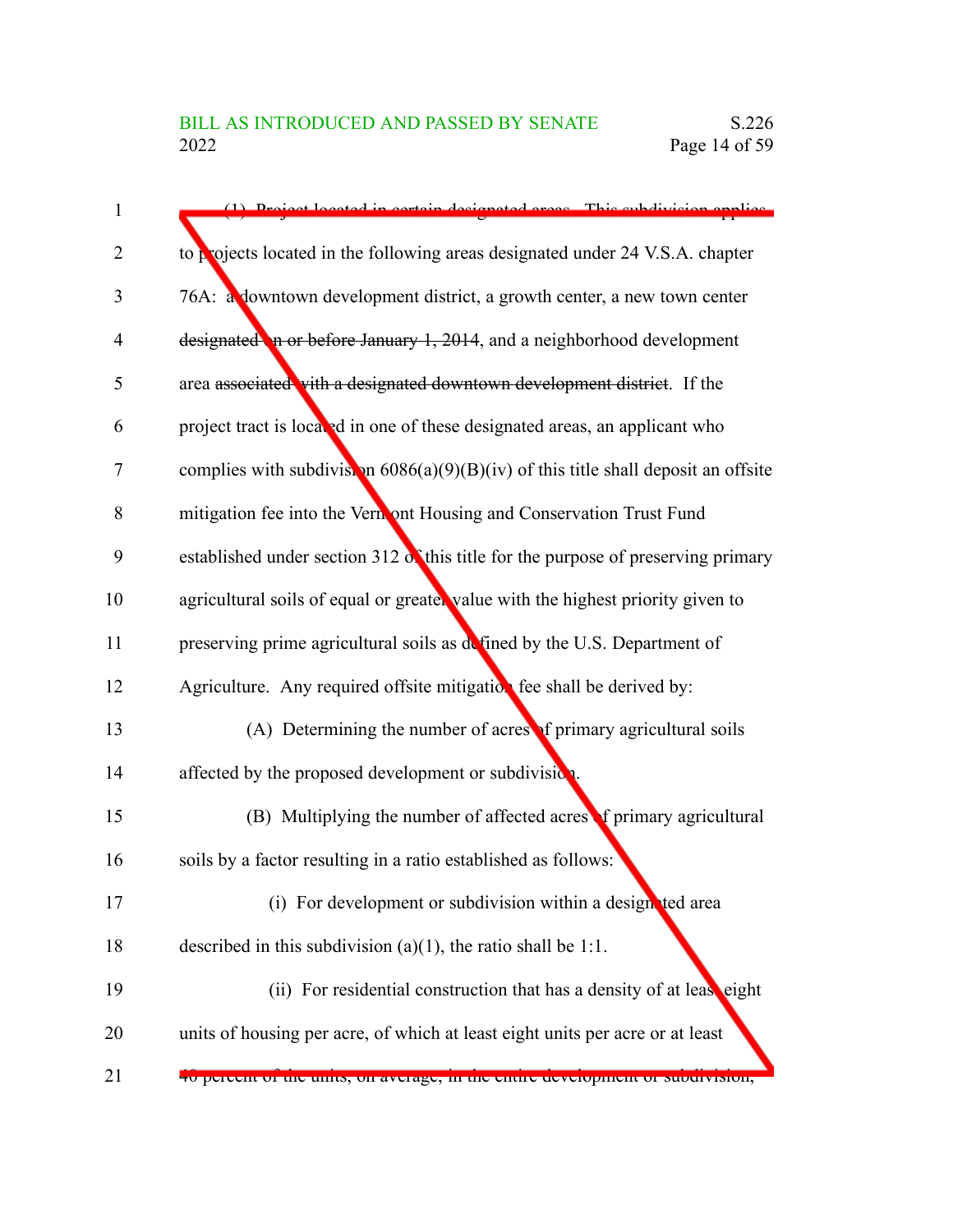| 1              | (1) Project located in certain decignated gross This subdivision englise                |
|----------------|-----------------------------------------------------------------------------------------|
| $\overline{2}$ | to projects located in the following areas designated under 24 V.S.A. chapter           |
| 3              | 76A: a downtown development district, a growth center, a new town center                |
| 4              | $designed$ in or before January 1, 2014, and a neighborhood development                 |
| 5              | area associated with a designated downtown development district. If the                 |
| 6              | project tract is located in one of these designated areas, an applicant who             |
| 7              | complies with subdivistion $6086(a)(9)(B)(iv)$ of this title shall deposit an offsite   |
| 8              | mitigation fee into the Vernont Housing and Conservation Trust Fund                     |
| 9              | established under section 312 $\delta$ this title for the purpose of preserving primary |
| 10             | agricultural soils of equal or greater value with the highest priority given to         |
| 11             | preserving prime agricultural soils as defined by the U.S. Department of                |
| 12             | Agriculture. Any required offsite mitigation fee shall be derived by:                   |
| 13             | (A) Determining the number of acress of primary agricultural soils                      |
| 14             | affected by the proposed development or subdivision.                                    |
| 15             | (B) Multiplying the number of affected acres of primary agricultural                    |
| 16             | soils by a factor resulting in a ratio established as follows:                          |
| 17             | (i) For development or subdivision within a designated area                             |
| 18             | described in this subdivision (a)(1), the ratio shall be 1:1.                           |
| 19             | (ii) For residential construction that has a density of at lease eight                  |
| 20             | units of housing per acre, of which at least eight units per acre or at least           |
| 21             | 40 percent or the units, on average, in the entire development or subdivision,          |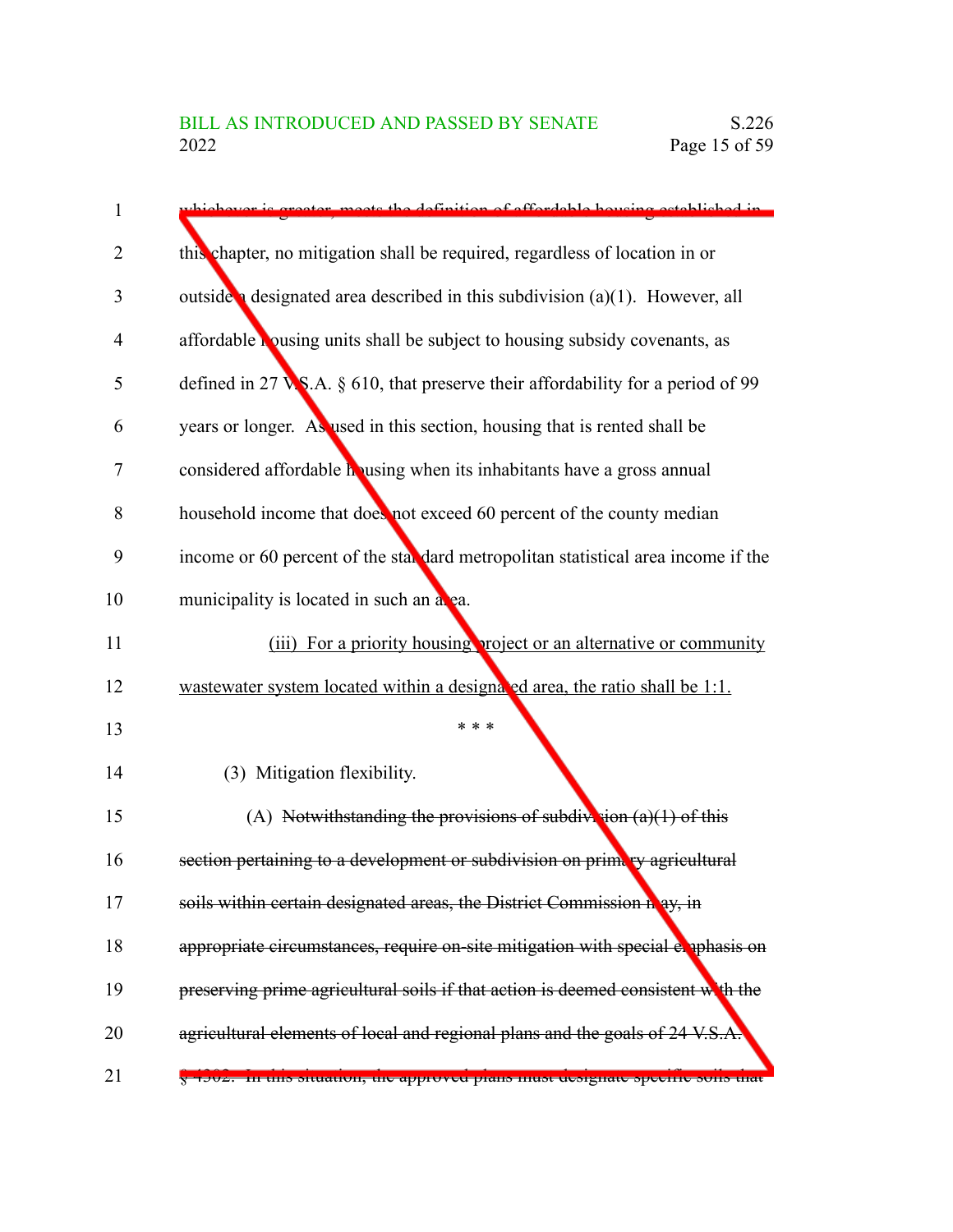| 1              | vhickover is greater, mosts the definition of efferdable housing established in           |
|----------------|-------------------------------------------------------------------------------------------|
| $\overline{2}$ | this chapter, no mitigation shall be required, regardless of location in or               |
| 3              | outside a designated area described in this subdivision $(a)(1)$ . However, all           |
| 4              | affordable bousing units shall be subject to housing subsidy covenants, as                |
| 5              | defined in 27 $\sqrt{S}$ . A. § 610, that preserve their affordability for a period of 99 |
| 6              | years or longer. As used in this section, housing that is rented shall be                 |
| 7              | considered affordable housing when its inhabitants have a gross annual                    |
| 8              | household income that does not exceed 60 percent of the county median                     |
| 9              | income or 60 percent of the stal dard metropolitan statistical area income if the         |
| 10             | municipality is located in such an alga.                                                  |
| 11             | (iii) For a priority housing project or an alternative or community                       |
| 12             | wastewater system located within a designated area, the ratio shall be 1:1.               |
| 13             | * * *                                                                                     |
| 14             | (3) Mitigation flexibility.                                                               |
| 15             | (A) Notwithstanding the provisions of subdivision $(a)(1)$ of this                        |
| 16             | section pertaining to a development or subdivision on prima ey agricultural               |
| 17             | soils within certain designated areas, the District Commission n ay, in                   |
| 18             | appropriate circumstances, require on-site mitigation with special exphasis on            |
| 19             | preserving prime agricultural soils if that action is deemed consistent with the          |
| 20             | agricultural elements of local and regional plans and the goals of 24 V.S./               |
| 21             | 4502.   In this situation, the approved plans must aesignate specific sons that           |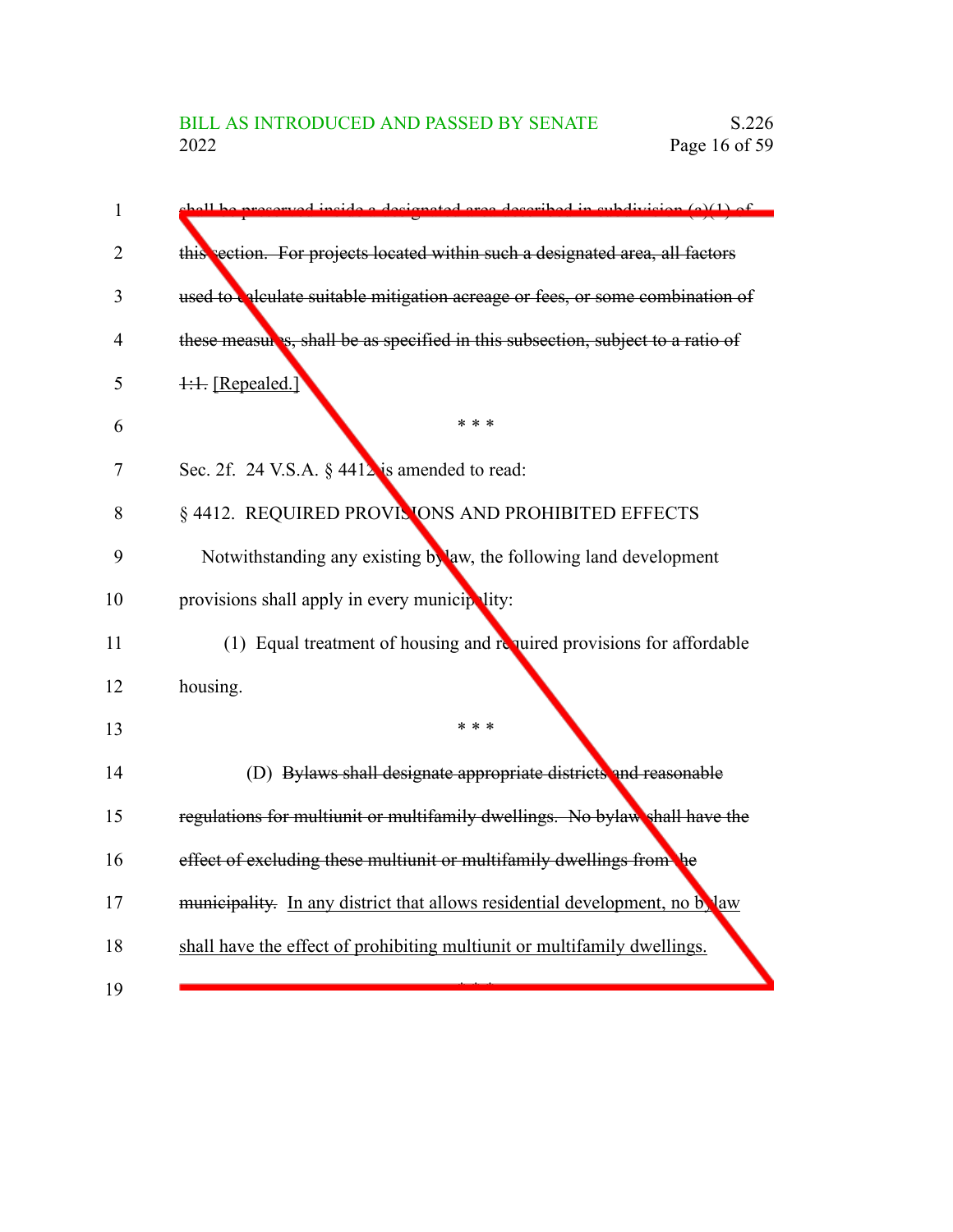| $\mathbf{1}$ | processed inside a decignated area described in subdivision (a)(1) of<br>مملللممان |
|--------------|------------------------------------------------------------------------------------|
| 2            | this section. For projects located within such a designated area, all factors      |
| 3            | used to calculate suitable mitigation acreage or fees, or some combination of      |
| 4            | these measures, shall be as specified in this subsection, subject to a ratio of    |
| 5            | 1:1. [Repealed.]                                                                   |
| 6            | * * *                                                                              |
| 7            | Sec. 2f. 24 V.S.A. § 4412 is amended to read:                                      |
| 8            | § 4412. REQUIRED PROVISIONS AND PROHIBITED EFFECTS                                 |
| 9            | Notwithstanding any existing bylaw, the following land development                 |
| 10           | provisions shall apply in every municipality:                                      |
| 11           | (1) Equal treatment of housing and required provisions for affordable              |
| 12           | housing.                                                                           |
| 13           | * * *                                                                              |
| 14           | (D) Bylaws shall designate appropriate districts and reasonable                    |
| 15           | regulations for multiunit or multifamily dwellings. No bylaw shall have the        |
| 16           | effect of excluding these multiunit or multifamily dwellings from the              |
| 17           | municipality. In any district that allows residential development, no b, law       |
| 18           | shall have the effect of prohibiting multiunit or multifamily dwellings.           |
| 19           |                                                                                    |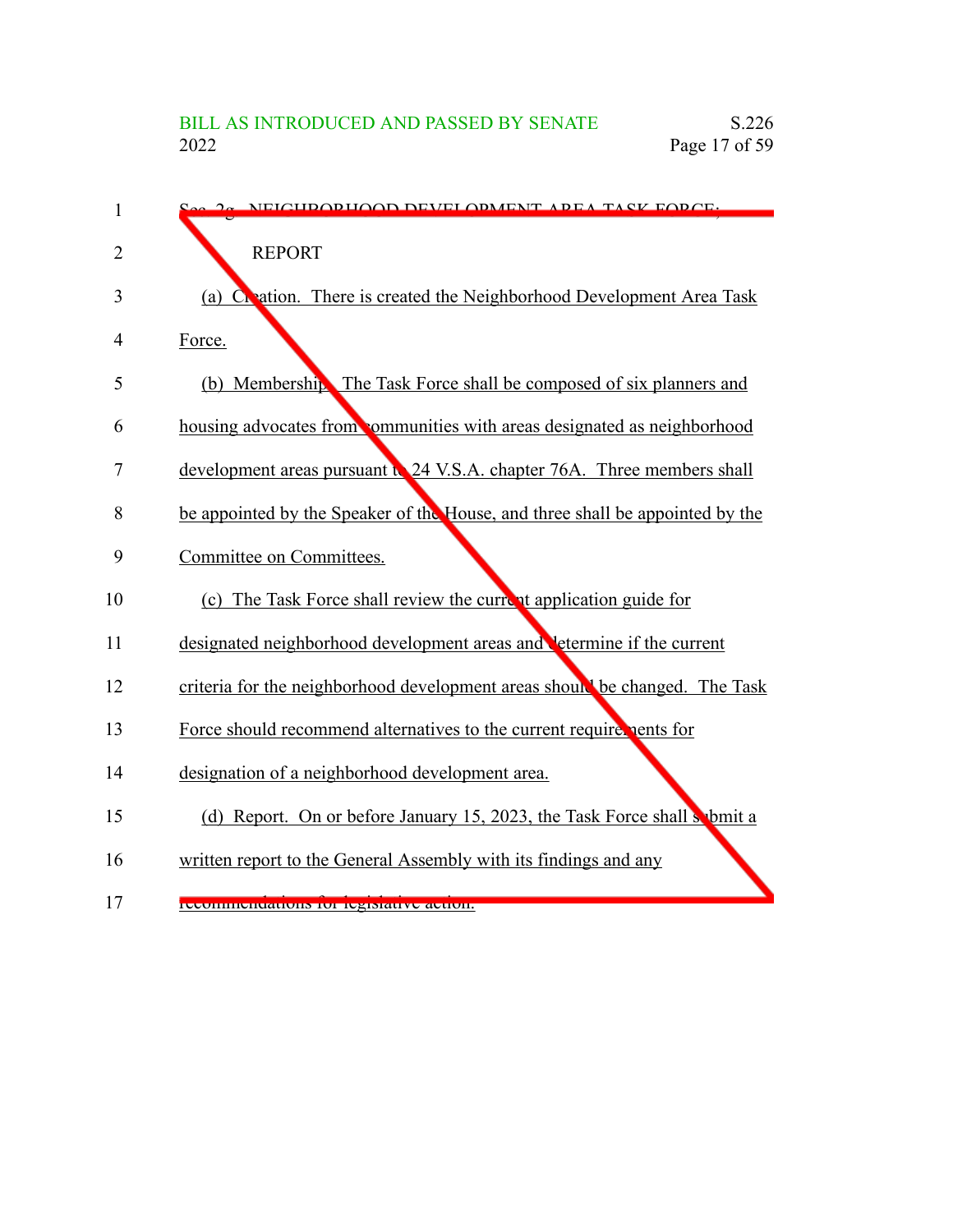| 1  | $2\alpha$ NEICHDODHOOD DEVELODMENT ADEA TASK EODCE.                           |
|----|-------------------------------------------------------------------------------|
| 2  | <b>REPORT</b>                                                                 |
| 3  | Creation. There is created the Neighborhood Development Area Task<br>(a)      |
| 4  | Force.                                                                        |
| 5  | (b) Membership. The Task Force shall be composed of six planners and          |
| 6  | housing advocates from communities with areas designated as neighborhood      |
| 7  | development areas pursuant to 24 V.S.A. chapter 76A. Three members shall      |
| 8  | be appointed by the Speaker of the House, and three shall be appointed by the |
| 9  | Committee on Committees.                                                      |
| 10 | (c) The Task Force shall review the current application guide for             |
| 11 | designated neighborhood development areas and determine if the current        |
| 12 | criteria for the neighborhood development areas should be changed. The Task   |
| 13 | Force should recommend alternatives to the current require pents for          |
| 14 | designation of a neighborhood development area.                               |
| 15 | (d) Report. On or before January 15, 2023, the Task Force shall sobmit a      |
| 16 | written report to the General Assembly with its findings and any              |
| 17 | recommendations for registative action.                                       |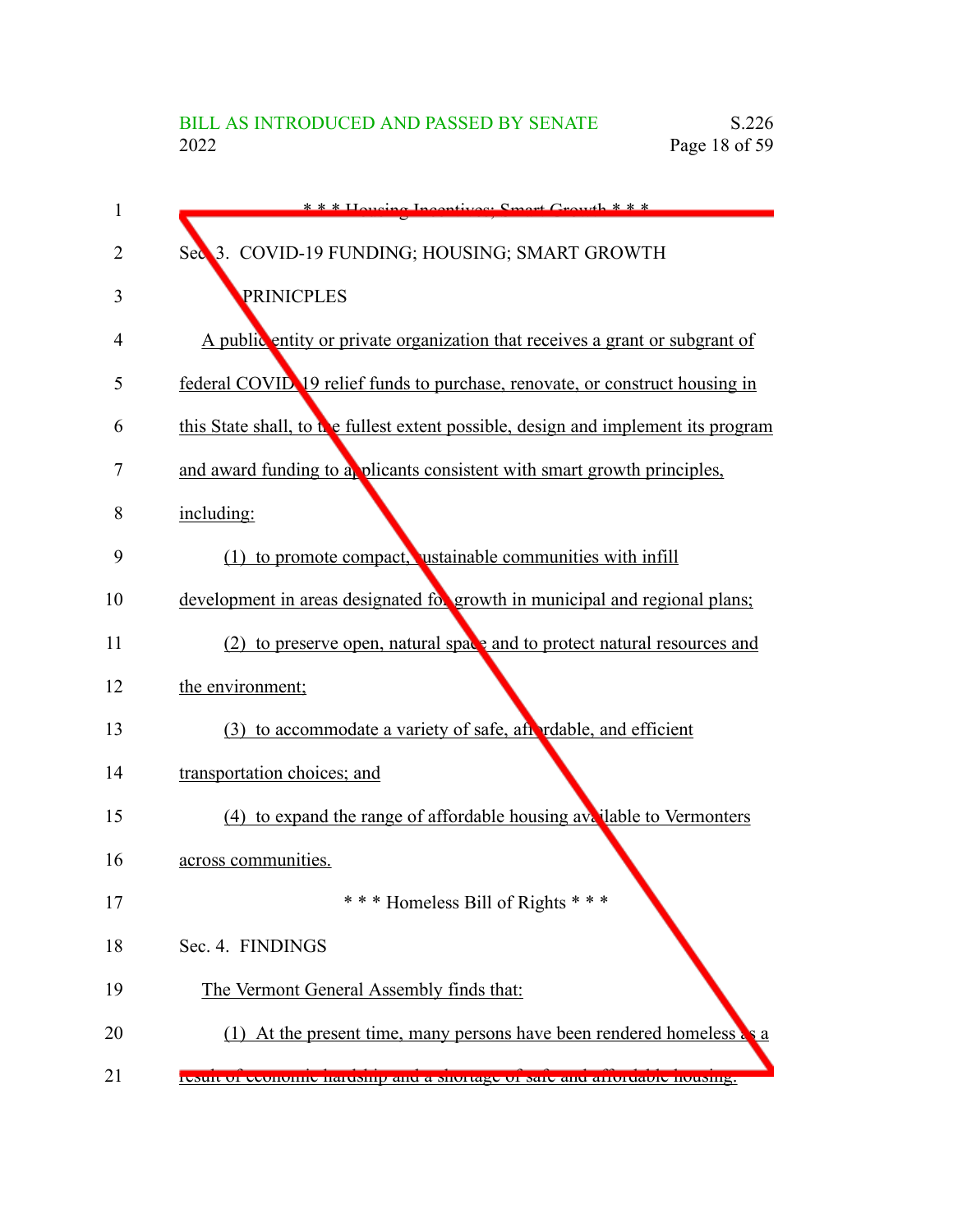| 1  | $* * *$ Houging Incontinuou Smort Growth $* * *$                                   |
|----|------------------------------------------------------------------------------------|
| 2  | 3. COVID-19 FUNDING; HOUSING; SMART GROWTH<br>Sec                                  |
| 3  | PRINICPLES                                                                         |
| 4  | A public entity or private organization that receives a grant or subgrant of       |
| 5  | federal COVID 19 relief funds to purchase, renovate, or construct housing in       |
| 6  | this State shall, to the fullest extent possible, design and implement its program |
| 7  | and award funding to a plicants consistent with smart growth principles,           |
| 8  | including:                                                                         |
| 9  | (1) to promote compact, ustainable communities with infill                         |
| 10 | development in areas designated for growth in municipal and regional plans;        |
| 11 | (2) to preserve open, natural space and to protect natural resources and           |
| 12 | the environment;                                                                   |
| 13 | (3) to accommodate a variety of safe, after relable, and efficient                 |
| 14 | transportation choices; and                                                        |
| 15 | (4) to expand the range of affordable housing available to Vermonters              |
| 16 | across communities.                                                                |
| 17 | *** Homeless Bill of Rights ***                                                    |
| 18 | Sec. 4. FINDINGS                                                                   |
| 19 | The Vermont General Assembly finds that:                                           |
| 20 | (1) At the present time, many persons have been rendered homeless $\epsilon$       |
| 21 | result of economic naruship and a shortage of sate and arrordable nousing.         |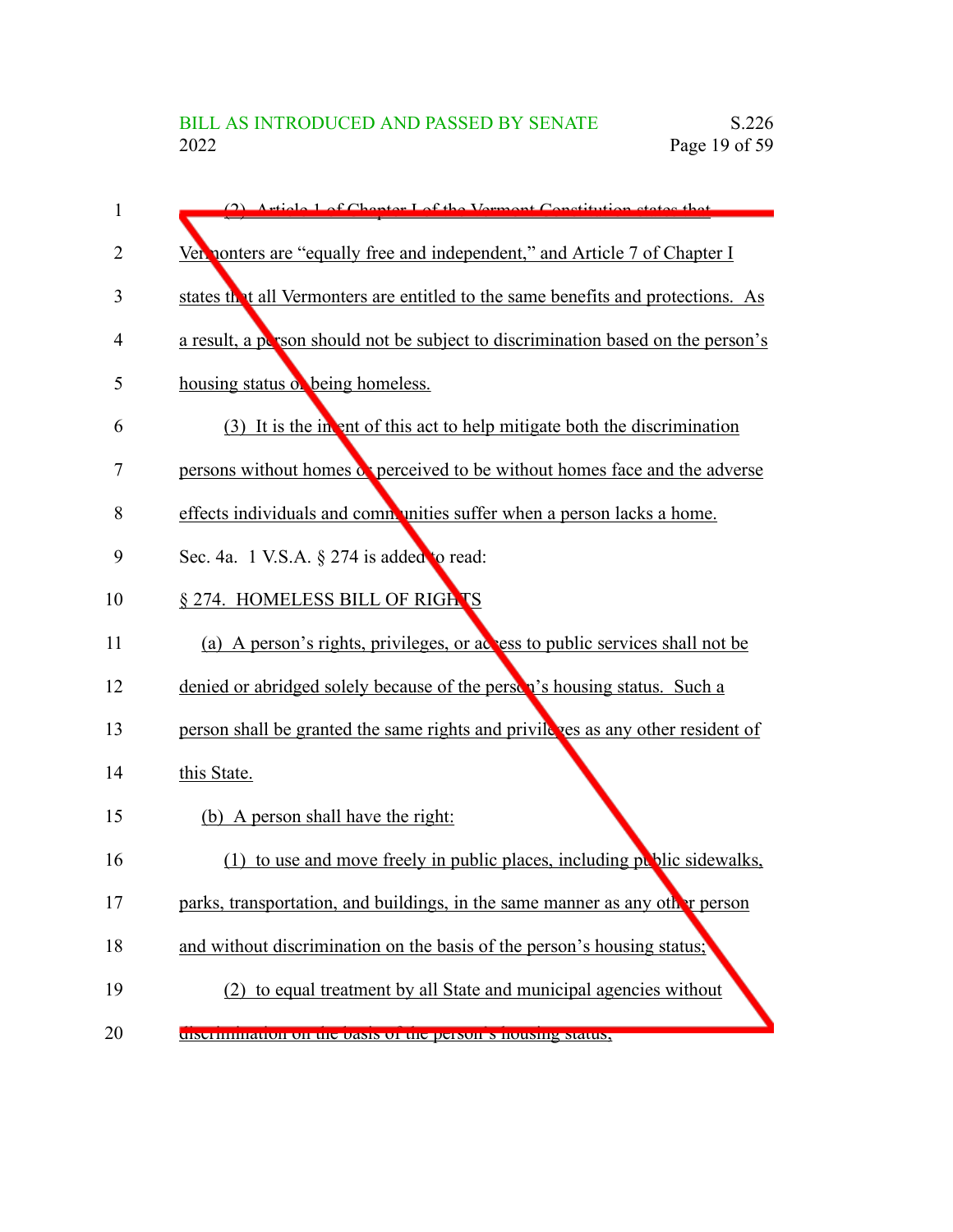| 1  | (2) Article Lof Chanter Lof the Vermont Constitution states that                 |
|----|----------------------------------------------------------------------------------|
| 2  | Ver nonters are "equally free and independent," and Article 7 of Chapter I       |
| 3  | states that all Vermonters are entitled to the same benefits and protections. As |
| 4  | a result, a person should not be subject to discrimination based on the person's |
| 5  | housing status of being homeless.                                                |
| 6  | (3) It is the in ent of this act to help mitigate both the discrimination        |
| 7  | persons without homes a perceived to be without homes face and the adverse       |
| 8  | effects individuals and communities suffer when a person lacks a home.           |
| 9  | Sec. 4a. 1 V.S.A. $\S$ 274 is added to read:                                     |
| 10 | § 274. HOMELESS BILL OF RIGHTS                                                   |
| 11 | (a) A person's rights, privileges, or actes to public services shall not be      |
| 12 | denied or abridged solely because of the person's housing status. Such a         |
| 13 | person shall be granted the same rights and privile res as any other resident of |
| 14 | this State.                                                                      |
| 15 | (b) A person shall have the right:                                               |
| 16 | to use and move freely in public places, including public sidewalks,<br>(1)      |
| 17 | parks, transportation, and buildings, in the same manner as any other person     |
| 18 | and without discrimination on the basis of the person's housing status;          |
| 19 | (2) to equal treatment by all State and municipal agencies without               |
| 20 | discrimination on the basis of the person s housing status,                      |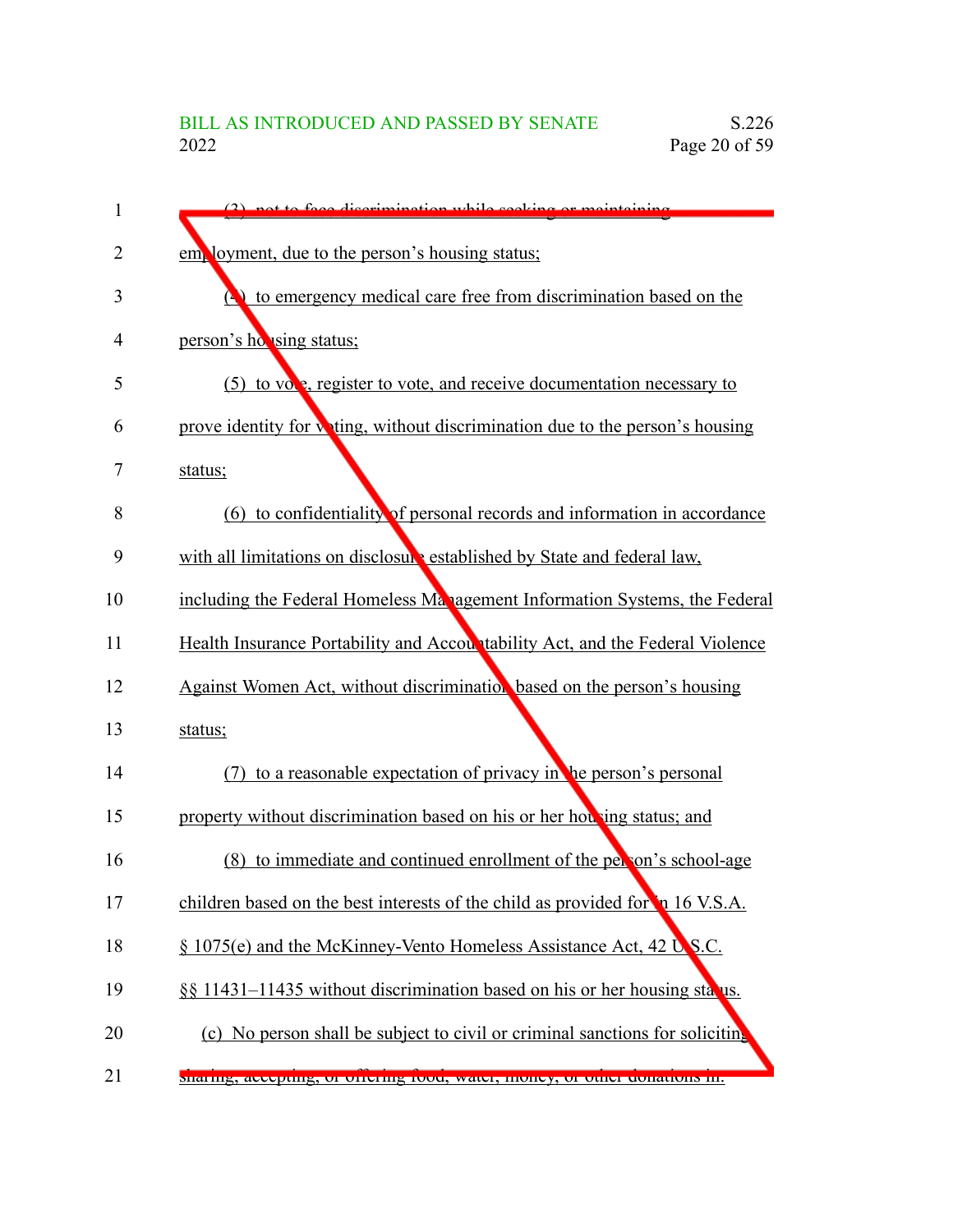| 1              | $(2)$ not to face discrimination while socking or maintaining                          |
|----------------|----------------------------------------------------------------------------------------|
| $\overline{2}$ | employment, due to the person's housing status;                                        |
| 3              | $\left(\bullet\right)$ to emergency medical care free from discrimination based on the |
| 4              | person's ho using status;                                                              |
| 5              | (5) to vole, register to vote, and receive documentation necessary to                  |
| 6              | prove identity for witing, without discrimination due to the person's housing          |
| 7              | status;                                                                                |
| 8              | (6) to confidentiality of personal records and information in accordance               |
| 9              | with all limitations on disclosure established by State and federal law,               |
| 10             | including the Federal Homeless Management Information Systems, the Federal             |
| 11             | Health Insurance Portability and Accountability Act, and the Federal Violence          |
| 12             | Against Women Act, without discrimination based on the person's housing                |
| 13             | status;                                                                                |
| 14             | to a reasonable expectation of privacy in the person's personal                        |
| 15             | property without discrimination based on his or her hou ing status; and                |
| 16             | (8) to immediate and continued enrollment of the person's school-age                   |
| 17             | children based on the best interests of the child as provided for 16 V.S.A.            |
| 18             | § 1075(e) and the McKinney-Vento Homeless Assistance Act, 42 U.S.C.                    |
| 19             | §§ 11431–11435 without discrimination based on his or her housing status.              |
| 20             | (c) No person shall be subject to civil or criminal sanctions for soliciting           |
| 21             | sharing, accepting, or ottering rood, water, money, or other donations in.             |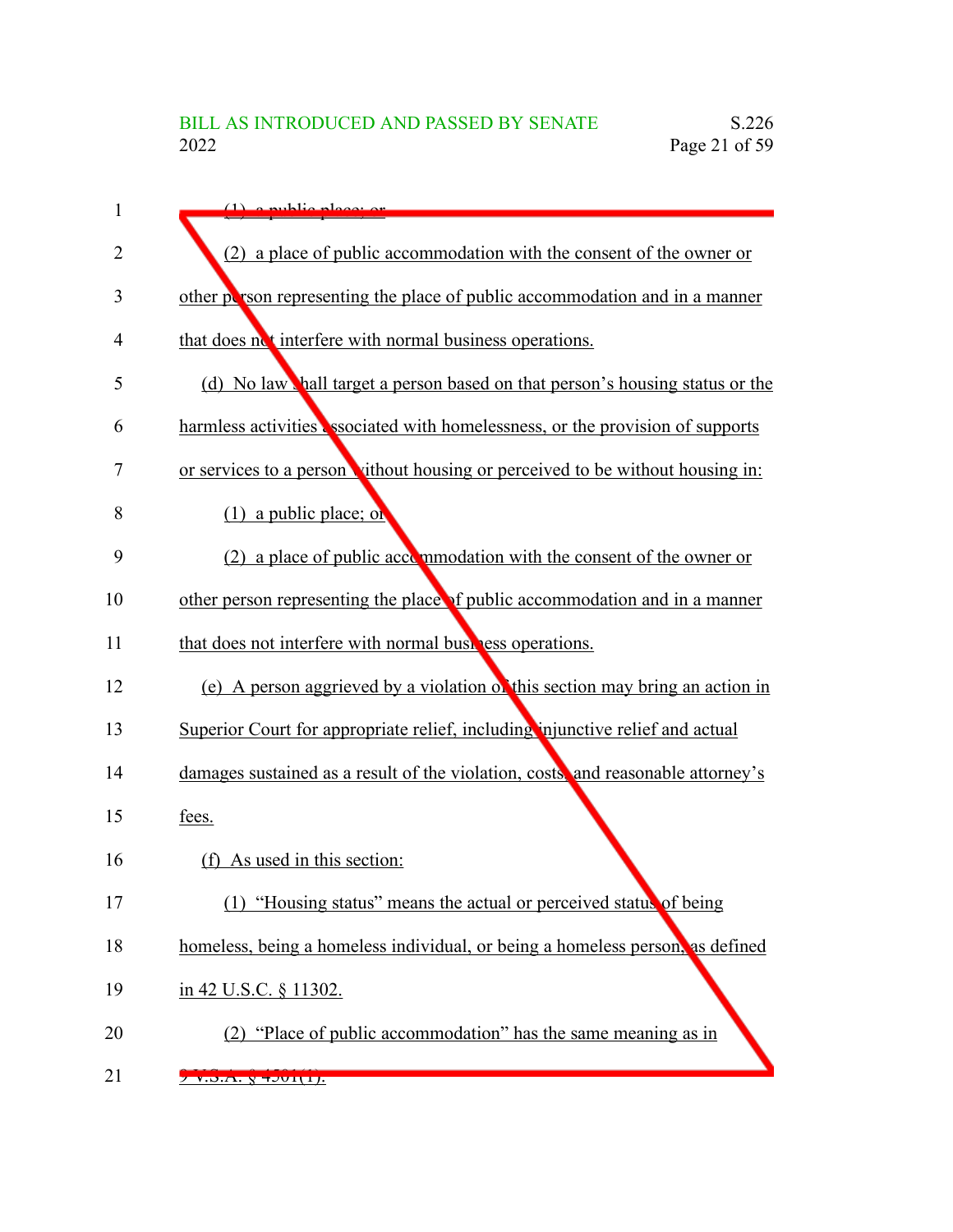| 1              | $(1)$ a public place or                                                          |
|----------------|----------------------------------------------------------------------------------|
| $\overline{2}$ | (2) a place of public accommodation with the consent of the owner or             |
| 3              | other person representing the place of public accommodation and in a manner      |
| 4              | that does not interfere with normal business operations.                         |
| 5              | (d) No law hall target a person based on that person's housing status or the     |
| 6              | harmless activities associated with homelessness, or the provision of supports   |
| 7              | or services to a person vithout housing or perceived to be without housing in:   |
| 8              | $(1)$ a public place; or                                                         |
| 9              | (2) a place of public accommodation with the consent of the owner or             |
| 10             | other person representing the place of public accommodation and in a manner      |
| 11             | that does not interfere with normal business operations.                         |
| 12             | (e) A person aggrieved by a violation of this section may bring an action in     |
| 13             | Superior Court for appropriate relief, including injunctive relief and actual    |
| 14             | damages sustained as a result of the violation, costs, and reasonable attorney's |
| 15             | fees.                                                                            |
| 16             | (f) As used in this section:                                                     |
| 17             | (1) "Housing status" means the actual or perceived status of being               |
| 18             | homeless, being a homeless individual, or being a homeless person, as defined    |
| 19             | in 42 U.S.C. § 11302.                                                            |
| 20             | (2) "Place of public accommodation" has the same meaning as in                   |
| 21             | V.D.A. V 1 UII.                                                                  |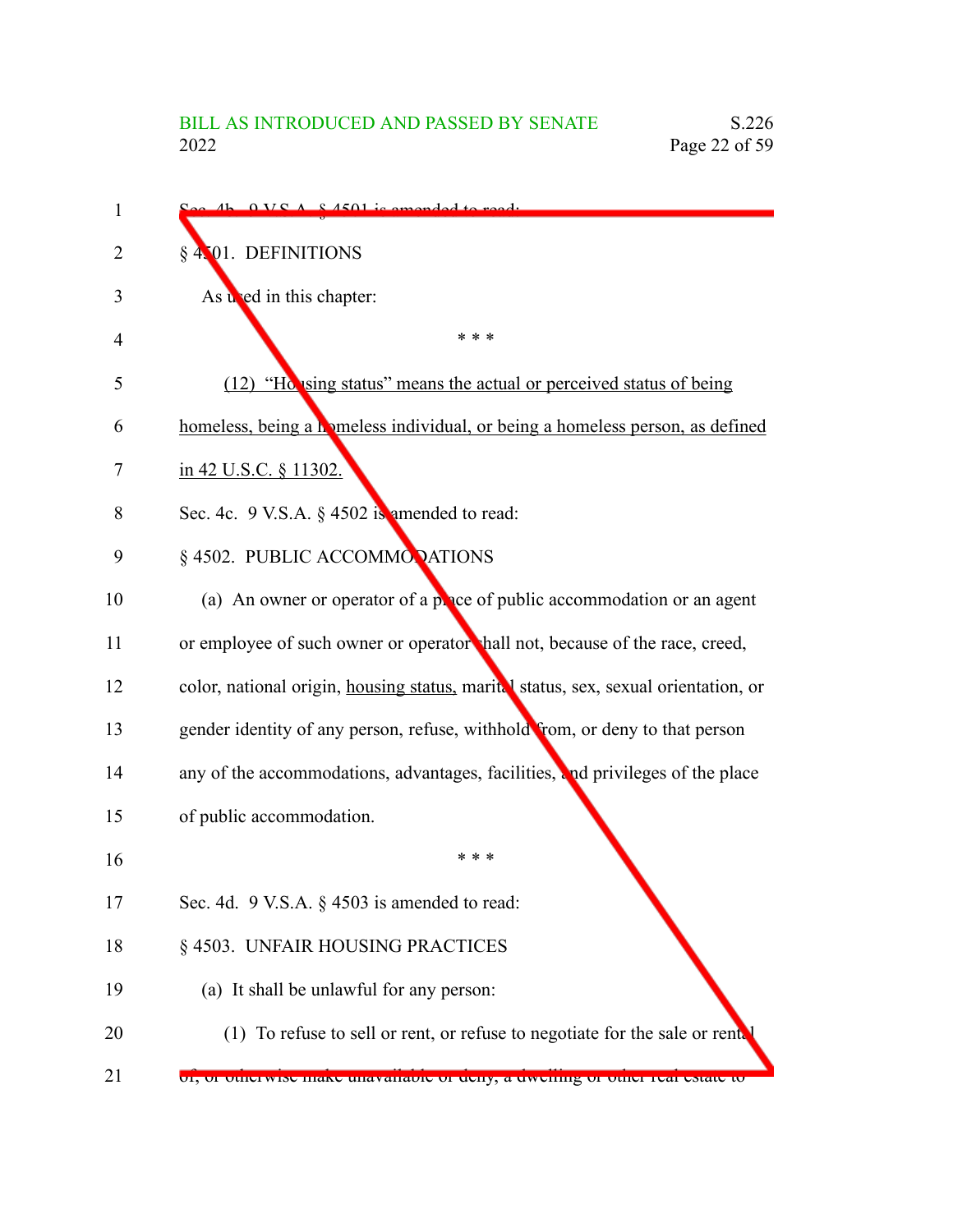| 1  | $A h \cdot 0 V S A \cdot 8 A 501$ is emended to read.                               |
|----|-------------------------------------------------------------------------------------|
| 2  | § 4.01. DEFINITIONS                                                                 |
| 3  | As wed in this chapter:                                                             |
| 4  | * * *                                                                               |
| 5  | (12) "Ho using status" means the actual or perceived status of being                |
| 6  | homeless, being a homeless individual, or being a homeless person, as defined       |
| 7  | in 42 U.S.C. § 11302.                                                               |
| 8  | Sec. 4c. 9 V.S.A. § 4502 is amended to read:                                        |
| 9  | §4502. PUBLIC ACCOMMONATIONS                                                        |
| 10 | (a) An owner or operator of a $p$ , are of public accommodation or an agent         |
| 11 | or employee of such owner or operator hall not, because of the race, creed,         |
| 12 | color, national origin, housing status, marital status, sex, sexual orientation, or |
| 13 | gender identity of any person, refuse, withhold from, or deny to that person        |
| 14 | any of the accommodations, advantages, facilities, and privileges of the place      |
| 15 | of public accommodation.                                                            |
| 16 | * * *                                                                               |
| 17 | Sec. 4d. $9$ V.S.A. $\S$ 4503 is amended to read:                                   |
| 18 | § 4503. UNFAIR HOUSING PRACTICES                                                    |
| 19 | (a) It shall be unlawful for any person:                                            |
| 20 | (1) To refuse to sell or rent, or refuse to negotiate for the sale or rent.         |
| 21 | 01, 01 otherwise make unavairable of deny, a dwennig of other real estate to        |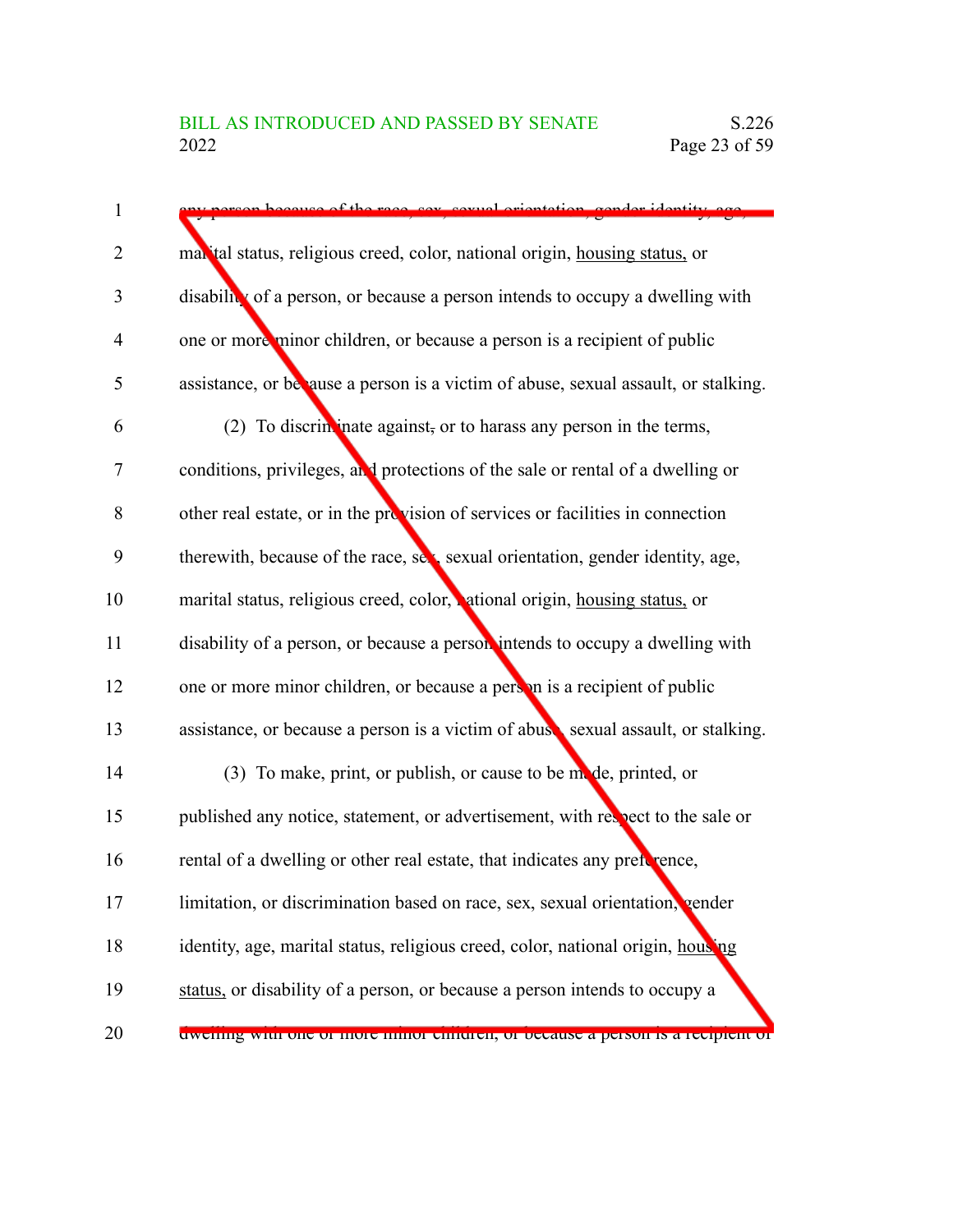| $\mathbf{1}$   | of the race cay covual orientation                                                 |
|----------------|------------------------------------------------------------------------------------|
| $\overline{2}$ | marital status, religious creed, color, national origin, housing status, or        |
| 3              | disability of a person, or because a person intends to occupy a dwelling with      |
| $\overline{4}$ | one or more minor children, or because a person is a recipient of public           |
| 5              | assistance, or because a person is a victim of abuse, sexual assault, or stalking. |
| 6              | (2) To discriminate against, or to harass any person in the terms,                 |
| $\tau$         | conditions, privileges, and protections of the sale or rental of a dwelling or     |
| 8              | other real estate, or in the provision of services or facilities in connection     |
| 9              | therewith, because of the race, sex, sexual orientation, gender identity, age,     |
| 10             | marital status, religious creed, color, ational origin, housing status, or         |
| 11             | disability of a person, or because a person intends to occupy a dwelling with      |
| 12             | one or more minor children, or because a person is a recipient of public           |
| 13             | assistance, or because a person is a victim of abuse sexual assault, or stalking.  |
| 14             | (3) To make, print, or publish, or cause to be mode, printed, or                   |
| 15             | published any notice, statement, or advertisement, with respect to the sale or     |
| 16             | rental of a dwelling or other real estate, that indicates any preforence,          |
| 17             | limitation, or discrimination based on race, sex, sexual orientation, cender       |
| 18             | identity, age, marital status, religious creed, color, national origin, housing    |
| 19             | status, or disability of a person, or because a person intends to occupy a         |
| 20             | divening with one of more minor emittien, or oceause a person is a recipient or    |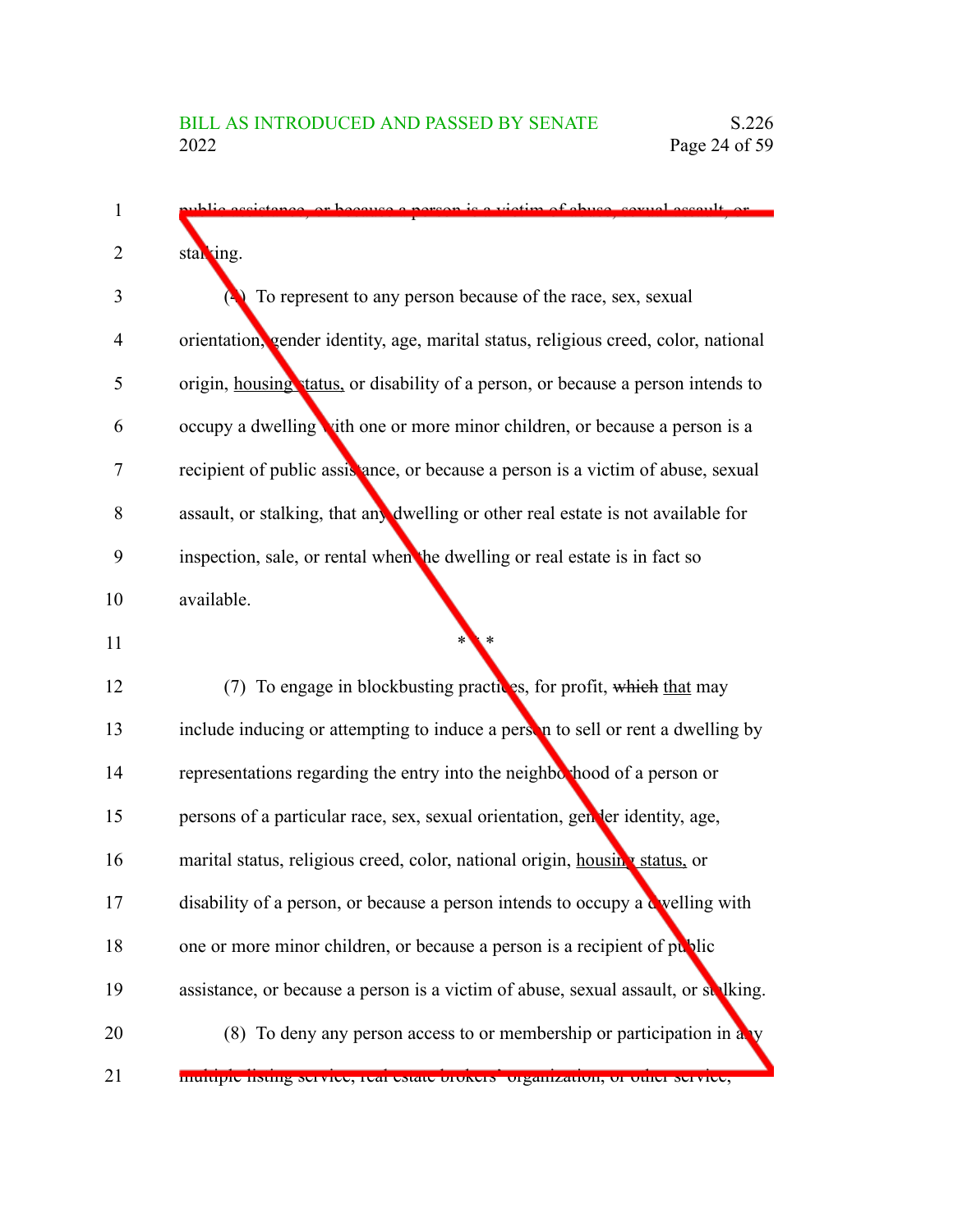| 1              | blic assistance, or because a nerson is a victim of abuse, sexual assault, or       |
|----------------|-------------------------------------------------------------------------------------|
| $\overline{2}$ | stal ing.                                                                           |
| 3              | To represent to any person because of the race, sex, sexual                         |
| $\overline{4}$ | orientation, gender identity, age, marital status, religious creed, color, national |
| 5              | origin, housing tatus, or disability of a person, or because a person intends to    |
| 6              | occupy a dwelling vith one or more minor children, or because a person is a         |
| 7              | recipient of public assistance, or because a person is a victim of abuse, sexual    |
| 8              | assault, or stalking, that any dwelling or other real estate is not available for   |
| 9              | inspection, sale, or rental when the dwelling or real estate is in fact so          |
| 10             | available.                                                                          |
| 11             |                                                                                     |
| 12             | (7) To engage in blockbusting practices, for profit, which that may                 |
| 13             | include inducing or attempting to induce a person to sell or rent a dwelling by     |
| 14             | representations regarding the entry into the neighborhood of a person or            |
| 15             | persons of a particular race, sex, sexual orientation, gender identity, age,        |
| 16             | marital status, religious creed, color, national origin, housing status, or         |
| 17             | disability of a person, or because a person intends to occupy a welling with        |
| 18             | one or more minor children, or because a person is a recipient of public            |
| 19             | assistance, or because a person is a victim of abuse, sexual assault, or stelking.  |
| 20             | (8) To deny any person access to or membership or participation in a v              |
| 21             | mumple iisung service, iear estate brokers organization, or other service,          |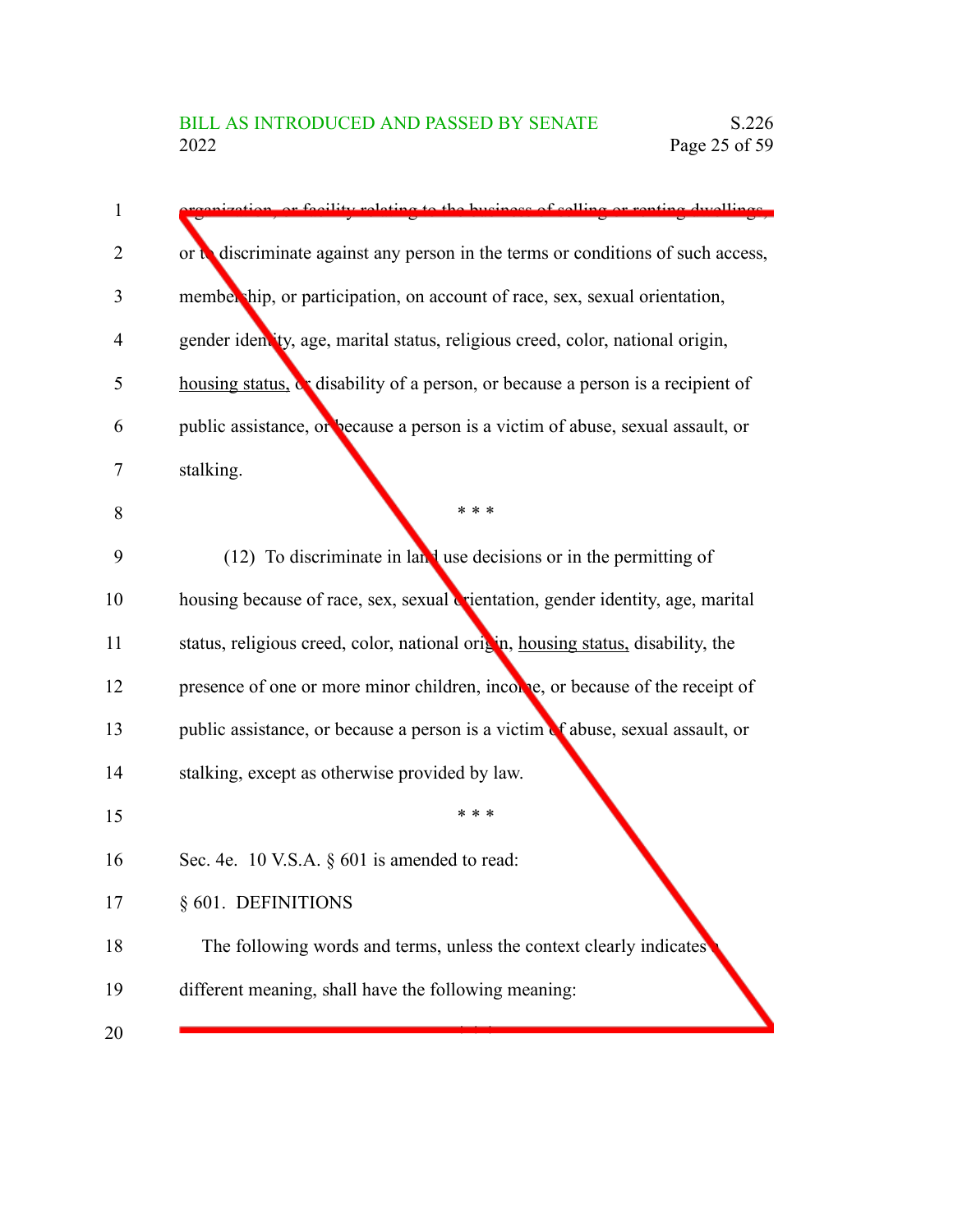| $\mathbf{1}$ | vation, or facility relating to the business of selling or renting dwellings.    |
|--------------|----------------------------------------------------------------------------------|
| 2            | or a discriminate against any person in the terms or conditions of such access,  |
| 3            | membership, or participation, on account of race, sex, sexual orientation,       |
| 4            | gender identity, age, marital status, religious creed, color, national origin,   |
| 5            | housing status, or disability of a person, or because a person is a recipient of |
| 6            | public assistance, or because a person is a victim of abuse, sexual assault, or  |
| 7            | stalking.                                                                        |
| 8            | * * *                                                                            |
| 9            | $(12)$ To discriminate in land use decisions or in the permitting of             |
| 10           | housing because of race, sex, sexual crientation, gender identity, age, marital  |
| 11           | status, religious creed, color, national origin, housing status, disability, the |
| 12           | presence of one or more minor children, income, or because of the receipt of     |
| 13           | public assistance, or because a person is a victim of abuse, sexual assault, or  |
| 14           | stalking, except as otherwise provided by law.                                   |
| 15           | * * *                                                                            |
| 16           | Sec. 4e. 10 V.S.A. § 601 is amended to read:                                     |
| 17           | § 601. DEFINITIONS                                                               |
| 18           | The following words and terms, unless the context clearly indicates              |
| 19           | different meaning, shall have the following meaning:                             |
| 20           |                                                                                  |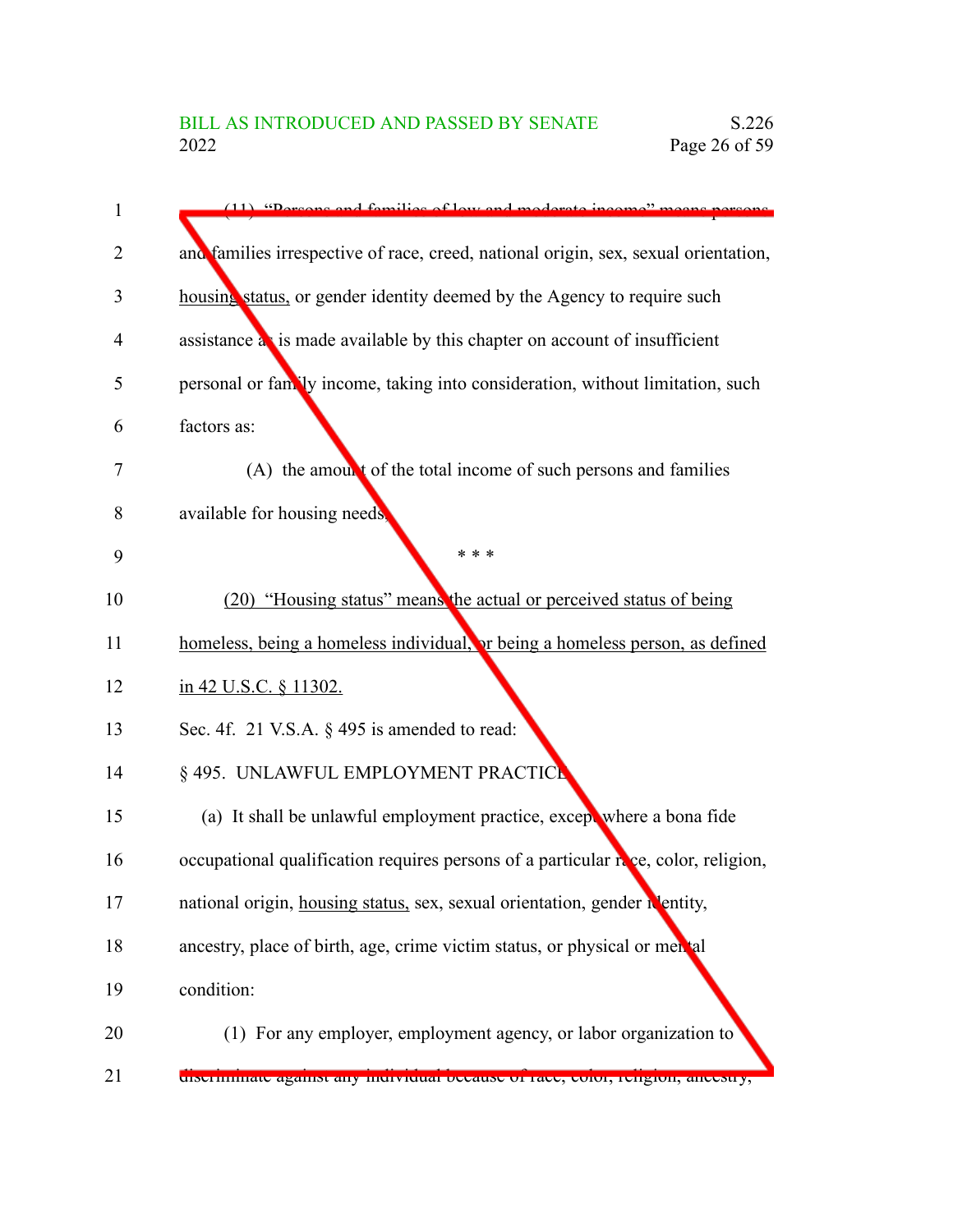| $\mathbf{1}$ | $(11)$ "Dersons and families of low and moderate income" mean                       |
|--------------|-------------------------------------------------------------------------------------|
| 2            | and families irrespective of race, creed, national origin, sex, sexual orientation, |
| 3            | housing status, or gender identity deemed by the Agency to require such             |
| 4            | assistance as is made available by this chapter on account of insufficient          |
| 5            | personal or family income, taking into consideration, without limitation, such      |
| 6            | factors as:                                                                         |
| 7            | (A) the amount of the total income of such persons and families                     |
| 8            | available for housing needs,                                                        |
| 9            | * * *                                                                               |
| 10           | (20) "Housing status" means the actual or perceived status of being                 |
| 11           | homeless, being a homeless individual, or being a homeless person, as defined       |
| 12           | in 42 U.S.C. § 11302.                                                               |
| 13           | Sec. 4f. 21 V.S.A. $\S$ 495 is amended to read:                                     |
| 14           | § 495. UNLAWFUL EMPLOYMENT PRACTICE                                                 |
| 15           | (a) It shall be unlawful employment practice, except where a bona fide              |
| 16           | occupational qualification requires persons of a particular rece, color, religion,  |
| 17           | national origin, housing status, sex, sexual orientation, gender identity,          |
| 18           | ancestry, place of birth, age, crime victim status, or physical or mental           |
| 19           | condition:                                                                          |
| 20           | (1) For any employer, employment agency, or labor organization to                   |
| 21           | discriminate against any murvidual oceause of face, color, rengion, ancesu y,       |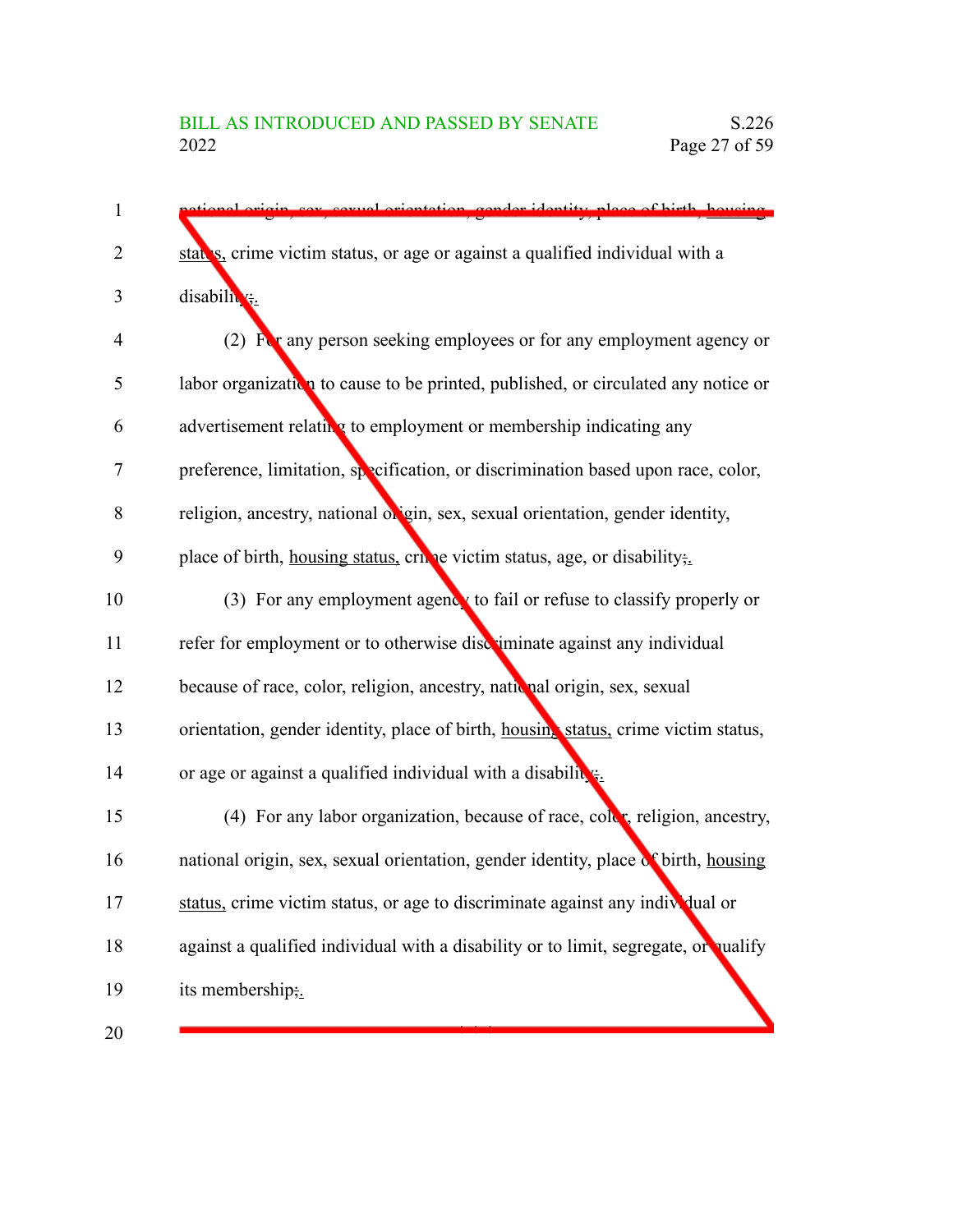| 1              | car carvel orientation conder identity place of hirth housing                       |
|----------------|-------------------------------------------------------------------------------------|
| $\overline{2}$ | states, crime victim status, or age or against a qualified individual with a        |
| 3              | disability.                                                                         |
| 4              | (2) $\mathbf{F}$ any person seeking employees or for any employment agency or       |
| 5              | labor organization to cause to be printed, published, or circulated any notice or   |
| 6              | advertisement relating to employment or membership indicating any                   |
| 7              | preference, limitation, specification, or discrimination based upon race, color,    |
| 8              | religion, ancestry, national origin, sex, sexual orientation, gender identity,      |
| 9              | place of birth, housing status, crivic victim status, age, or disability;           |
| 10             | (3) For any employment agency to fail or refuse to classify properly or             |
| 11             | refer for employment or to otherwise discuminate against any individual             |
| 12             | because of race, color, religion, ancestry, nath nal origin, sex, sexual            |
| 13             | orientation, gender identity, place of birth, housing status, crime victim status,  |
| 14             | or age or against a qualified individual with a disability.                         |
| 15             | (4) For any labor organization, because of race, color, religion, ancestry,         |
| 16             | national origin, sex, sexual orientation, gender identity, place of birth, housing  |
| 17             | status, crime victim status, or age to discriminate against any individual or       |
| 18             | against a qualified individual with a disability or to limit, segregate, or qualify |
| 19             | its membership;.                                                                    |
| 20             |                                                                                     |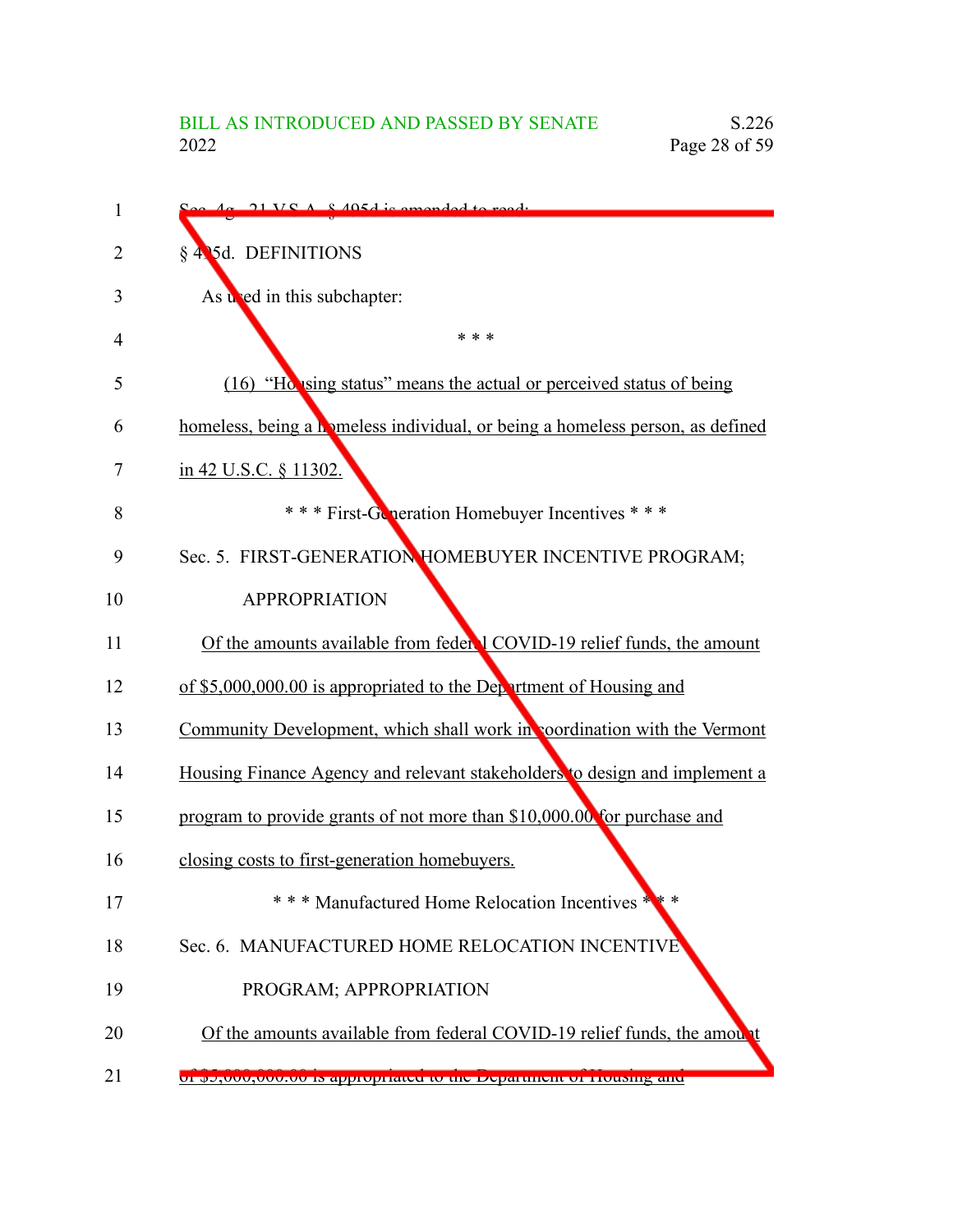| 1  | $\sim A_0$ 21 VCA $\&$ 405d is amonded to read.                               |
|----|-------------------------------------------------------------------------------|
| 2  | § 435d. DEFINITIONS                                                           |
| 3  | As used in this subchapter:                                                   |
| 4  | * * *                                                                         |
| 5  | (16) "Ho ising status" means the actual or perceived status of being          |
| 6  | homeless, being a homeless individual, or being a homeless person, as defined |
| 7  | in 42 U.S.C. § 11302.                                                         |
| 8  | *** First-Generation Homebuyer Incentives ***                                 |
| 9  | Sec. 5. FIRST-GENERATION HOMEBUYER INCENTIVE PROGRAM;                         |
| 10 | <b>APPROPRIATION</b>                                                          |
| 11 | Of the amounts available from feder 1 COVID-19 relief funds, the amount       |
| 12 | of \$5,000,000.00 is appropriated to the Department of Housing and            |
| 13 | Community Development, which shall work in coordination with the Vermont      |
| 14 | Housing Finance Agency and relevant stakeholders to design and implement a    |
| 15 | program to provide grants of not more than \$10,000.00 for purchase and       |
| 16 | closing costs to first-generation homebuyers.                                 |
| 17 | *** Manufactured Home Relocation Incentives *                                 |
| 18 | Sec. 6. MANUFACTURED HOME RELOCATION INCENTIVE                                |
| 19 | PROGRAM; APPROPRIATION                                                        |
| 20 | Of the amounts available from federal COVID-19 relief funds, the amount       |
| 21 | <u>ui po,uuu,uuu.uu is appropriated to the Department of Housing and</u>      |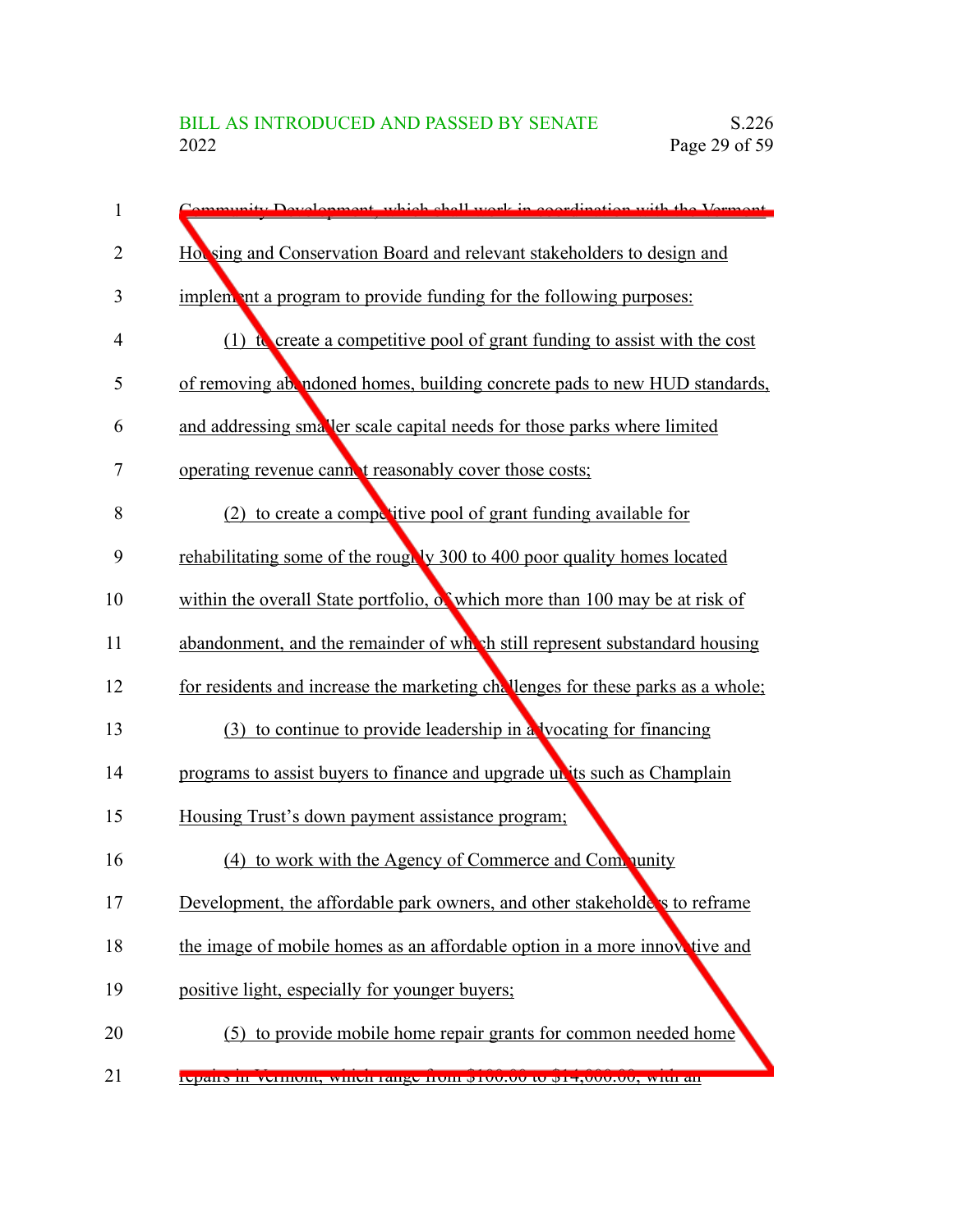| $\mathbf{1}$ | mmunity Development, which shall work in coordination with the Vermont             |
|--------------|------------------------------------------------------------------------------------|
| 2            | Hot sing and Conservation Board and relevant stakeholders to design and            |
| 3            | implement a program to provide funding for the following purposes:                 |
| 4            | (1) $\alpha$ create a competitive pool of grant funding to assist with the cost    |
| 5            | of removing ab ndoned homes, building concrete pads to new HUD standards,          |
| 6            | and addressing smaller scale capital needs for those parks where limited           |
| 7            | operating revenue cannot reasonably cover those costs;                             |
| 8            | (2) to create a competitive pool of grant funding available for                    |
| 9            | rehabilitating some of the roughly 300 to 400 poor quality homes located           |
| 10           | within the overall State portfolio, $\delta$ which more than 100 may be at risk of |
| 11           | abandonment, and the remainder of wh sh still represent substandard housing        |
| 12           | for residents and increase the marketing challenges for these parks as a whole;    |
| 13           | (3) to continue to provide leadership in a vocating for financing                  |
| 14           | programs to assist buyers to finance and upgrade un its such as Champlain          |
| 15           | Housing Trust's down payment assistance program;                                   |
| 16           | to work with the Agency of Commerce and Community<br>(4)                           |
| 17           | Development, the affordable park owners, and other stakeholde's to reframe         |
| 18           | the image of mobile homes as an affordable option in a more innovative and         |
| 19           | positive light, especially for younger buyers;                                     |
| 20           | (5) to provide mobile home repair grants for common needed home                    |
| 21           | repairs in vermont, which range from \$100.00 to \$14,000.00, whir air             |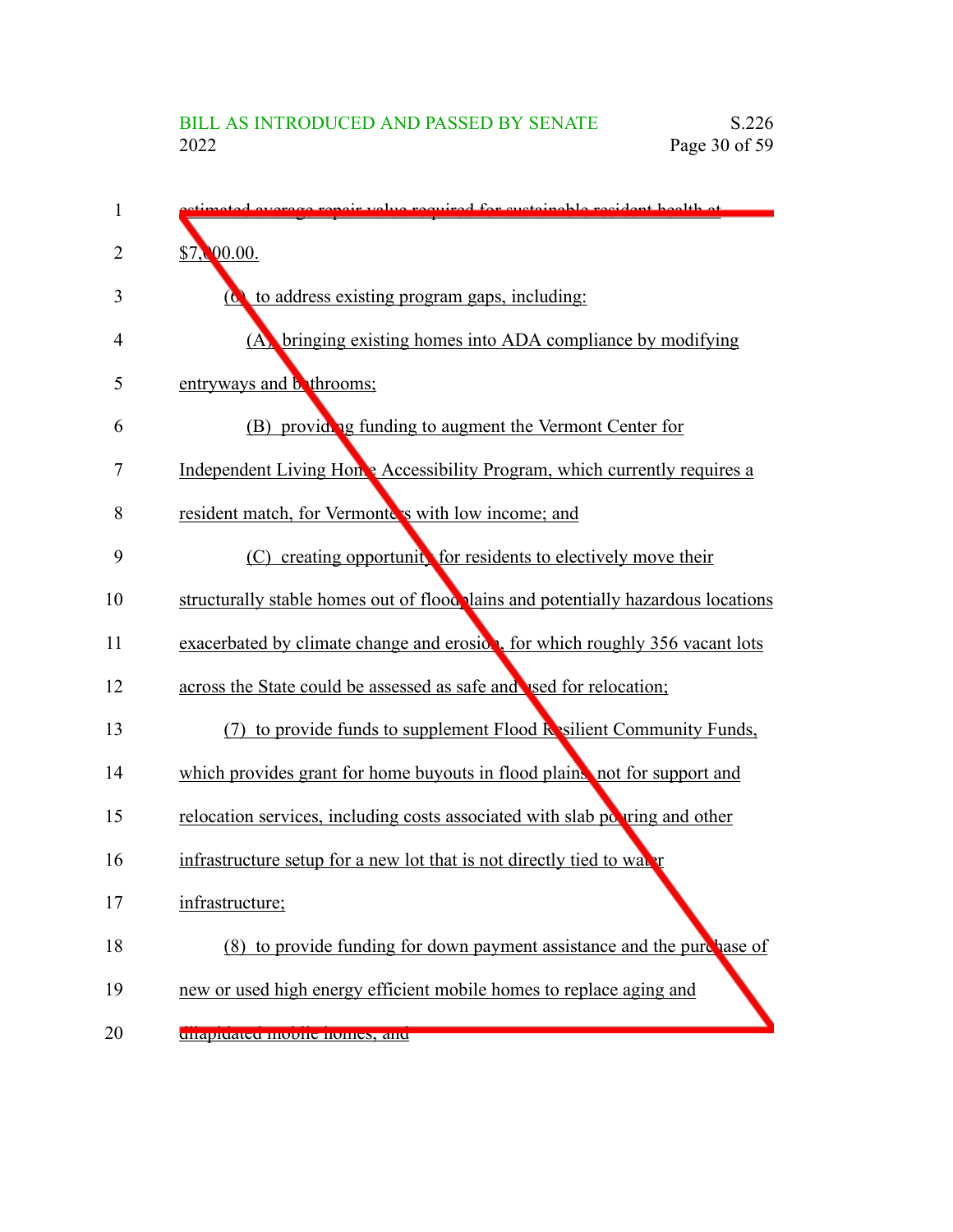| 1  | everges repair value required for quoteinable regident health at                  |
|----|-----------------------------------------------------------------------------------|
| 2  | \$7,00.00.                                                                        |
| 3  | to address existing program gaps, including:<br>$\boldsymbol{\sigma}$             |
| 4  | (A) bringing existing homes into ADA compliance by modifying                      |
| 5  | entryways and <b>b</b> throoms;                                                   |
| 6  | (B) providing funding to augment the Vermont Center for                           |
| 7  | Independent Living Home Accessibility Program, which currently requires a         |
| 8  | resident match, for Vermonte's with low income; and                               |
| 9  | (C) creating opportunity for residents to electively move their                   |
| 10 | structurally stable homes out of flood plains and potentially hazardous locations |
| 11 | exacerbated by climate change and erosion, for which roughly 356 vacant lots      |
| 12 | across the State could be assessed as safe and used for relocation;               |
| 13 | (7) to provide funds to supplement Flood $\mathbf k$ silient Community Funds,     |
| 14 | which provides grant for home buyouts in flood plains, not for support and        |
| 15 | relocation services, including costs associated with slab powring and other       |
| 16 | infrastructure setup for a new lot that is not directly tied to water             |
| 17 | infrastructure;                                                                   |
| 18 | (8) to provide funding for down payment assistance and the purchase of            |
| 19 | new or used high energy efficient mobile homes to replace aging and               |
| 20 | unapiuateu moone nomes, anu                                                       |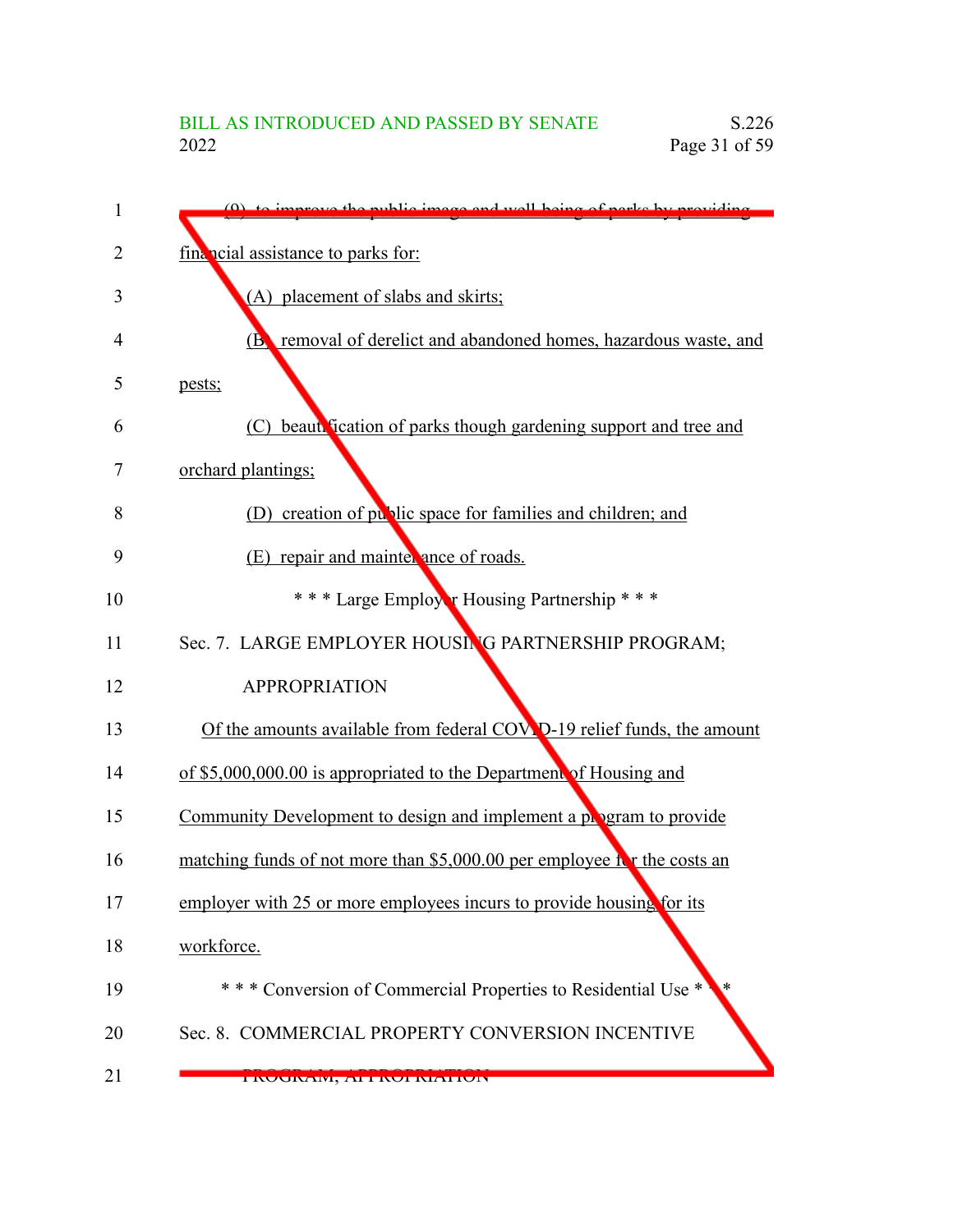| 1  | $(0)$ to improve the public image and well being of parks by providing  |
|----|-------------------------------------------------------------------------|
| 2  | financial assistance to parks for:                                      |
| 3  | (A) placement of slabs and skirts;                                      |
| 4  | removal of derelict and abandoned homes, hazardous waste, and<br>(B)    |
| 5  | pests;                                                                  |
| 6  | (C) beautrication of parks though gardening support and tree and        |
| 7  | orchard plantings;                                                      |
| 8  | (D) creation of public space for families and children; and             |
| 9  | (E) repair and mainter ance of roads.                                   |
| 10 | *** Large Employer Housing Partnership ***                              |
| 11 | Sec. 7. LARGE EMPLOYER HOUSING PARTNERSHIP PROGRAM;                     |
| 12 | <b>APPROPRIATION</b>                                                    |
| 13 | Of the amounts available from federal COV D-19 relief funds, the amount |
| 14 | of \$5,000,000.00 is appropriated to the Department of Housing and      |
| 15 | Community Development to design and implement a program to provide      |
| 16 | matching funds of not more than \$5,000.00 per employee it the costs an |
| 17 | employer with 25 or more employees incurs to provide housing for its    |
| 18 | workforce.                                                              |
| 19 | *** Conversion of Commercial Properties to Residential Use *            |
| 20 | Sec. 8. COMMERCIAL PROPERTY CONVERSION INCENTIVE                        |
| 21 | TINUUINAIVI, ATTINUI NIATIUIN                                           |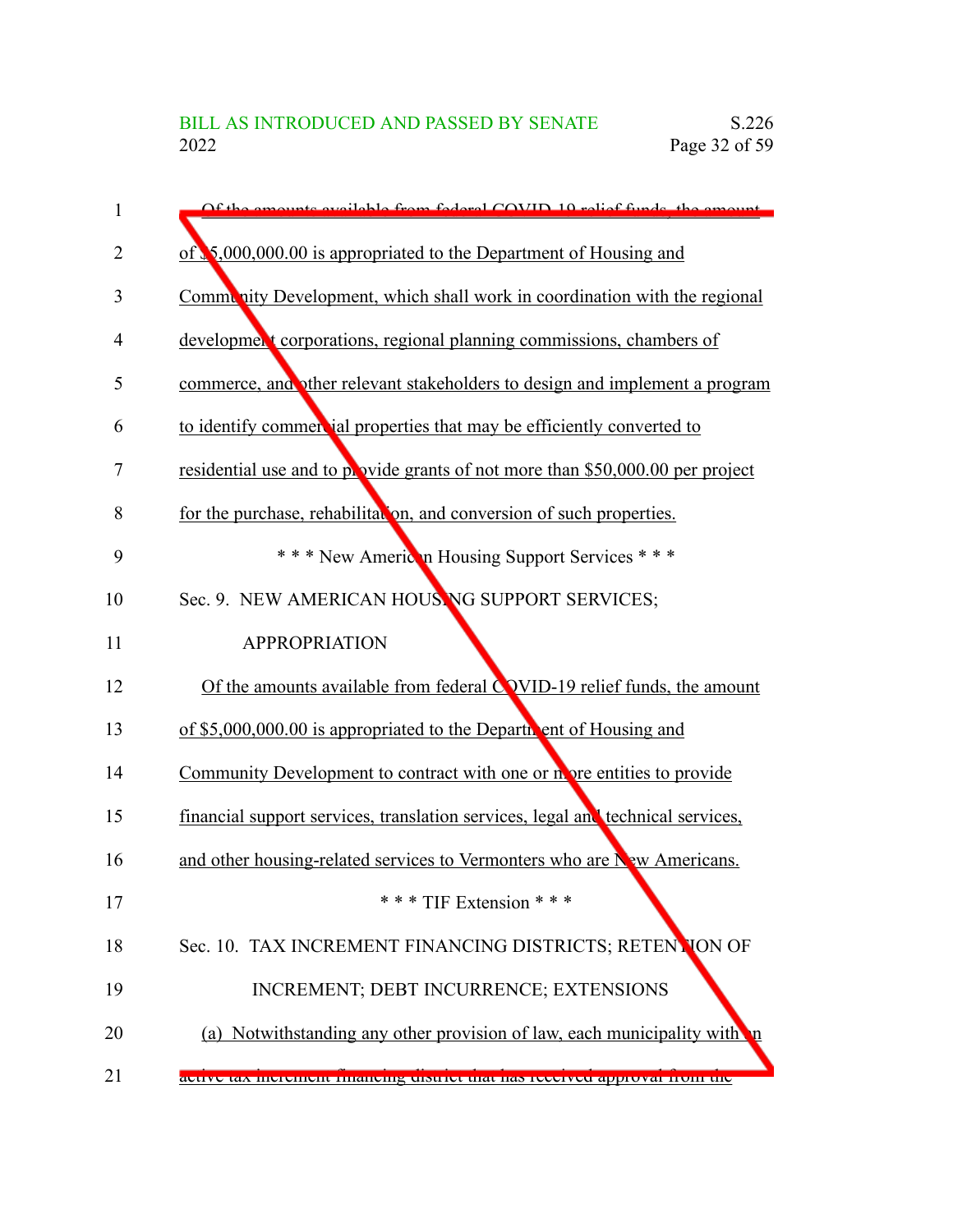| 1  | Of the emounts evoilable from foderal COVID 10 relief funds the emount          |
|----|---------------------------------------------------------------------------------|
| 2  | of $\sqrt{5,000,000.00}$ is appropriated to the Department of Housing and       |
| 3  | Community Development, which shall work in coordination with the regional       |
| 4  | development corporations, regional planning commissions, chambers of            |
| 5  | commerce, and other relevant stakeholders to design and implement a program     |
| 6  | to identify commercial properties that may be efficiently converted to          |
| 7  | residential use and to provide grants of not more than \$50,000.00 per project  |
| 8  | for the purchase, rehabilitation, and conversion of such properties.            |
| 9  | *** New American Housing Support Services ***                                   |
| 10 | Sec. 9. NEW AMERICAN HOUSING SUPPORT SERVICES;                                  |
| 11 | <b>APPROPRIATION</b>                                                            |
| 12 | Of the amounts available from federal $C$ VID-19 relief funds, the amount       |
| 13 | of \$5,000,000.00 is appropriated to the Departic ent of Housing and            |
| 14 | Community Development to contract with one or not over entities to provide      |
| 15 | financial support services, translation services, legal and technical services, |
| 16 | and other housing-related services to Vermonters who are New Americans.         |
| 17 | *** TIF Extension ***                                                           |
| 18 | Sec. 10. TAX INCREMENT FINANCING DISTRICTS; RETENTION OF                        |
| 19 | INCREMENT; DEBT INCURRENCE; EXTENSIONS                                          |
| 20 | (a) Notwithstanding any other provision of law, each municipality with          |
| 21 | active tax increment infancing uistrict that has received approval from the     |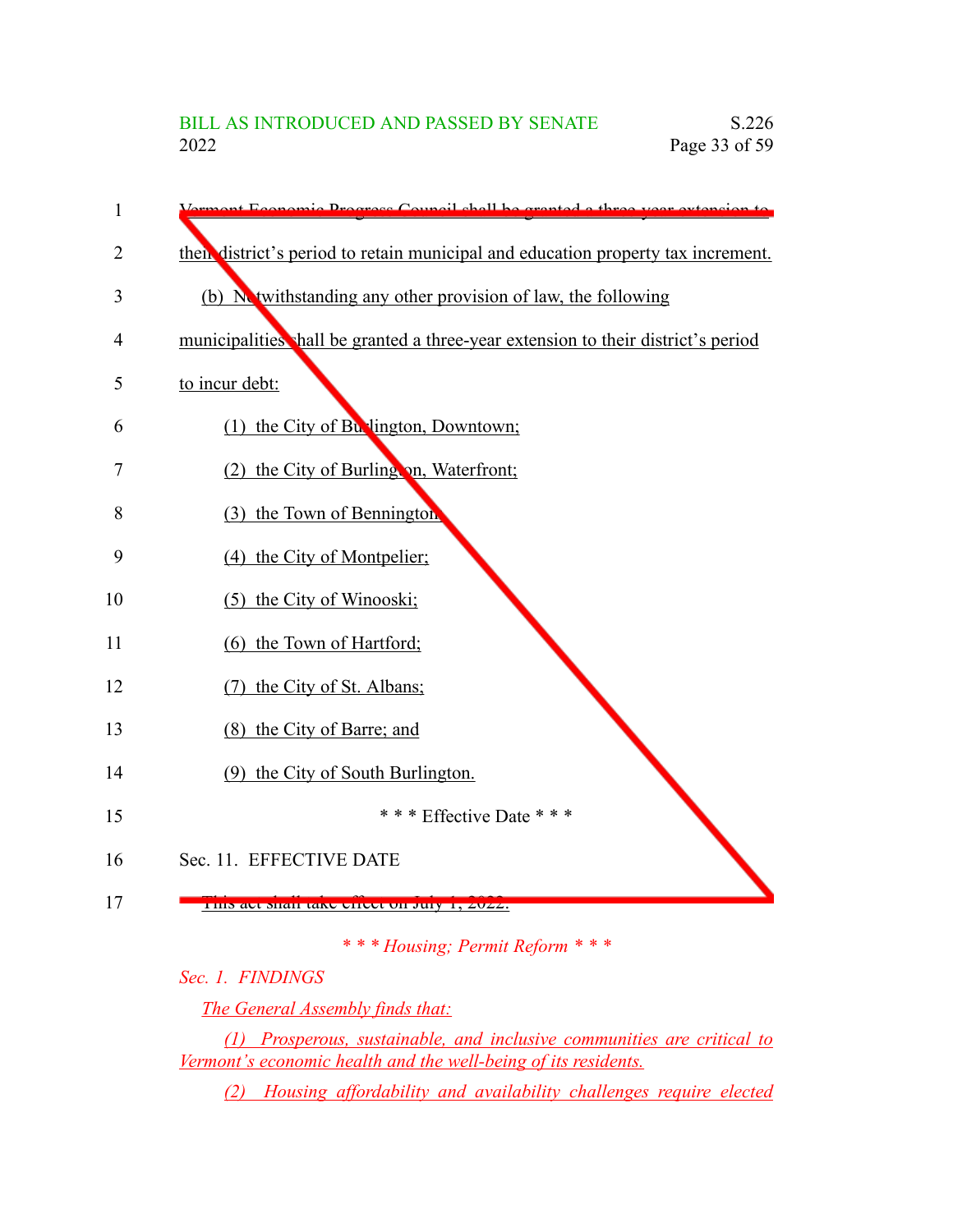| 1  | Economic Program Council shall be granted a three                                 |
|----|-----------------------------------------------------------------------------------|
| 2  | then district's period to retain municipal and education property tax increment.  |
| 3  | (b) Netwithstanding any other provision of law, the following                     |
| 4  | municipalities shall be granted a three-year extension to their district's period |
| 5  | to incur debt:                                                                    |
| 6  | (1) the City of Bu lington, Downtown;                                             |
| 7  | (2) the City of Burling on, Waterfront;                                           |
| 8  | (3) the Town of Bennington                                                        |
| 9  | (4) the City of Montpelier;                                                       |
| 10 | (5) the City of Winooski;                                                         |
| 11 | (6) the Town of Hartford;                                                         |
| 12 | the City of St. Albans;<br>(7)                                                    |
| 13 | (8) the City of Barre; and                                                        |
| 14 | (9) the City of South Burlington.                                                 |
| 15 | *** Effective Date ***                                                            |
| 16 | Sec. 11. EFFECTIVE DATE                                                           |
| 17 | THIS art shall take effect on July 1, 2022.                                       |

*\* \* \* Housing; Permit Reform \* \* \**

*Sec. 1. FINDINGS*

*The General Assembly finds that:*

*(1) Prosperous, sustainable, and inclusive communities are critical to Vermont's economic health and the well-being of its residents.*

*(2) Housing affordability and availability challenges require elected*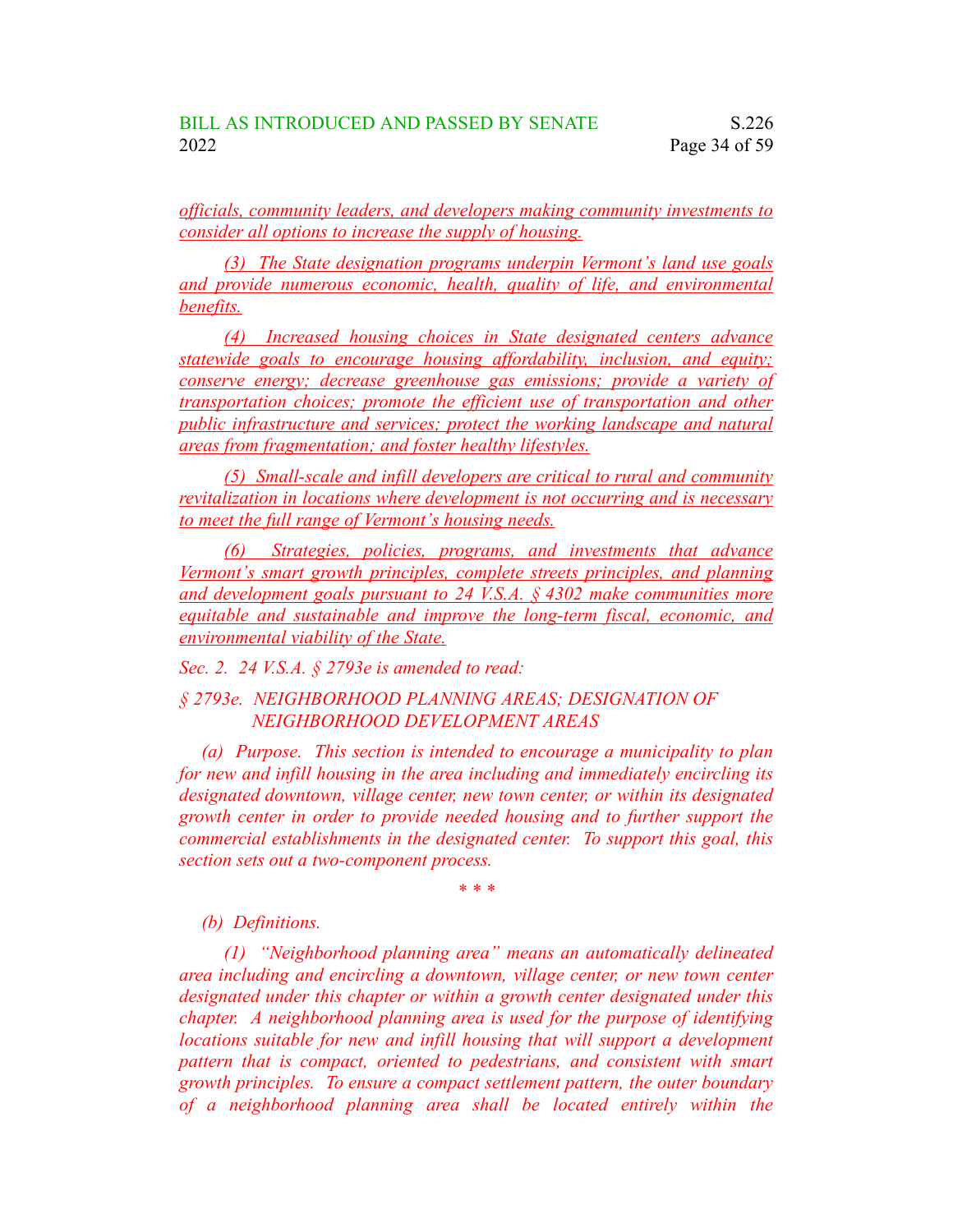*officials, community leaders, and developers making community investments to consider all options to increase the supply of housing.*

*(3) The State designation programs underpin Vermont's land use goals and provide numerous economic, health, quality of life, and environmental benefits.*

*(4) Increased housing choices in State designated centers advance statewide goals to encourage housing affordability, inclusion, and equity; conserve energy; decrease greenhouse gas emissions; provide a variety of transportation choices; promote the efficient use of transportation and other public infrastructure and services; protect the working landscape and natural areas from fragmentation; and foster healthy lifestyles.*

*(5) Small-scale and infill developers are critical to rural and community revitalization in locations where development is not occurring and is necessary to meet the full range of Vermont's housing needs.*

*(6) Strategies, policies, programs, and investments that advance Vermont's smart growth principles, complete streets principles, and planning and development goals pursuant to 24 V.S.A. § 4302 make communities more equitable and sustainable and improve the long-term fiscal, economic, and environmental viability of the State.*

*Sec. 2. 24 V.S.A. § 2793e is amended to read:*

*§ 2793e. NEIGHBORHOOD PLANNING AREAS; DESIGNATION OF NEIGHBORHOOD DEVELOPMENT AREAS*

*(a) Purpose. This section is intended to encourage a municipality to plan for new and infill housing in the area including and immediately encircling its designated downtown, village center, new town center, or within its designated growth center in order to provide needed housing and to further support the commercial establishments in the designated center. To support this goal, this section sets out a two-component process.*

*\* \* \**

### *(b) Definitions.*

*(1) "Neighborhood planning area" means an automatically delineated area including and encircling a downtown, village center, or new town center designated under this chapter or within a growth center designated under this chapter. A neighborhood planning area is used for the purpose of identifying locations suitable for new and infill housing that will support a development pattern that is compact, oriented to pedestrians, and consistent with smart growth principles. To ensure a compact settlement pattern, the outer boundary of a neighborhood planning area shall be located entirely within the*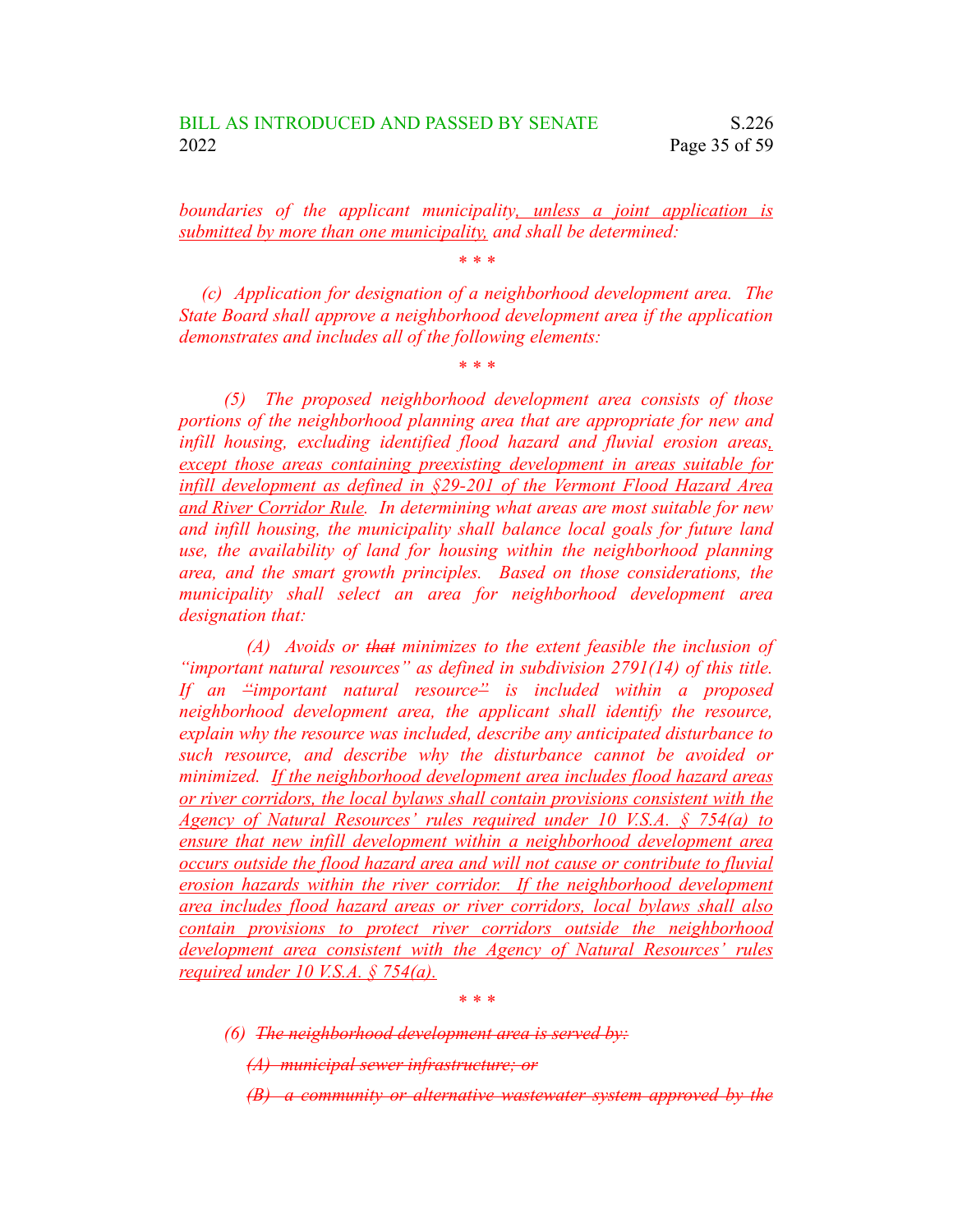*boundaries of the applicant municipality, unless a joint application is submitted by more than one municipality, and shall be determined:*

*\* \* \**

*(c) Application for designation of a neighborhood development area. The State Board shall approve a neighborhood development area if the application demonstrates and includes all of the following elements:*

*\* \* \**

*(5) The proposed neighborhood development area consists of those portions of the neighborhood planning area that are appropriate for new and infill housing, excluding identified flood hazard and fluvial erosion areas, except those areas containing preexisting development in areas suitable for infill development as defined in §29-201 of the Vermont Flood Hazard Area and River Corridor Rule. In determining what areas are most suitable for new and infill housing, the municipality shall balance local goals for future land use, the availability of land for housing within the neighborhood planning area, and the smart growth principles. Based on those considerations, the municipality shall select an area for neighborhood development area designation that:*

*(A) Avoids or that minimizes to the extent feasible the inclusion of "important natural resources" as defined in subdivision 2791(14) of this title. If an "important natural resource" is included within a proposed neighborhood development area, the applicant shall identify the resource, explain why the resource was included, describe any anticipated disturbance to such resource, and describe why the disturbance cannot be avoided or minimized. If the neighborhood development area includes flood hazard areas or river corridors, the local bylaws shall contain provisions consistent with the Agency of Natural Resources' rules required under 10 V.S.A. § 754(a) to ensure that new infill development within a neighborhood development area occurs outside the flood hazard area and will not cause or contribute to fluvial erosion hazards within the river corridor. If the neighborhood development area includes flood hazard areas or river corridors, local bylaws shall also contain provisions to protect river corridors outside the neighborhood development area consistent with the Agency of Natural Resources' rules required under 10 V.S.A. § 754(a).*

*\* \* \**

*(6) The neighborhood development area is served by:*

*(A) municipal sewer infrastructure; or*

*(B) a community or alternative wastewater system approved by the*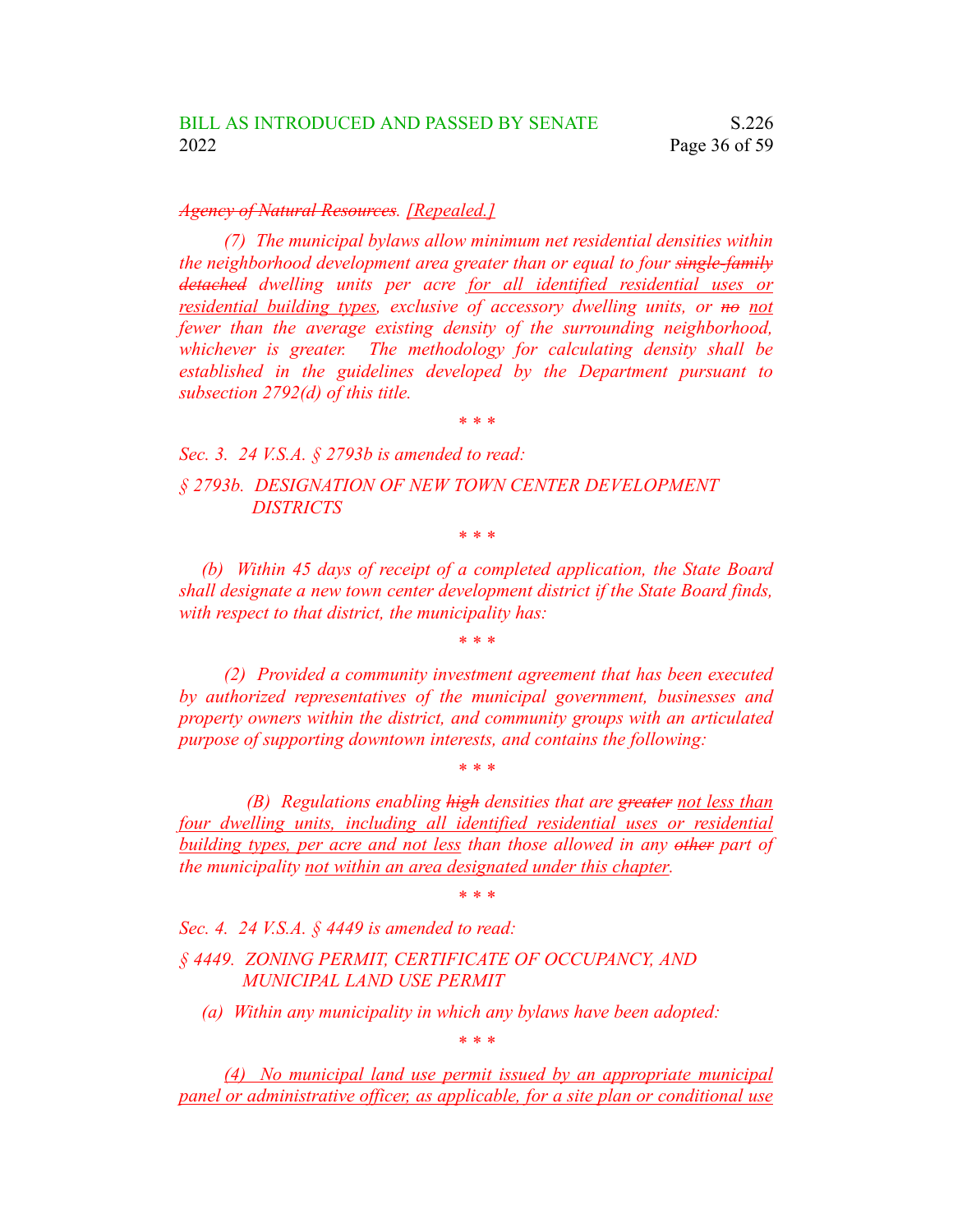#### *Agency of Natural Resources. [Repealed.]*

*(7) The municipal bylaws allow minimum net residential densities within the neighborhood development area greater than or equal to four single-family detached dwelling units per acre for all identified residential uses or residential building types, exclusive of accessory dwelling units, or no not fewer than the average existing density of the surrounding neighborhood, whichever is greater. The methodology for calculating density shall be established in the guidelines developed by the Department pursuant to subsection 2792(d) of this title.*

*\* \* \**

*Sec. 3. 24 V.S.A. § 2793b is amended to read: § 2793b. DESIGNATION OF NEW TOWN CENTER DEVELOPMENT DISTRICTS*

*\* \* \**

*(b) Within 45 days of receipt of a completed application, the State Board shall designate a new town center development district if the State Board finds, with respect to that district, the municipality has:*

*\* \* \**

*(2) Provided a community investment agreement that has been executed by authorized representatives of the municipal government, businesses and property owners within the district, and community groups with an articulated purpose of supporting downtown interests, and contains the following:*

*(B) Regulations enabling high densities that are greater not less than four dwelling units, including all identified residential uses or residential building types, per acre and not less than those allowed in any other part of the municipality not within an area designated under this chapter.*

*\* \* \**

*\* \* \**

*Sec. 4. 24 V.S.A. § 4449 is amended to read:*

*§ 4449. ZONING PERMIT, CERTIFICATE OF OCCUPANCY, AND MUNICIPAL LAND USE PERMIT*

*(a) Within any municipality in which any bylaws have been adopted:*

*\* \* \**

*(4) No municipal land use permit issued by an appropriate municipal panel or administrative officer, as applicable, for a site plan or conditional use*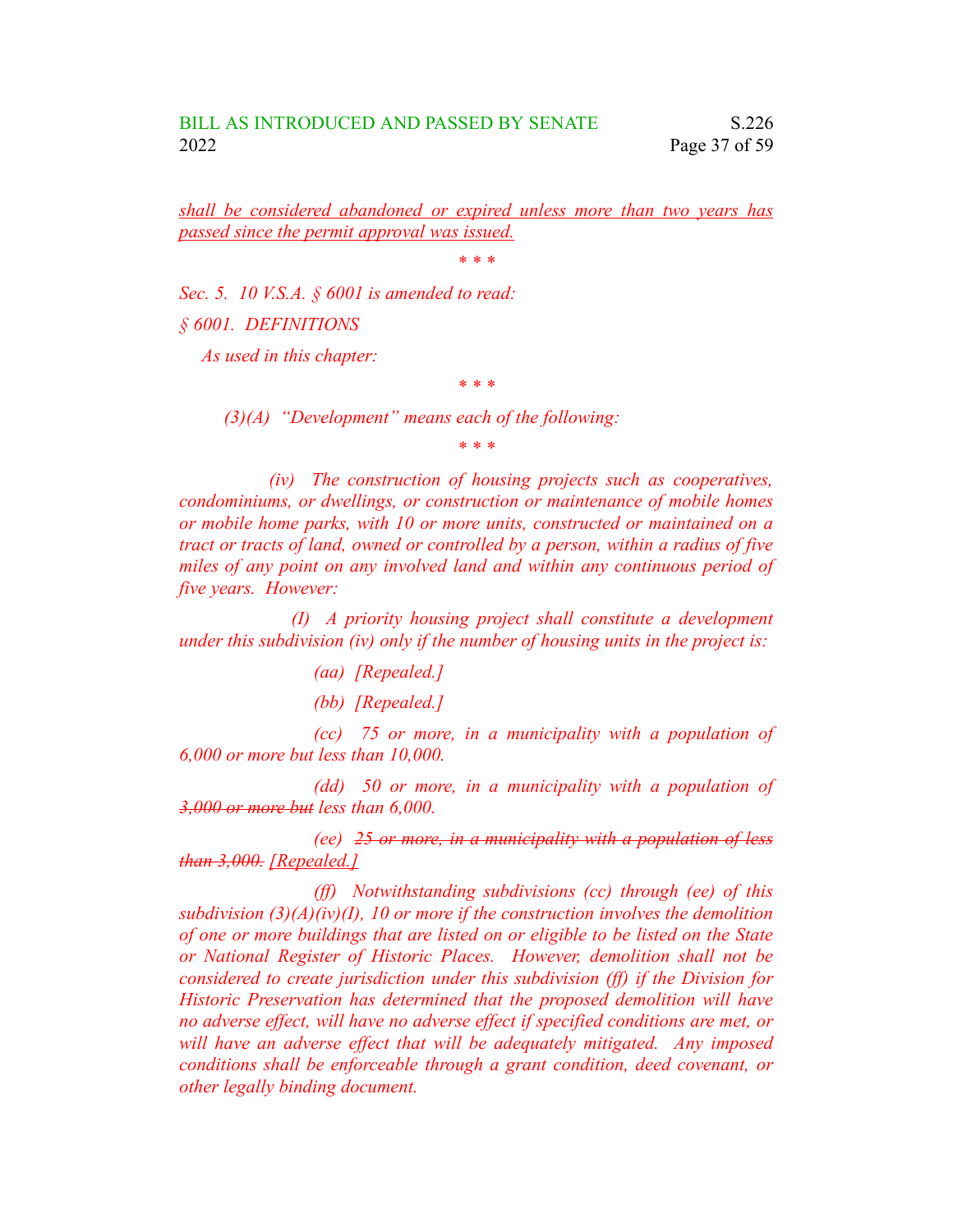*shall be considered abandoned or expired unless more than two years has passed since the permit approval was issued.*

*\* \* \**

*Sec. 5. 10 V.S.A. § 6001 is amended to read:*

*§ 6001. DEFINITIONS*

*As used in this chapter:*

*(3)(A) "Development" means each of the following:*

*\* \* \**

*\* \* \**

*(iv) The construction of housing projects such as cooperatives, condominiums, or dwellings, or construction or maintenance of mobile homes or mobile home parks, with 10 or more units, constructed or maintained on a tract or tracts of land, owned or controlled by a person, within a radius of five miles of any point on any involved land and within any continuous period of five years. However:*

*(I) A priority housing project shall constitute a development under this subdivision (iv) only if the number of housing units in the project is:*

*(aa) [Repealed.]*

*(bb) [Repealed.]*

*(cc) 75 or more, in a municipality with a population of 6,000 or more but less than 10,000.*

*(dd) 50 or more, in a municipality with a population of 3,000 or more but less than 6,000.*

*(ee) 25 or more, in a municipality with a population of less than 3,000. [Repealed.]*

*(ff) Notwithstanding subdivisions (cc) through (ee) of this subdivision (3)(A)(iv)(I), 10 or more if the construction involves the demolition of one or more buildings that are listed on or eligible to be listed on the State or National Register of Historic Places. However, demolition shall not be considered to create jurisdiction under this subdivision (ff) if the Division for Historic Preservation has determined that the proposed demolition will have no adverse effect, will have no adverse effect if specified conditions are met, or will have an adverse effect that will be adequately mitigated. Any imposed conditions shall be enforceable through a grant condition, deed covenant, or other legally binding document.*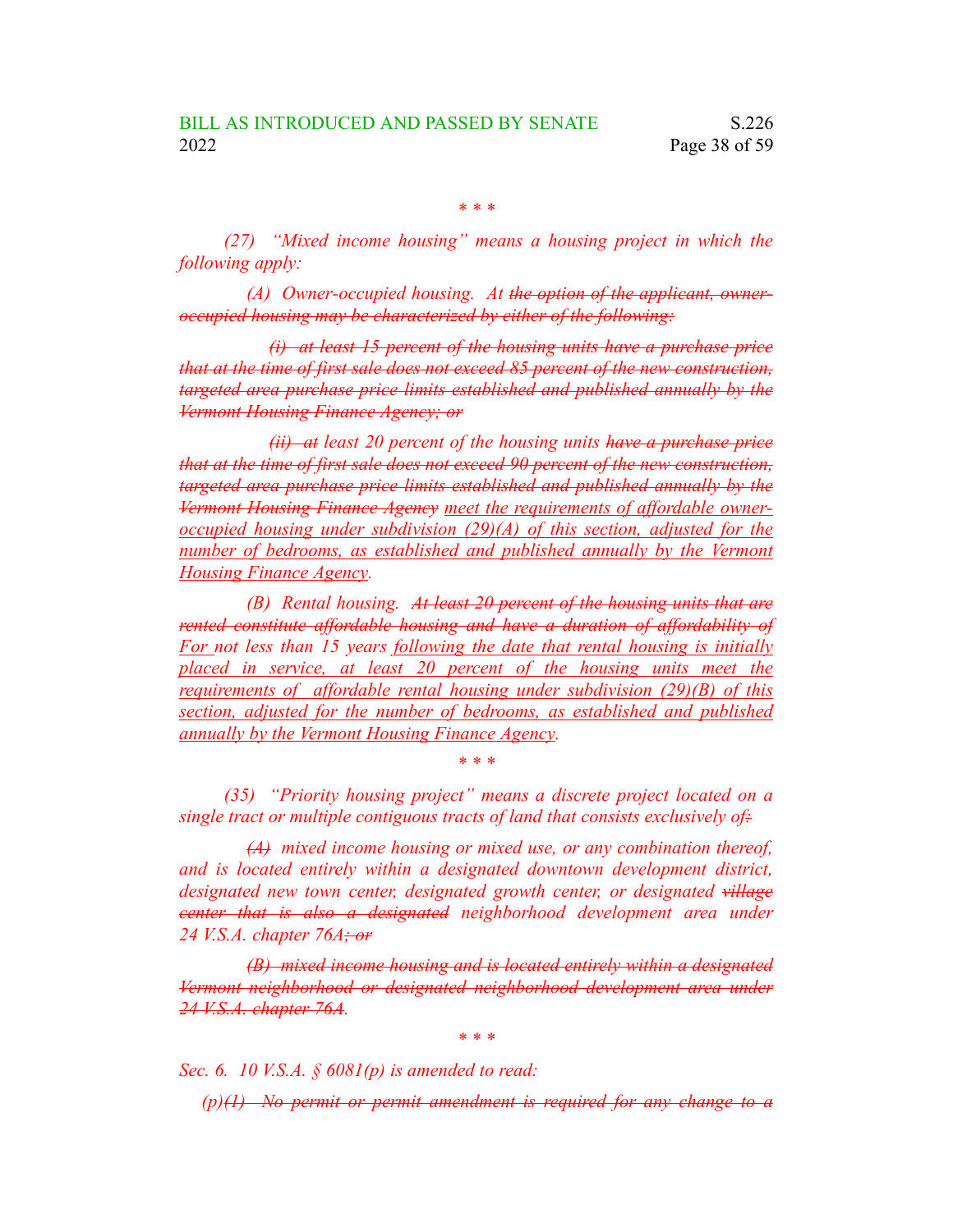*\* \* \**

*(27) "Mixed income housing" means a housing project in which the following apply:*

*(A) Owner-occupied housing. At the option of the applicant, owneroccupied housing may be characterized by either of the following:*

*(i) at least 15 percent of the housing units have a purchase price that at the time of first sale does not exceed 85 percent of the new construction, targeted area purchase price limits established and published annually by the Vermont Housing Finance Agency; or*

*(ii) at least 20 percent of the housing units have a purchase price that at the time of first sale does not exceed 90 percent of the new construction, targeted area purchase price limits established and published annually by the Vermont Housing Finance Agency meet the requirements of affordable owneroccupied housing under subdivision (29)(A) of this section, adjusted for the number of bedrooms, as established and published annually by the Vermont Housing Finance Agency.*

*(B) Rental housing. At least 20 percent of the housing units that are rented constitute affordable housing and have a duration of affordability of For not less than 15 years following the date that rental housing is initially placed in service, at least 20 percent of the housing units meet the requirements of affordable rental housing under subdivision (29)(B) of this section, adjusted for the number of bedrooms, as established and published annually by the Vermont Housing Finance Agency.*

*(35) "Priority housing project" means a discrete project located on a single tract or multiple contiguous tracts of land that consists exclusively of:*

*\* \* \**

*(A) mixed income housing or mixed use, or any combination thereof, and is located entirely within a designated downtown development district, designated new town center, designated growth center, or designated village center that is also a designated neighborhood development area under 24 V.S.A. chapter 76A; or*

*(B) mixed income housing and is located entirely within a designated Vermont neighborhood or designated neighborhood development area under 24 V.S.A. chapter 76A.*

*\* \* \**

*Sec. 6. 10 V.S.A. § 6081(p) is amended to read:*

*(p)(1) No permit or permit amendment is required for any change to a*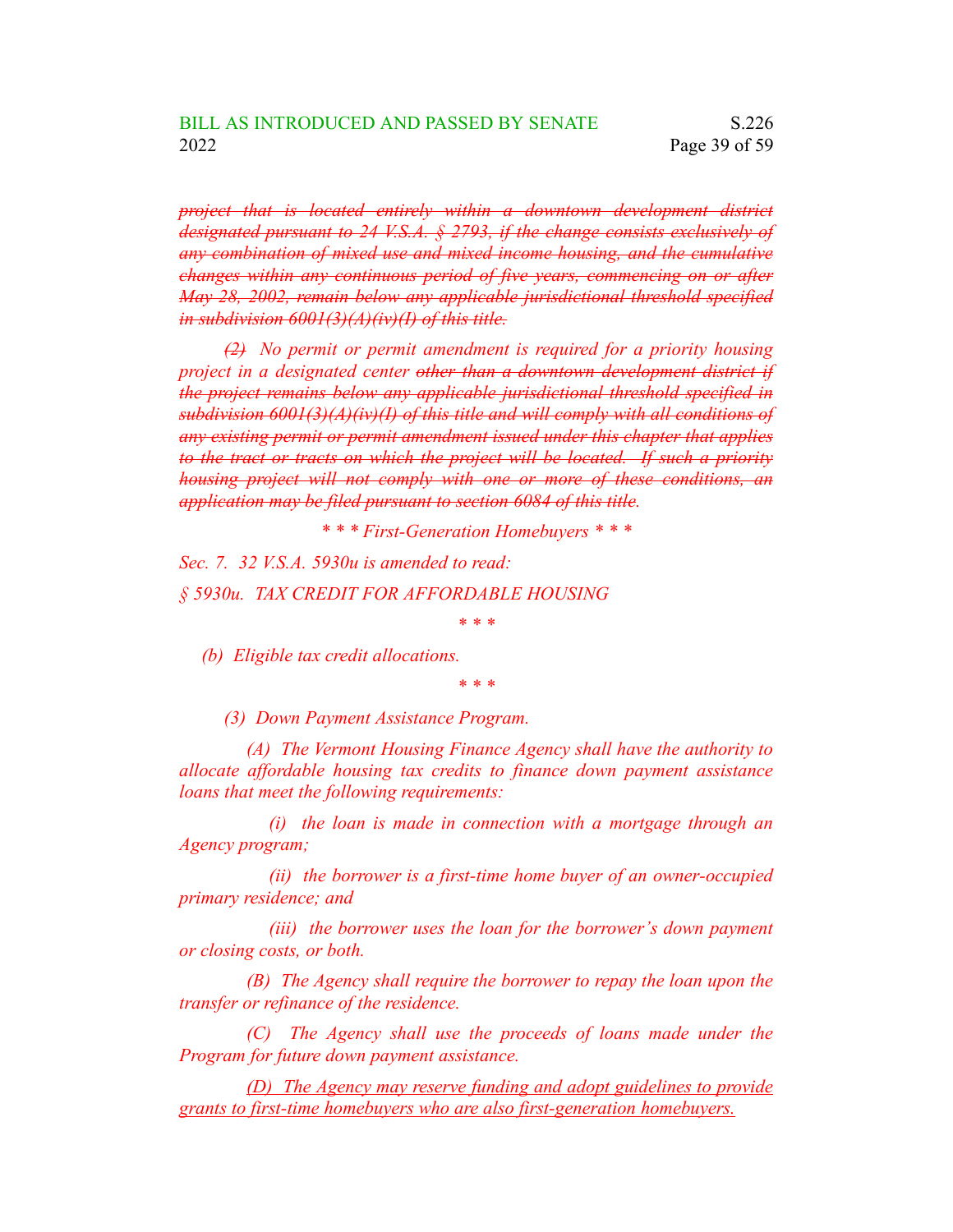*project that is located entirely within a downtown development district designated pursuant to 24 V.S.A. § 2793, if the change consists exclusively of any combination of mixed use and mixed income housing, and the cumulative changes within any continuous period of five years, commencing on or after May 28, 2002, remain below any applicable jurisdictional threshold specified in subdivision 6001(3)(A)(iv)(I) of this title.*

*(2) No permit or permit amendment is required for a priority housing project in a designated center other than a downtown development district if the project remains below any applicable jurisdictional threshold specified in subdivision 6001(3)(A)(iv)(I) of this title and will comply with all conditions of any existing permit or permit amendment issued under this chapter that applies to the tract or tracts on which the project will be located. If such a priority housing project will not comply with one or more of these conditions, an application may be filed pursuant to section 6084 of this title.*

*\* \* \* First-Generation Homebuyers \* \* \**

*Sec. 7. 32 V.S.A. 5930u is amended to read: § 5930u. TAX CREDIT FOR AFFORDABLE HOUSING*

*\* \* \**

*(b) Eligible tax credit allocations.*

*\* \* \**

*(3) Down Payment Assistance Program.*

*(A) The Vermont Housing Finance Agency shall have the authority to allocate affordable housing tax credits to finance down payment assistance loans that meet the following requirements:*

*(i) the loan is made in connection with a mortgage through an Agency program;*

*(ii) the borrower is a first-time home buyer of an owner-occupied primary residence; and*

*(iii) the borrower uses the loan for the borrower's down payment or closing costs, or both.*

*(B) The Agency shall require the borrower to repay the loan upon the transfer or refinance of the residence.*

*(C) The Agency shall use the proceeds of loans made under the Program for future down payment assistance.*

*(D) The Agency may reserve funding and adopt guidelines to provide grants to first-time homebuyers who are also first-generation homebuyers.*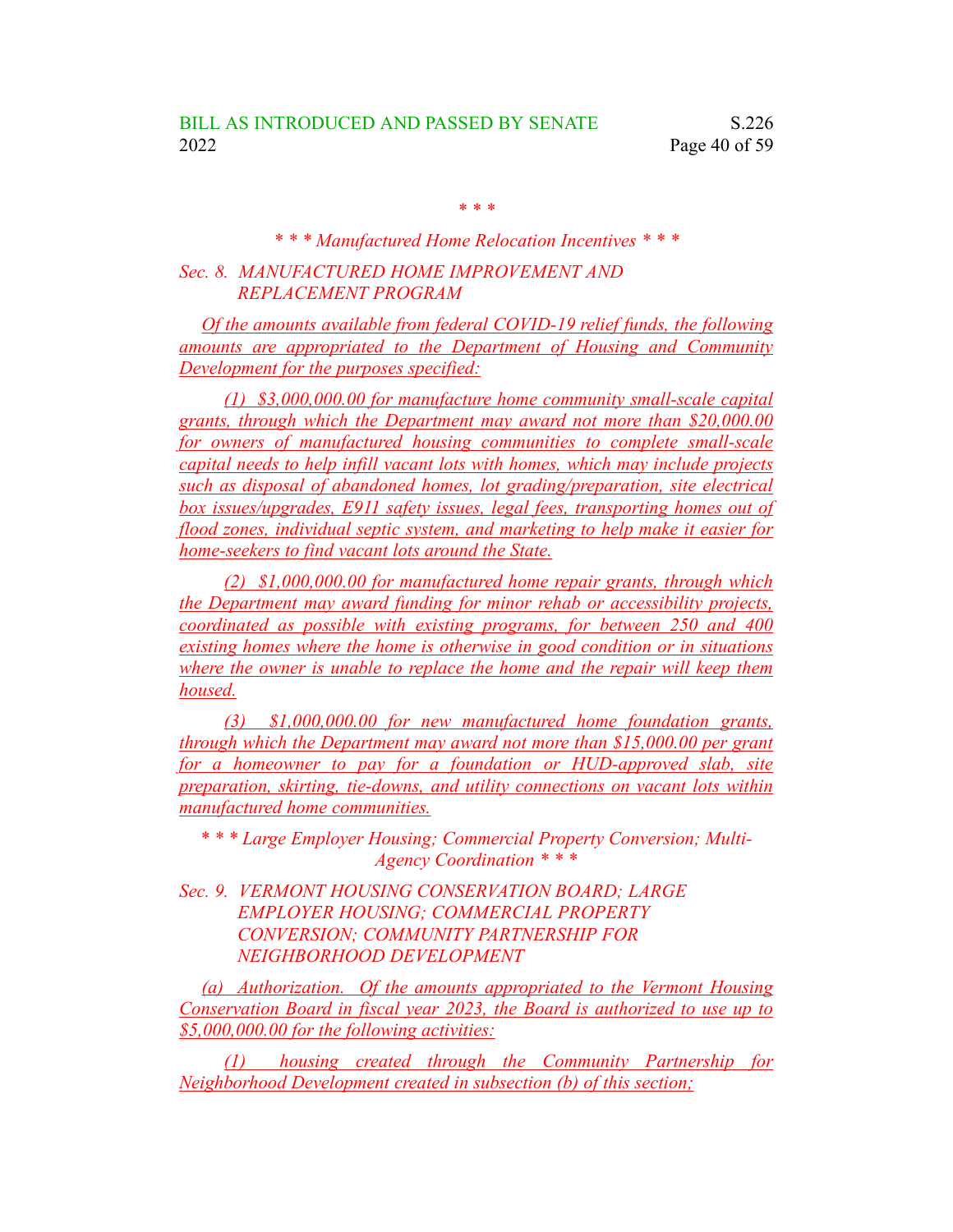*\* \* \**

# *\* \* \* Manufactured Home Relocation Incentives \* \* \* Sec. 8. MANUFACTURED HOME IMPROVEMENT AND REPLACEMENT PROGRAM*

*Of the amounts available from federal COVID-19 relief funds, the following amounts are appropriated to the Department of Housing and Community Development for the purposes specified:*

*(1) \$3,000,000.00 for manufacture home community small-scale capital grants, through which the Department may award not more than \$20,000.00 for owners of manufactured housing communities to complete small-scale capital needs to help infill vacant lots with homes, which may include projects such as disposal of abandoned homes, lot grading/preparation, site electrical box issues/upgrades, E911 safety issues, legal fees, transporting homes out of flood zones, individual septic system, and marketing to help make it easier for home-seekers to find vacant lots around the State.*

*(2) \$1,000,000.00 for manufactured home repair grants, through which the Department may award funding for minor rehab or accessibility projects, coordinated as possible with existing programs, for between 250 and 400 existing homes where the home is otherwise in good condition or in situations where the owner is unable to replace the home and the repair will keep them housed.*

*(3) \$1,000,000.00 for new manufactured home foundation grants, through which the Department may award not more than \$15,000.00 per grant for a homeowner to pay for a foundation or HUD-approved slab, site preparation, skirting, tie-downs, and utility connections on vacant lots within manufactured home communities.*

*\* \* \* Large Employer Housing; Commercial Property Conversion; Multi-Agency Coordination \* \* \**

*Sec. 9. VERMONT HOUSING CONSERVATION BOARD; LARGE EMPLOYER HOUSING; COMMERCIAL PROPERTY CONVERSION; COMMUNITY PARTNERSHIP FOR NEIGHBORHOOD DEVELOPMENT*

*(a) Authorization. Of the amounts appropriated to the Vermont Housing Conservation Board in fiscal year 2023, the Board is authorized to use up to \$5,000,000.00 for the following activities:*

*(1) housing created through the Community Partnership for Neighborhood Development created in subsection (b) of this section;*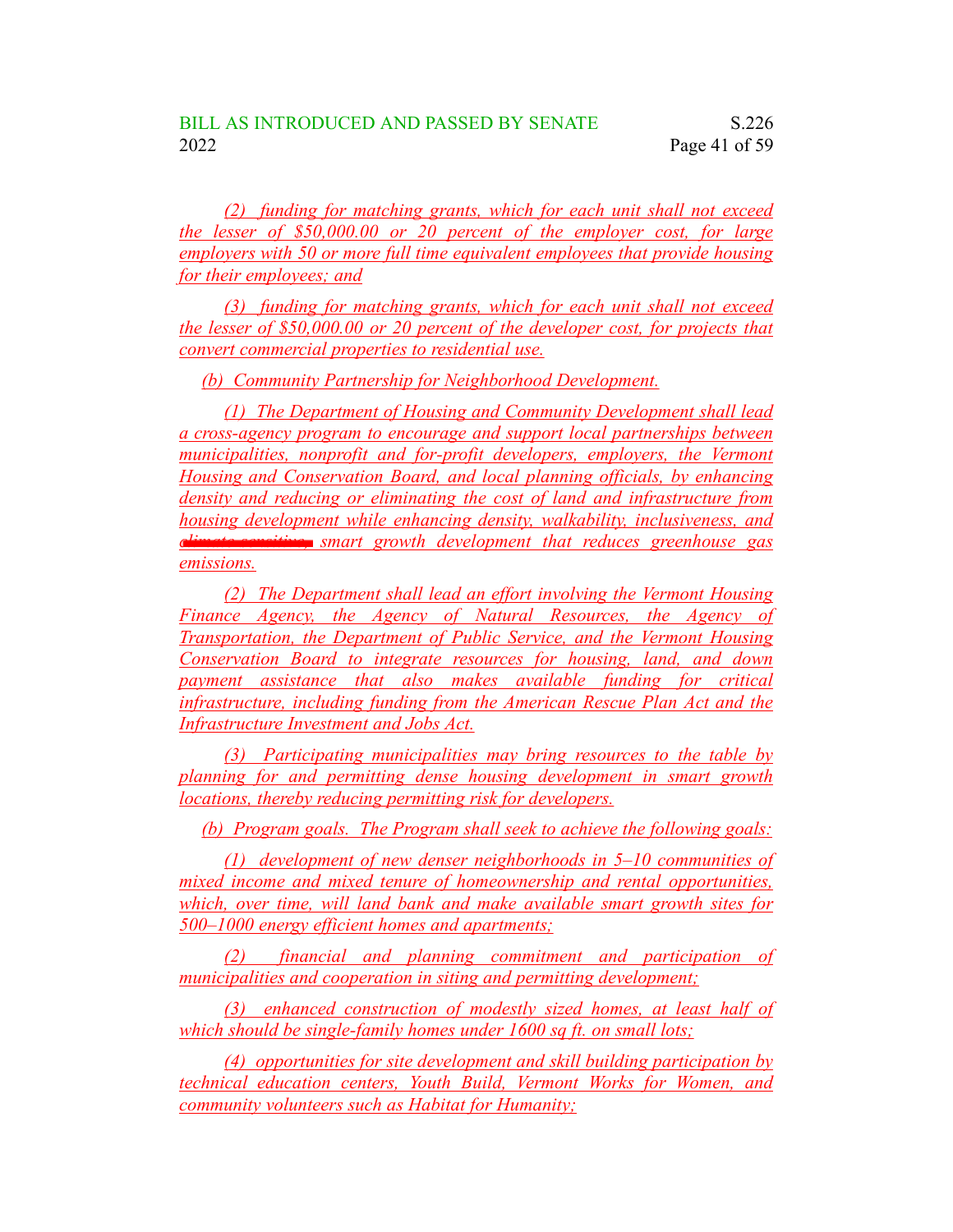*(2) funding for matching grants, which for each unit shall not exceed the lesser of \$50,000.00 or 20 percent of the employer cost, for large employers with 50 or more full time equivalent employees that provide housing for their employees; and*

*(3) funding for matching grants, which for each unit shall not exceed the lesser of \$50,000.00 or 20 percent of the developer cost, for projects that convert commercial properties to residential use.*

*(b) Community Partnership for Neighborhood Development.*

*(1) The Department of Housing and Community Development shall lead a cross-agency program to encourage and support local partnerships between municipalities, nonprofit and for-profit developers, employers, the Vermont Housing and Conservation Board, and local planning officials, by enhancing density and reducing or eliminating the cost of land and infrastructure from housing development while enhancing density, walkability, inclusiveness, and climate-sensitive, smart growth development that reduces greenhouse gas emissions.*

*(2) The Department shall lead an effort involving the Vermont Housing Finance Agency, the Agency of Natural Resources, the Agency of Transportation, the Department of Public Service, and the Vermont Housing Conservation Board to integrate resources for housing, land, and down payment assistance that also makes available funding for critical infrastructure, including funding from the American Rescue Plan Act and the Infrastructure Investment and Jobs Act.*

*(3) Participating municipalities may bring resources to the table by planning for and permitting dense housing development in smart growth locations, thereby reducing permitting risk for developers.*

*(b) Program goals. The Program shall seek to achieve the following goals:*

*(1) development of new denser neighborhoods in 5–10 communities of mixed income and mixed tenure of homeownership and rental opportunities, which, over time, will land bank and make available smart growth sites for 500–1000 energy efficient homes and apartments;*

*(2) financial and planning commitment and participation of municipalities and cooperation in siting and permitting development;*

*(3) enhanced construction of modestly sized homes, at least half of which should be single-family homes under 1600 sq ft. on small lots;*

*(4) opportunities for site development and skill building participation by technical education centers, Youth Build, Vermont Works for Women, and community volunteers such as Habitat for Humanity;*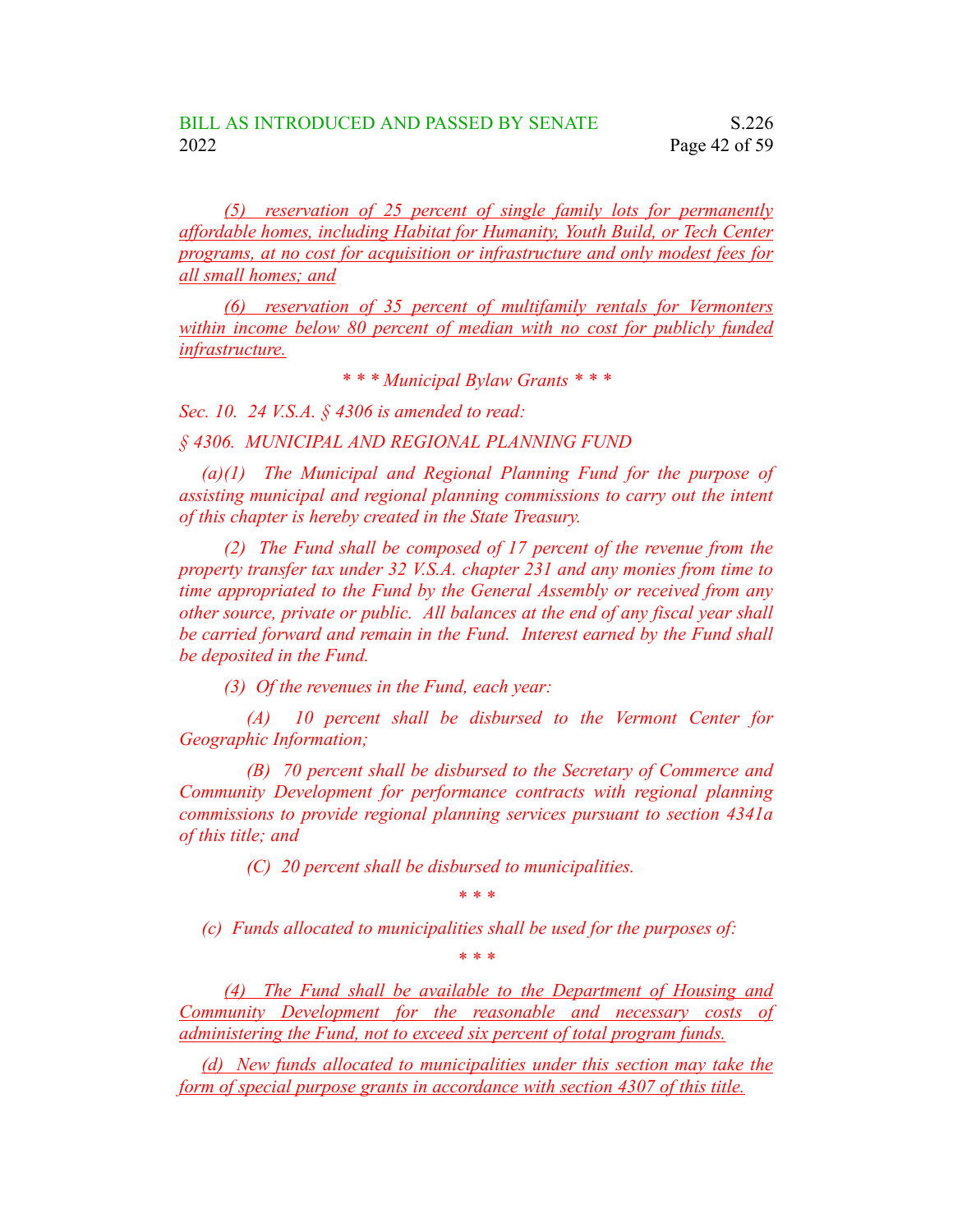*(5) reservation of 25 percent of single family lots for permanently affordable homes, including Habitat for Humanity, Youth Build, or Tech Center programs, at no cost for acquisition or infrastructure and only modest fees for all small homes; and*

*(6) reservation of 35 percent of multifamily rentals for Vermonters within income below 80 percent of median with no cost for publicly funded infrastructure.*

*\* \* \* Municipal Bylaw Grants \* \* \**

*Sec. 10. 24 V.S.A. § 4306 is amended to read:*

*§ 4306. MUNICIPAL AND REGIONAL PLANNING FUND*

*(a)(1) The Municipal and Regional Planning Fund for the purpose of assisting municipal and regional planning commissions to carry out the intent of this chapter is hereby created in the State Treasury.*

*(2) The Fund shall be composed of 17 percent of the revenue from the property transfer tax under 32 V.S.A. chapter 231 and any monies from time to time appropriated to the Fund by the General Assembly or received from any other source, private or public. All balances at the end of any fiscal year shall be carried forward and remain in the Fund. Interest earned by the Fund shall be deposited in the Fund.*

*(3) Of the revenues in the Fund, each year:*

*(A) 10 percent shall be disbursed to the Vermont Center for Geographic Information;*

*(B) 70 percent shall be disbursed to the Secretary of Commerce and Community Development for performance contracts with regional planning commissions to provide regional planning services pursuant to section 4341a of this title; and*

*(C) 20 percent shall be disbursed to municipalities.*

*(c) Funds allocated to municipalities shall be used for the purposes of:*

*\* \* \**

*\* \* \**

*(4) The Fund shall be available to the Department of Housing and Community Development for the reasonable and necessary costs of administering the Fund, not to exceed six percent of total program funds.*

*(d) New funds allocated to municipalities under this section may take the form of special purpose grants in accordance with section 4307 of this title.*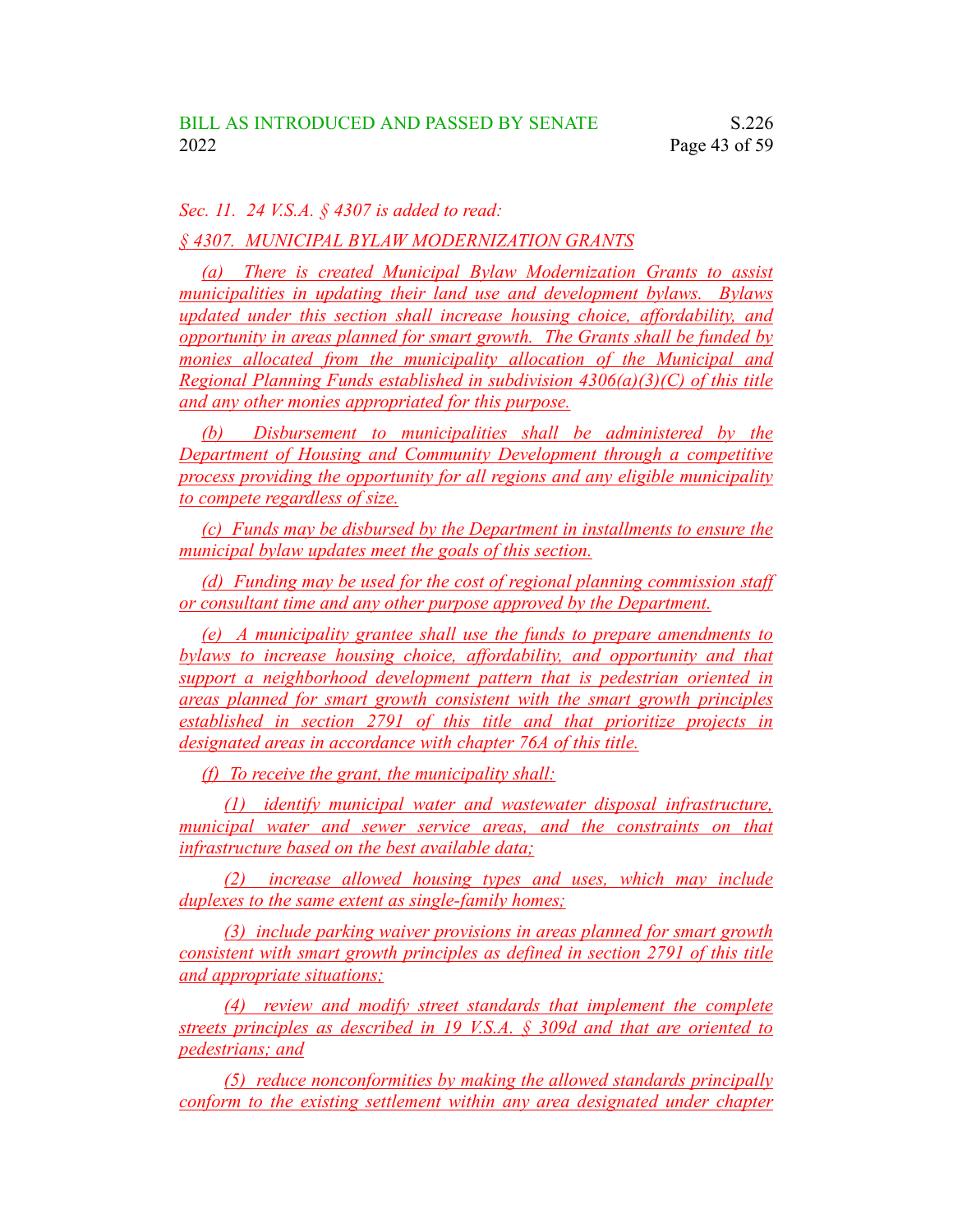*Sec. 11. 24 V.S.A. § 4307 is added to read:*

*§ 4307. MUNICIPAL BYLAW MODERNIZATION GRANTS*

*(a) There is created Municipal Bylaw Modernization Grants to assist municipalities in updating their land use and development bylaws. Bylaws updated under this section shall increase housing choice, affordability, and opportunity in areas planned for smart growth. The Grants shall be funded by monies allocated from the municipality allocation of the Municipal and Regional Planning Funds established in subdivision 4306(a)(3)(C) of this title and any other monies appropriated for this purpose.*

*(b) Disbursement to municipalities shall be administered by the Department of Housing and Community Development through a competitive process providing the opportunity for all regions and any eligible municipality to compete regardless of size.*

*(c) Funds may be disbursed by the Department in installments to ensure the municipal bylaw updates meet the goals of this section.*

*(d) Funding may be used for the cost of regional planning commission staff or consultant time and any other purpose approved by the Department.*

*(e) A municipality grantee shall use the funds to prepare amendments to bylaws to increase housing choice, affordability, and opportunity and that support a neighborhood development pattern that is pedestrian oriented in areas planned for smart growth consistent with the smart growth principles established in section 2791 of this title and that prioritize projects in designated areas in accordance with chapter 76A of this title.*

*(f) To receive the grant, the municipality shall:*

*(1) identify municipal water and wastewater disposal infrastructure, municipal water and sewer service areas, and the constraints on that infrastructure based on the best available data;*

*(2) increase allowed housing types and uses, which may include duplexes to the same extent as single-family homes;*

*(3) include parking waiver provisions in areas planned for smart growth consistent with smart growth principles as defined in section 2791 of this title and appropriate situations;*

*(4) review and modify street standards that implement the complete streets principles as described in 19 V.S.A. § 309d and that are oriented to pedestrians; and*

*(5) reduce nonconformities by making the allowed standards principally conform to the existing settlement within any area designated under chapter*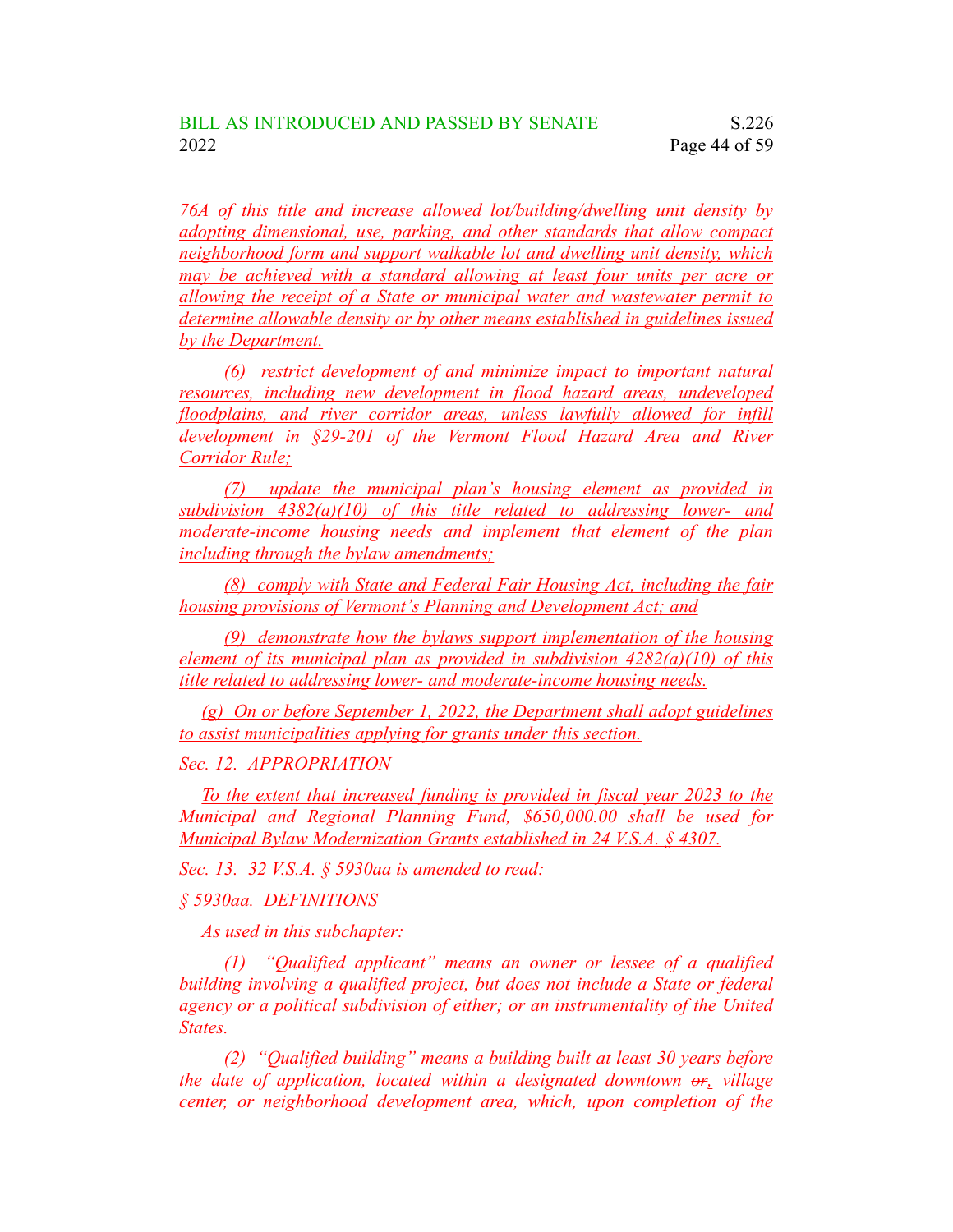*76A of this title and increase allowed lot/building/dwelling unit density by adopting dimensional, use, parking, and other standards that allow compact neighborhood form and support walkable lot and dwelling unit density, which may be achieved with a standard allowing at least four units per acre or allowing the receipt of a State or municipal water and wastewater permit to determine allowable density or by other means established in guidelines issued by the Department.*

*(6) restrict development of and minimize impact to important natural resources, including new development in flood hazard areas, undeveloped floodplains, and river corridor areas, unless lawfully allowed for infill development in §29-201 of the Vermont Flood Hazard Area and River Corridor Rule;*

*(7) update the municipal plan's housing element as provided in subdivision 4382(a)(10) of this title related to addressing lower- and moderate-income housing needs and implement that element of the plan including through the bylaw amendments;*

*(8) comply with State and Federal Fair Housing Act, including the fair housing provisions of Vermont's Planning and Development Act; and*

*(9) demonstrate how the bylaws support implementation of the housing element of its municipal plan as provided in subdivision 4282(a)(10) of this title related to addressing lower- and moderate-income housing needs.*

*(g) On or before September 1, 2022, the Department shall adopt guidelines to assist municipalities applying for grants under this section.*

*Sec. 12. APPROPRIATION*

*To the extent that increased funding is provided in fiscal year 2023 to the Municipal and Regional Planning Fund, \$650,000.00 shall be used for Municipal Bylaw Modernization Grants established in 24 V.S.A. § 4307.*

*Sec. 13. 32 V.S.A. § 5930aa is amended to read:*

*§ 5930aa. DEFINITIONS*

*As used in this subchapter:*

*(1) "Qualified applicant" means an owner or lessee of a qualified building involving a qualified project, but does not include a State or federal agency or a political subdivision of either; or an instrumentality of the United States.*

*(2) "Qualified building" means a building built at least 30 years before the date of application, located within a designated downtown or, village center, or neighborhood development area, which, upon completion of the*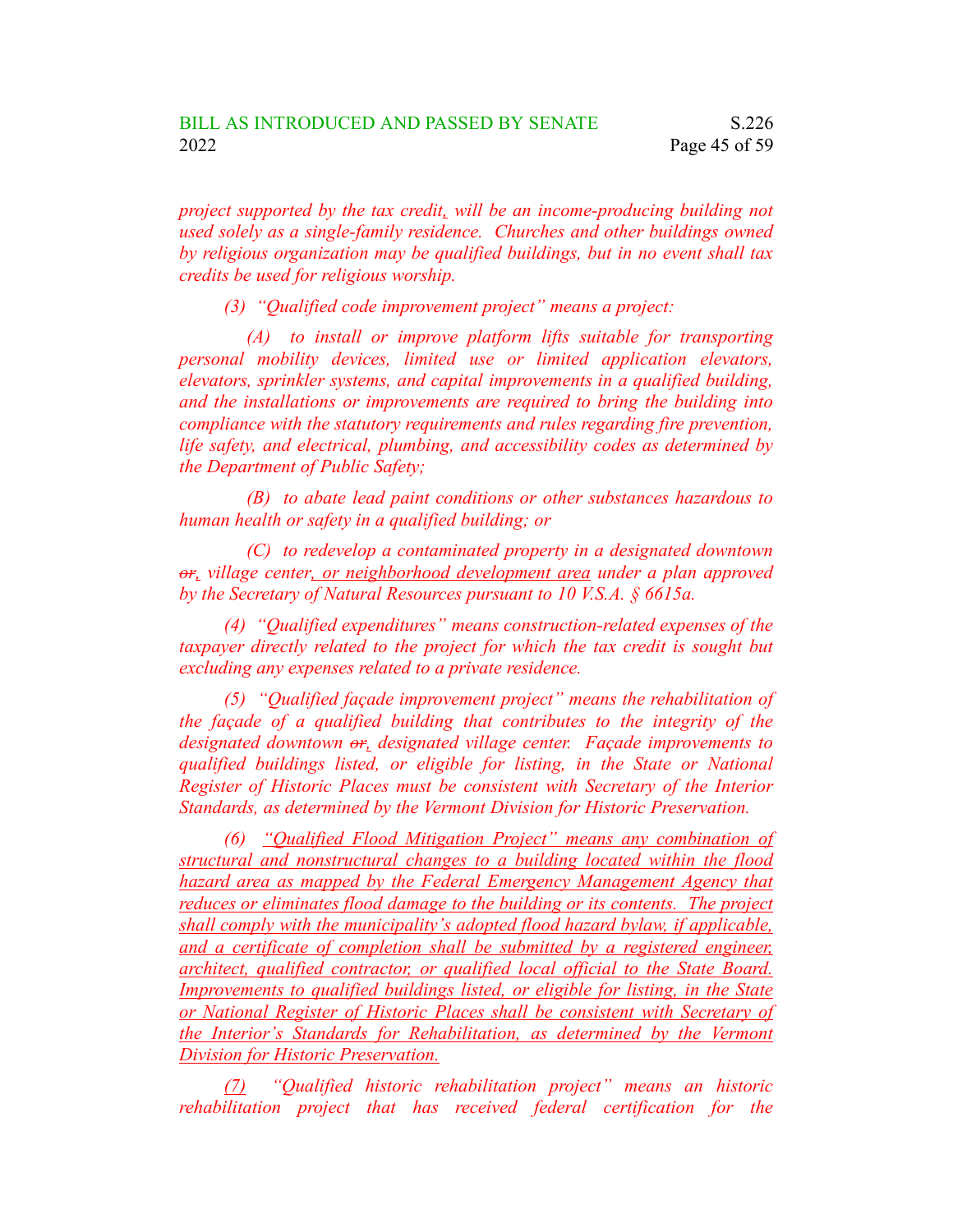*project supported by the tax credit, will be an income-producing building not used solely as a single-family residence. Churches and other buildings owned by religious organization may be qualified buildings, but in no event shall tax credits be used for religious worship.*

*(3) "Qualified code improvement project" means a project:*

*(A) to install or improve platform lifts suitable for transporting personal mobility devices, limited use or limited application elevators, elevators, sprinkler systems, and capital improvements in a qualified building, and the installations or improvements are required to bring the building into compliance with the statutory requirements and rules regarding fire prevention, life safety, and electrical, plumbing, and accessibility codes as determined by the Department of Public Safety;*

*(B) to abate lead paint conditions or other substances hazardous to human health or safety in a qualified building; or*

*(C) to redevelop a contaminated property in a designated downtown or, village center, or neighborhood development area under a plan approved by the Secretary of Natural Resources pursuant to 10 V.S.A. § 6615a.*

*(4) "Qualified expenditures" means construction-related expenses of the taxpayer directly related to the project for which the tax credit is sought but excluding any expenses related to a private residence.*

*(5) "Qualified façade improvement project" means the rehabilitation of the façade of a qualified building that contributes to the integrity of the designated downtown or, designated village center. Façade improvements to qualified buildings listed, or eligible for listing, in the State or National Register of Historic Places must be consistent with Secretary of the Interior Standards, as determined by the Vermont Division for Historic Preservation.*

*(6) "Qualified Flood Mitigation Project" means any combination of structural and nonstructural changes to a building located within the flood hazard area as mapped by the Federal Emergency Management Agency that reduces or eliminates flood damage to the building or its contents. The project shall comply with the municipality's adopted flood hazard bylaw, if applicable, and a certificate of completion shall be submitted by a registered engineer, architect, qualified contractor, or qualified local official to the State Board. Improvements to qualified buildings listed, or eligible for listing, in the State or National Register of Historic Places shall be consistent with Secretary of the Interior's Standards for Rehabilitation, as determined by the Vermont Division for Historic Preservation.*

*(7) "Qualified historic rehabilitation project" means an historic rehabilitation project that has received federal certification for the*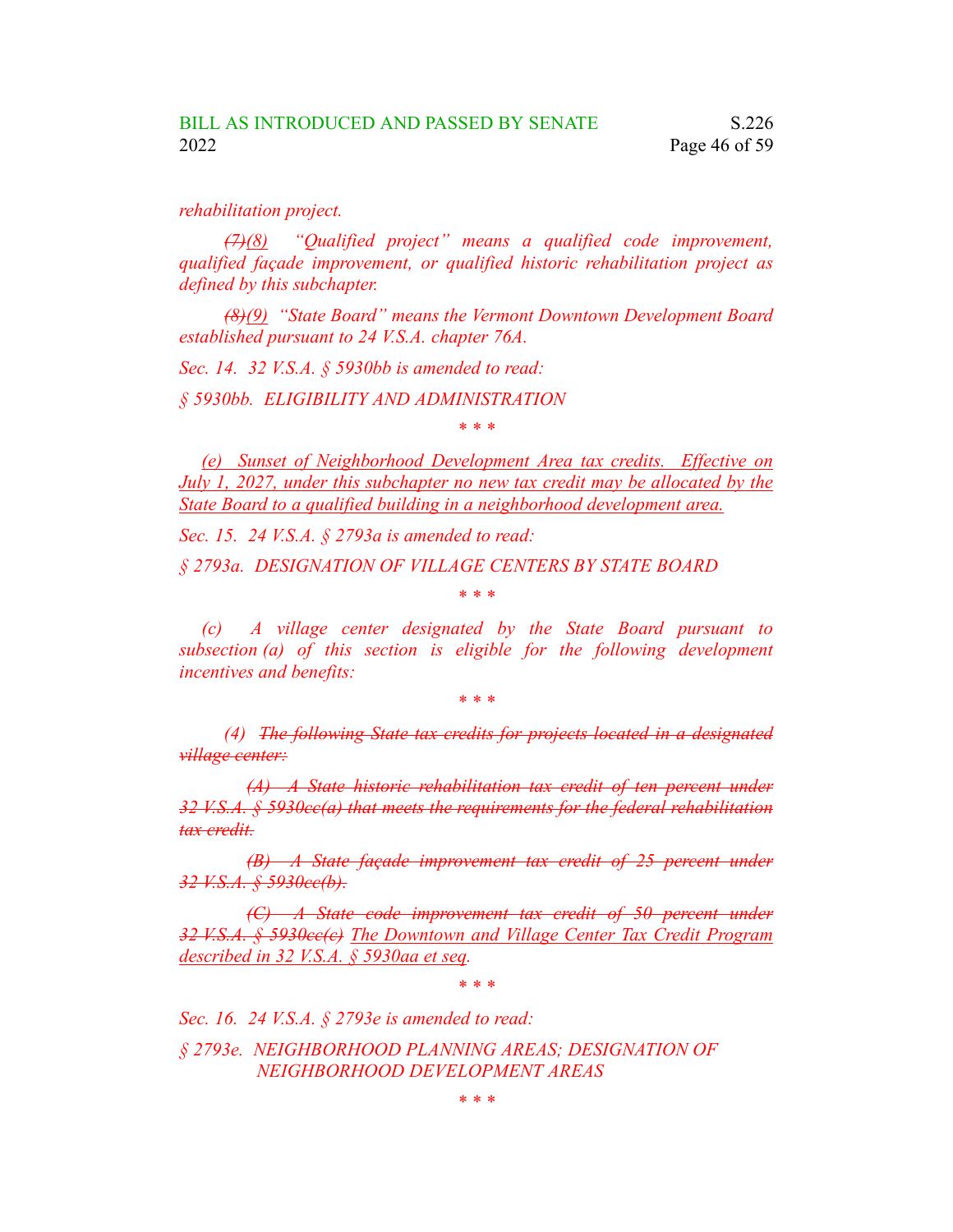*rehabilitation project.*

*(7)(8) "Qualified project" means a qualified code improvement, qualified façade improvement, or qualified historic rehabilitation project as defined by this subchapter.*

*(8)(9) "State Board" means the Vermont Downtown Development Board established pursuant to 24 V.S.A. chapter 76A.*

*Sec. 14. 32 V.S.A. § 5930bb is amended to read:*

*§ 5930bb. ELIGIBILITY AND ADMINISTRATION*

*\* \* \**

*(e) Sunset of Neighborhood Development Area tax credits. Effective on July 1, 2027, under this subchapter no new tax credit may be allocated by the State Board to a qualified building in a neighborhood development area.*

*Sec. 15. 24 V.S.A. § 2793a is amended to read:*

*§ 2793a. DESIGNATION OF VILLAGE CENTERS BY STATE BOARD*

*\* \* \**

*(c) A village center designated by the State Board pursuant to subsection (a) of this section is eligible for the following development incentives and benefits:*

*\* \* \**

*(4) The following State tax credits for projects located in a designated village center:*

*(A) A State historic rehabilitation tax credit of ten percent under 32 V.S.A. § 5930cc(a) that meets the requirements for the federal rehabilitation tax credit.*

*(B) A State façade improvement tax credit of 25 percent under 32 V.S.A. § 5930cc(b).*

*(C) A State code improvement tax credit of 50 percent under 32 V.S.A. § 5930cc(c) The Downtown and Village Center Tax Credit Program described in 32 V.S.A. § 5930aa et seq.*

*\* \* \**

*Sec. 16. 24 V.S.A. § 2793e is amended to read:*

*§ 2793e. NEIGHBORHOOD PLANNING AREAS; DESIGNATION OF NEIGHBORHOOD DEVELOPMENT AREAS*

*\* \* \**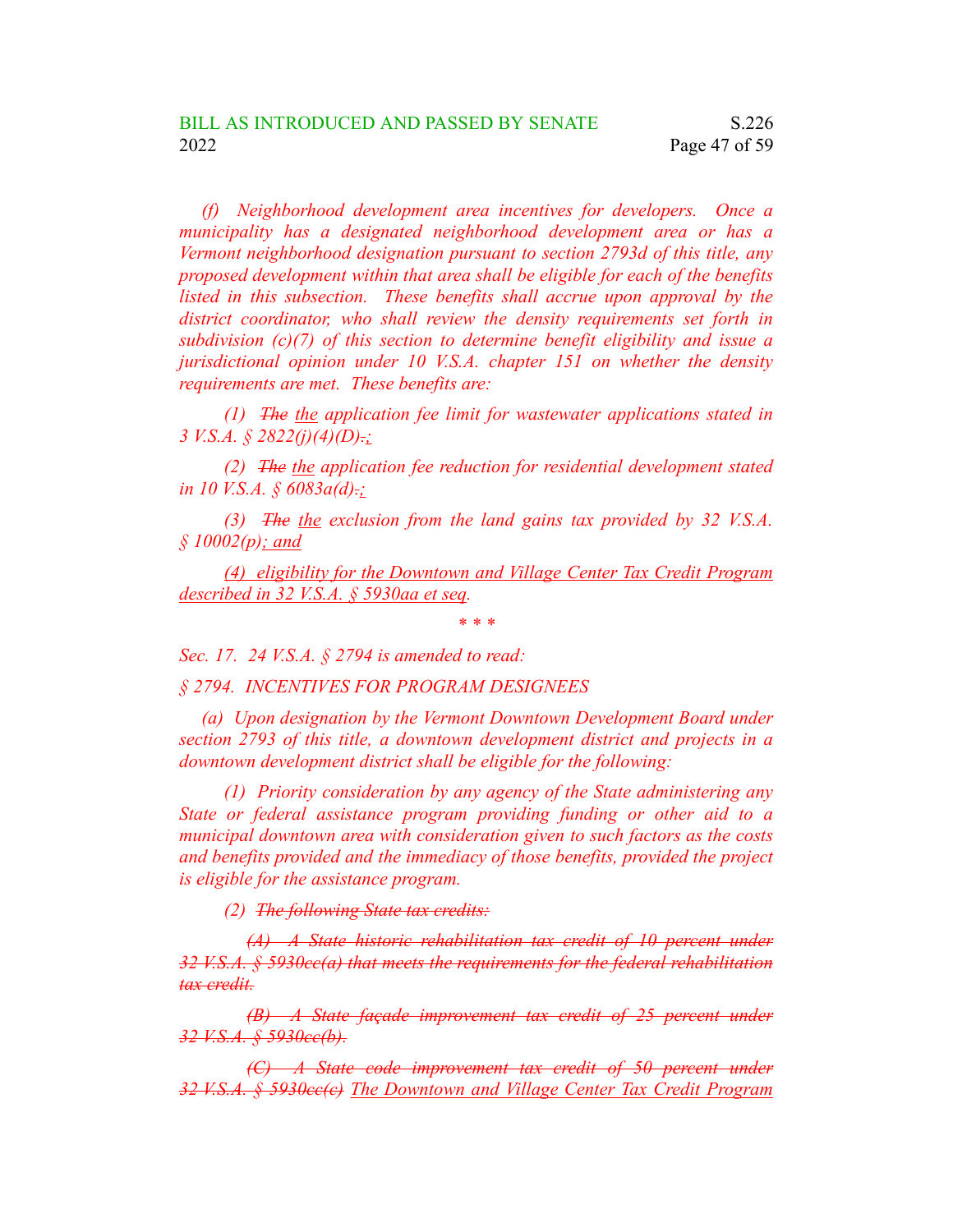*(f) Neighborhood development area incentives for developers. Once a municipality has a designated neighborhood development area or has a Vermont neighborhood designation pursuant to section 2793d of this title, any proposed development within that area shall be eligible for each of the benefits listed in this subsection. These benefits shall accrue upon approval by the district coordinator, who shall review the density requirements set forth in subdivision (c)(7) of this section to determine benefit eligibility and issue a jurisdictional opinion under 10 V.S.A. chapter 151 on whether the density requirements are met. These benefits are:*

*(1) The the application fee limit for wastewater applications stated in 3 V.S.A. § 2822(j)(4)(D).;*

*(2) The the application fee reduction for residential development stated in 10 V.S.A. § 6083a(d).;*

*(3) The the exclusion from the land gains tax provided by 32 V.S.A. § 10002(p); and*

*(4) eligibility for the Downtown and Village Center Tax Credit Program described in 32 V.S.A. § 5930aa et seq.*

*\* \* \**

*Sec. 17. 24 V.S.A. § 2794 is amended to read:*

*§ 2794. INCENTIVES FOR PROGRAM DESIGNEES*

*(a) Upon designation by the Vermont Downtown Development Board under section 2793 of this title, a downtown development district and projects in a downtown development district shall be eligible for the following:*

*(1) Priority consideration by any agency of the State administering any State or federal assistance program providing funding or other aid to a municipal downtown area with consideration given to such factors as the costs and benefits provided and the immediacy of those benefits, provided the project is eligible for the assistance program.*

*(2) The following State tax credits:*

*(A) A State historic rehabilitation tax credit of 10 percent under 32 V.S.A. § 5930cc(a) that meets the requirements for the federal rehabilitation tax credit.*

*(B) A State façade improvement tax credit of 25 percent under 32 V.S.A. § 5930cc(b).*

*(C) A State code improvement tax credit of 50 percent under 32 V.S.A. § 5930cc(c) The Downtown and Village Center Tax Credit Program*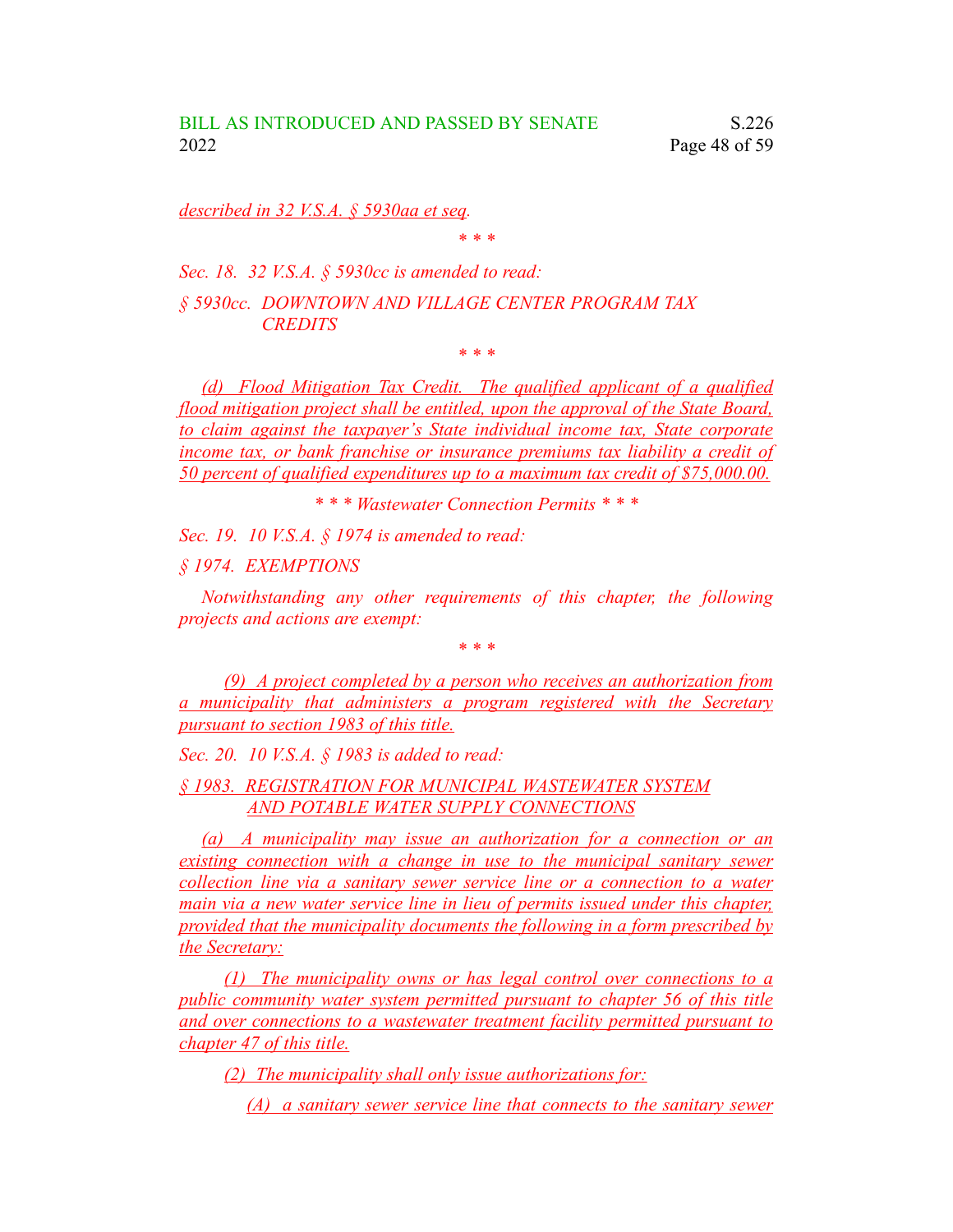*described in 32 V.S.A. § 5930aa et seq.*

*\* \* \**

*Sec. 18. 32 V.S.A. § 5930cc is amended to read:*

*§ 5930cc. DOWNTOWN AND VILLAGE CENTER PROGRAM TAX CREDITS*

*\* \* \**

*(d) Flood Mitigation Tax Credit. The qualified applicant of a qualified flood mitigation project shall be entitled, upon the approval of the State Board, to claim against the taxpayer's State individual income tax, State corporate income tax, or bank franchise or insurance premiums tax liability a credit of 50 percent of qualified expenditures up to a maximum tax credit of \$75,000.00.*

*\* \* \* Wastewater Connection Permits \* \* \**

*Sec. 19. 10 V.S.A. § 1974 is amended to read:*

*§ 1974. EXEMPTIONS*

*Notwithstanding any other requirements of this chapter, the following projects and actions are exempt:*

*\* \* \**

*(9) A project completed by a person who receives an authorization from a municipality that administers a program registered with the Secretary pursuant to section 1983 of this title.*

*Sec. 20. 10 V.S.A. § 1983 is added to read:*

*§ 1983. REGISTRATION FOR MUNICIPAL WASTEWATER SYSTEM AND POTABLE WATER SUPPLY CONNECTIONS*

*(a) A municipality may issue an authorization for a connection or an existing connection with a change in use to the municipal sanitary sewer collection line via a sanitary sewer service line or a connection to a water main via a new water service line in lieu of permits issued under this chapter, provided that the municipality documents the following in a form prescribed by the Secretary:*

*(1) The municipality owns or has legal control over connections to a public community water system permitted pursuant to chapter 56 of this title and over connections to a wastewater treatment facility permitted pursuant to chapter 47 of this title.*

*(2) The municipality shall only issue authorizations for:*

*(A) a sanitary sewer service line that connects to the sanitary sewer*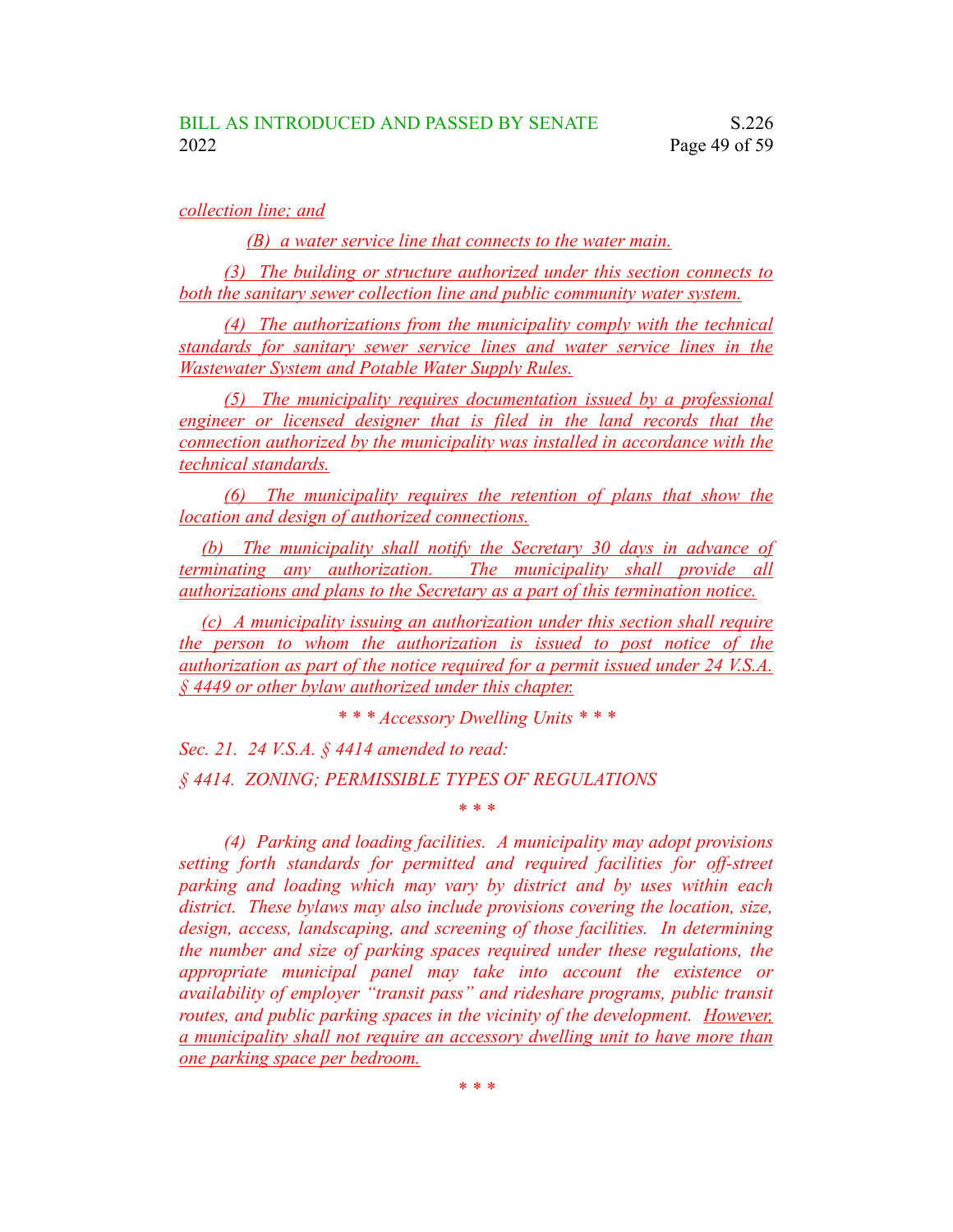### *collection line; and*

*(B) a water service line that connects to the water main.*

*(3) The building or structure authorized under this section connects to both the sanitary sewer collection line and public community water system.*

*(4) The authorizations from the municipality comply with the technical standards for sanitary sewer service lines and water service lines in the Wastewater System and Potable Water Supply Rules.*

*(5) The municipality requires documentation issued by a professional engineer or licensed designer that is filed in the land records that the connection authorized by the municipality was installed in accordance with the technical standards.*

*(6) The municipality requires the retention of plans that show the location and design of authorized connections.*

*(b) The municipality shall notify the Secretary 30 days in advance of terminating any authorization. The municipality shall provide all authorizations and plans to the Secretary as a part of this termination notice.*

*(c) A municipality issuing an authorization under this section shall require the person to whom the authorization is issued to post notice of the authorization as part of the notice required for a permit issued under 24 V.S.A. § 4449 or other bylaw authorized under this chapter.*

*\* \* \* Accessory Dwelling Units \* \* \**

*Sec. 21. 24 V.S.A. § 4414 amended to read: § 4414. ZONING; PERMISSIBLE TYPES OF REGULATIONS \* \* \**

*(4) Parking and loading facilities. A municipality may adopt provisions setting forth standards for permitted and required facilities for off-street parking and loading which may vary by district and by uses within each district. These bylaws may also include provisions covering the location, size, design, access, landscaping, and screening of those facilities. In determining the number and size of parking spaces required under these regulations, the appropriate municipal panel may take into account the existence or availability of employer "transit pass" and rideshare programs, public transit routes, and public parking spaces in the vicinity of the development. However, a municipality shall not require an accessory dwelling unit to have more than one parking space per bedroom.*

*\* \* \**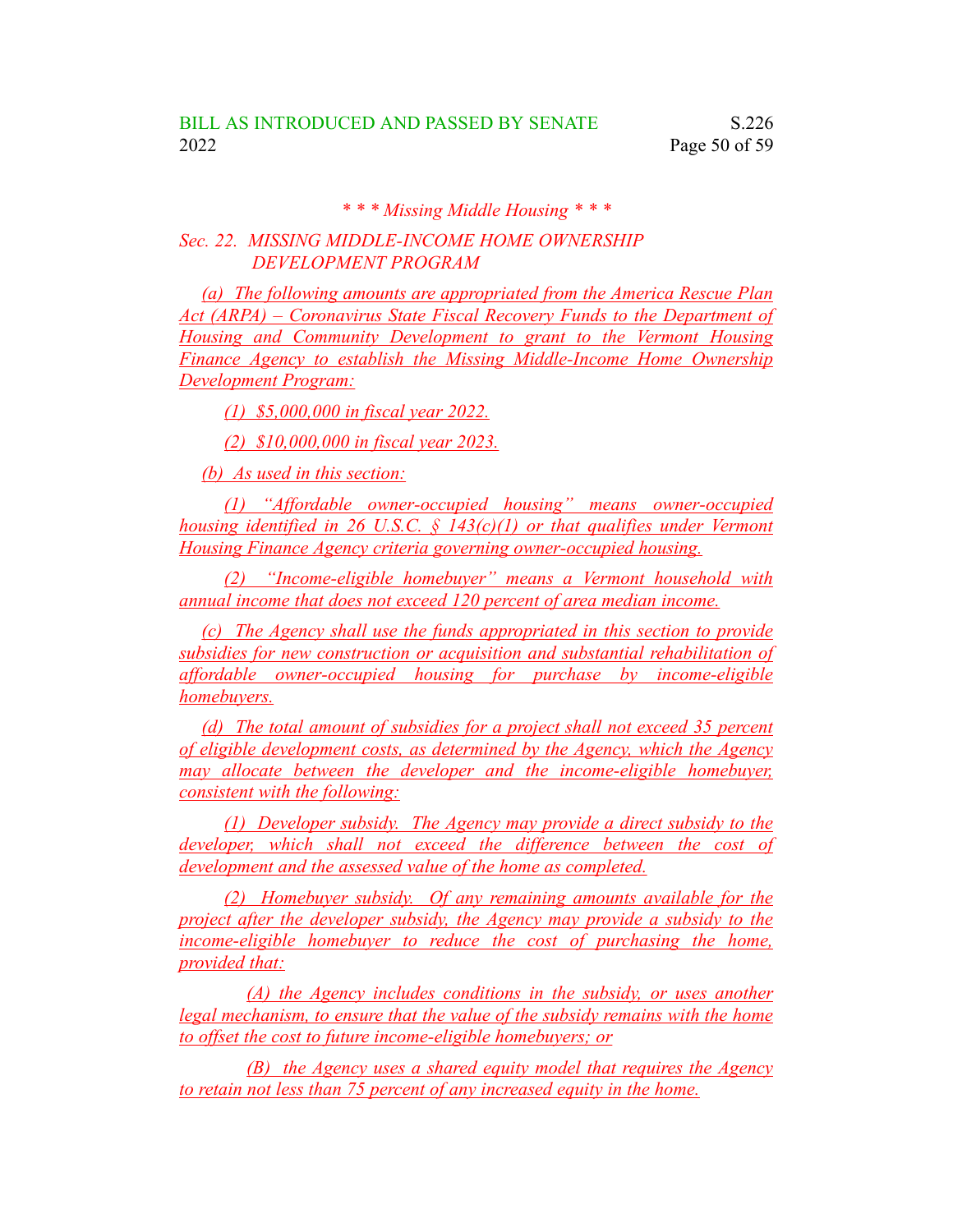# *\* \* \* Missing Middle Housing \* \* \**

# *Sec. 22. MISSING MIDDLE-INCOME HOME OWNERSHIP DEVELOPMENT PROGRAM*

*(a) The following amounts are appropriated from the America Rescue Plan Act (ARPA) – Coronavirus State Fiscal Recovery Funds to the Department of Housing and Community Development to grant to the Vermont Housing Finance Agency to establish the Missing Middle-Income Home Ownership Development Program:*

*(1) \$5,000,000 in fiscal year 2022.*

*(2) \$10,000,000 in fiscal year 2023.*

*(b) As used in this section:*

*(1) "Affordable owner-occupied housing" means owner-occupied housing identified in 26 U.S.C. § 143(c)(1) or that qualifies under Vermont Housing Finance Agency criteria governing owner-occupied housing.*

*(2) "Income-eligible homebuyer" means a Vermont household with annual income that does not exceed 120 percent of area median income.*

*(c) The Agency shall use the funds appropriated in this section to provide subsidies for new construction or acquisition and substantial rehabilitation of affordable owner-occupied housing for purchase by income-eligible homebuyers.*

*(d) The total amount of subsidies for a project shall not exceed 35 percent of eligible development costs, as determined by the Agency, which the Agency may allocate between the developer and the income-eligible homebuyer, consistent with the following:*

*(1) Developer subsidy. The Agency may provide a direct subsidy to the developer, which shall not exceed the difference between the cost of development and the assessed value of the home as completed.*

*(2) Homebuyer subsidy. Of any remaining amounts available for the project after the developer subsidy, the Agency may provide a subsidy to the income-eligible homebuyer to reduce the cost of purchasing the home, provided that:*

*(A) the Agency includes conditions in the subsidy, or uses another legal mechanism, to ensure that the value of the subsidy remains with the home to offset the cost to future income-eligible homebuyers; or*

*(B) the Agency uses a shared equity model that requires the Agency to retain not less than 75 percent of any increased equity in the home.*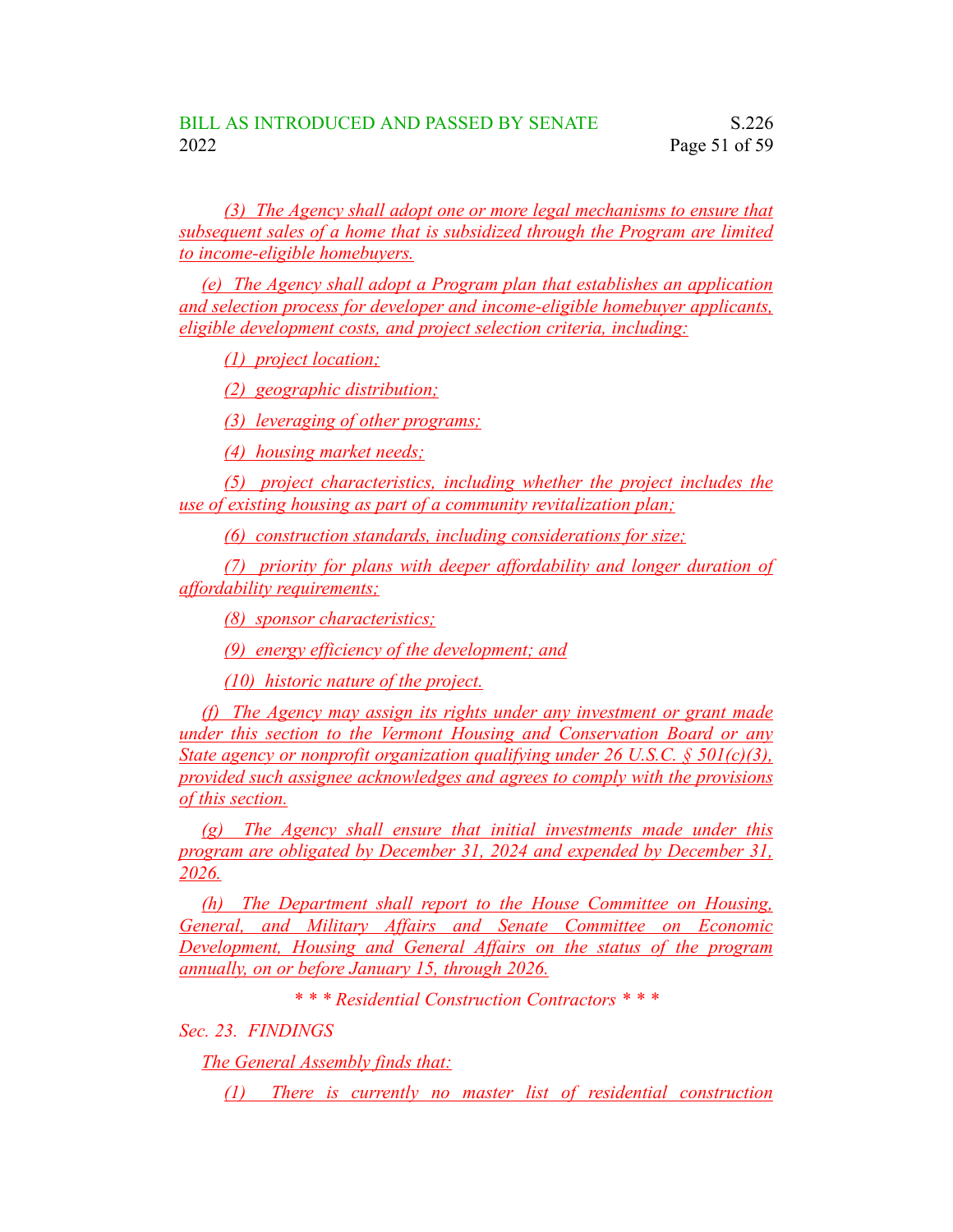*(3) The Agency shall adopt one or more legal mechanisms to ensure that subsequent sales of a home that is subsidized through the Program are limited to income-eligible homebuyers.*

*(e) The Agency shall adopt a Program plan that establishes an application and selection process for developer and income-eligible homebuyer applicants, eligible development costs, and project selection criteria, including:*

*(1) project location;*

*(2) geographic distribution;*

*(3) leveraging of other programs;*

*(4) housing market needs;*

*(5) project characteristics, including whether the project includes the use of existing housing as part of a community revitalization plan;*

*(6) construction standards, including considerations for size;*

*(7) priority for plans with deeper affordability and longer duration of affordability requirements;*

*(8) sponsor characteristics;*

*(9) energy efficiency of the development; and*

*(10) historic nature of the project.*

*(f) The Agency may assign its rights under any investment or grant made under this section to the Vermont Housing and Conservation Board or any State agency or nonprofit organization qualifying under 26 U.S.C. § 501(c)(3), provided such assignee acknowledges and agrees to comply with the provisions of this section.*

*(g) The Agency shall ensure that initial investments made under this program are obligated by December 31, 2024 and expended by December 31, 2026.*

*(h) The Department shall report to the House Committee on Housing, General, and Military Affairs and Senate Committee on Economic Development, Housing and General Affairs on the status of the program annually, on or before January 15, through 2026.*

*\* \* \* Residential Construction Contractors \* \* \**

*Sec. 23. FINDINGS*

*The General Assembly finds that:*

*(1) There is currently no master list of residential construction*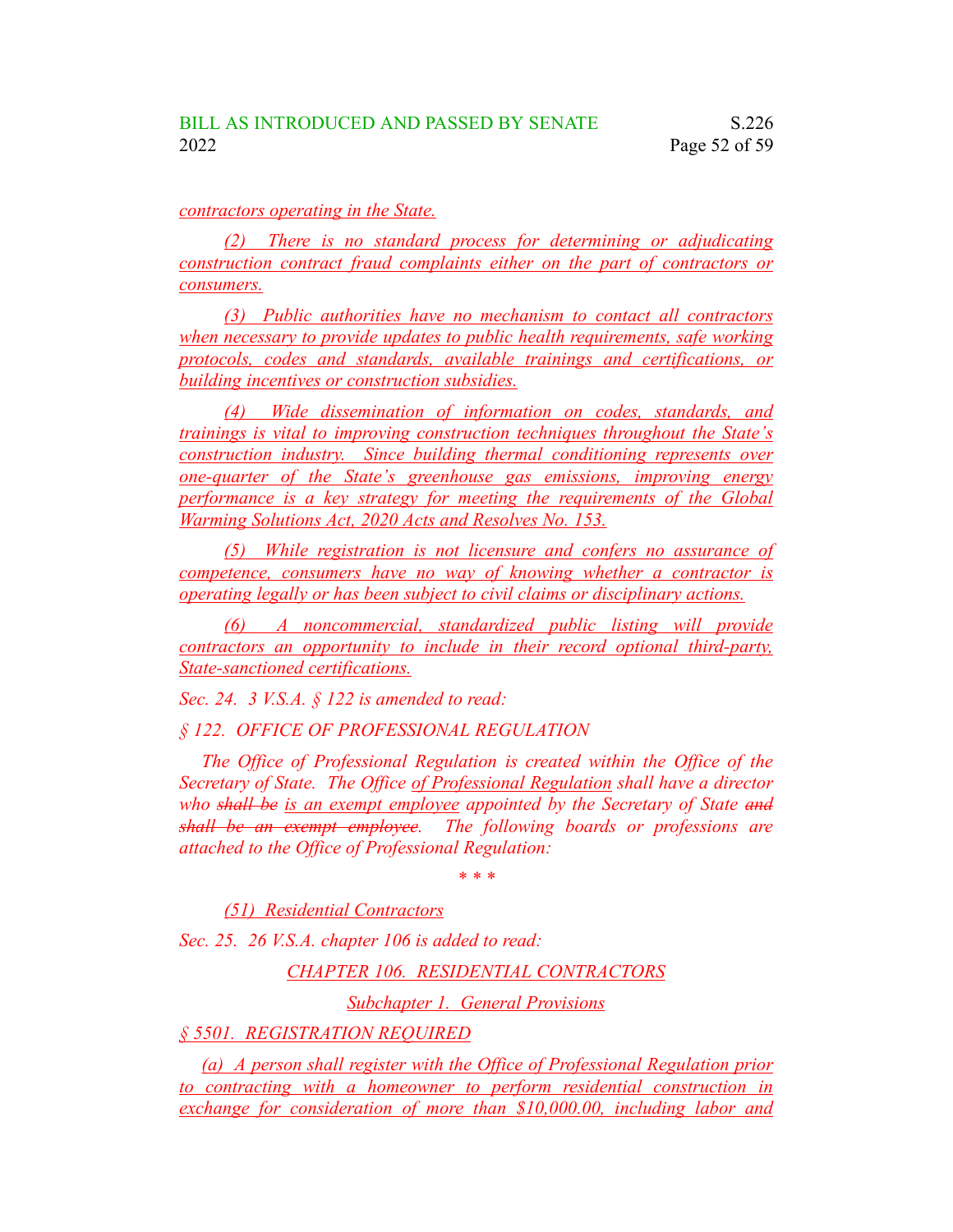### *contractors operating in the State.*

*(2) There is no standard process for determining or adjudicating construction contract fraud complaints either on the part of contractors or consumers.*

*(3) Public authorities have no mechanism to contact all contractors when necessary to provide updates to public health requirements, safe working protocols, codes and standards, available trainings and certifications, or building incentives or construction subsidies.*

*(4) Wide dissemination of information on codes, standards, and trainings is vital to improving construction techniques throughout the State's construction industry. Since building thermal conditioning represents over one-quarter of the State's greenhouse gas emissions, improving energy performance is a key strategy for meeting the requirements of the Global Warming Solutions Act, 2020 Acts and Resolves No. 153.*

*(5) While registration is not licensure and confers no assurance of competence, consumers have no way of knowing whether a contractor is operating legally or has been subject to civil claims or disciplinary actions.*

*(6) A noncommercial, standardized public listing will provide contractors an opportunity to include in their record optional third-party, State-sanctioned certifications.*

*Sec. 24. 3 V.S.A. § 122 is amended to read:*

*§ 122. OFFICE OF PROFESSIONAL REGULATION*

*The Office of Professional Regulation is created within the Office of the Secretary of State. The Office of Professional Regulation shall have a director who shall be is an exempt employee appointed by the Secretary of State and shall be an exempt employee. The following boards or professions are attached to the Office of Professional Regulation:*

*\* \* \**

*(51) Residential Contractors*

*Sec. 25. 26 V.S.A. chapter 106 is added to read:*

*CHAPTER 106. RESIDENTIAL CONTRACTORS*

*Subchapter 1. General Provisions*

*§ 5501. REGISTRATION REQUIRED*

*(a) A person shall register with the Office of Professional Regulation prior to contracting with a homeowner to perform residential construction in exchange for consideration of more than \$10,000.00, including labor and*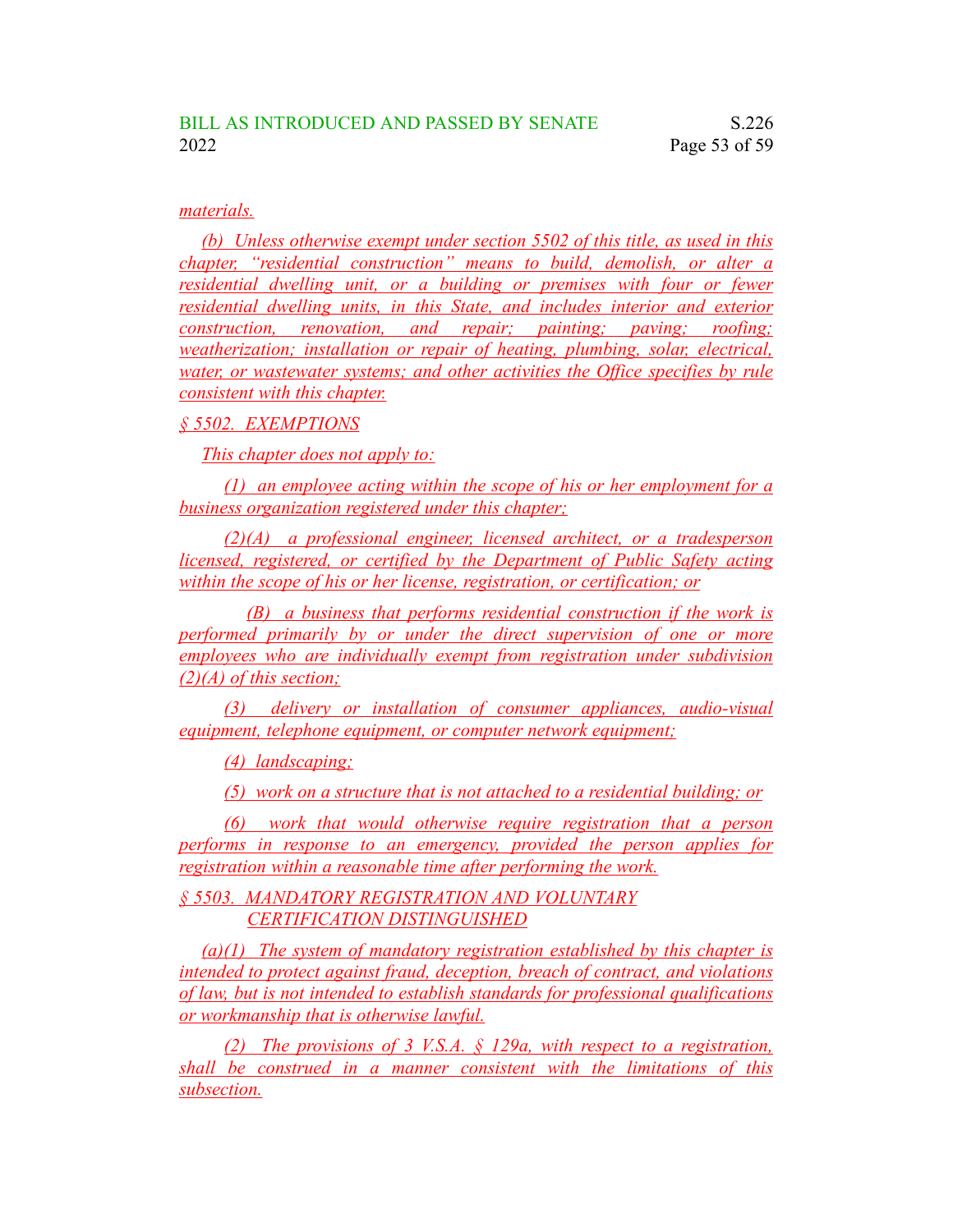### *materials.*

*(b) Unless otherwise exempt under section 5502 of this title, as used in this chapter, "residential construction" means to build, demolish, or alter a residential dwelling unit, or a building or premises with four or fewer residential dwelling units, in this State, and includes interior and exterior construction, renovation, and repair; painting; paving; roofing; weatherization; installation or repair of heating, plumbing, solar, electrical, water, or wastewater systems; and other activities the Office specifies by rule consistent with this chapter.*

## *§ 5502. EXEMPTIONS*

*This chapter does not apply to:*

*(1) an employee acting within the scope of his or her employment for a business organization registered under this chapter;*

*(2)(A) a professional engineer, licensed architect, or a tradesperson licensed, registered, or certified by the Department of Public Safety acting within the scope of his or her license, registration, or certification; or*

*(B) a business that performs residential construction if the work is performed primarily by or under the direct supervision of one or more employees who are individually exempt from registration under subdivision (2)(A) of this section;*

*(3) delivery or installation of consumer appliances, audio-visual equipment, telephone equipment, or computer network equipment;*

*(4) landscaping;*

*(5) work on a structure that is not attached to a residential building; or*

*(6) work that would otherwise require registration that a person performs in response to an emergency, provided the person applies for registration within a reasonable time after performing the work.*

*§ 5503. MANDATORY REGISTRATION AND VOLUNTARY CERTIFICATION DISTINGUISHED*

*(a)(1) The system of mandatory registration established by this chapter is intended to protect against fraud, deception, breach of contract, and violations of law, but is not intended to establish standards for professional qualifications or workmanship that is otherwise lawful.*

*(2) The provisions of 3 V.S.A. § 129a, with respect to a registration, shall be construed in a manner consistent with the limitations of this subsection.*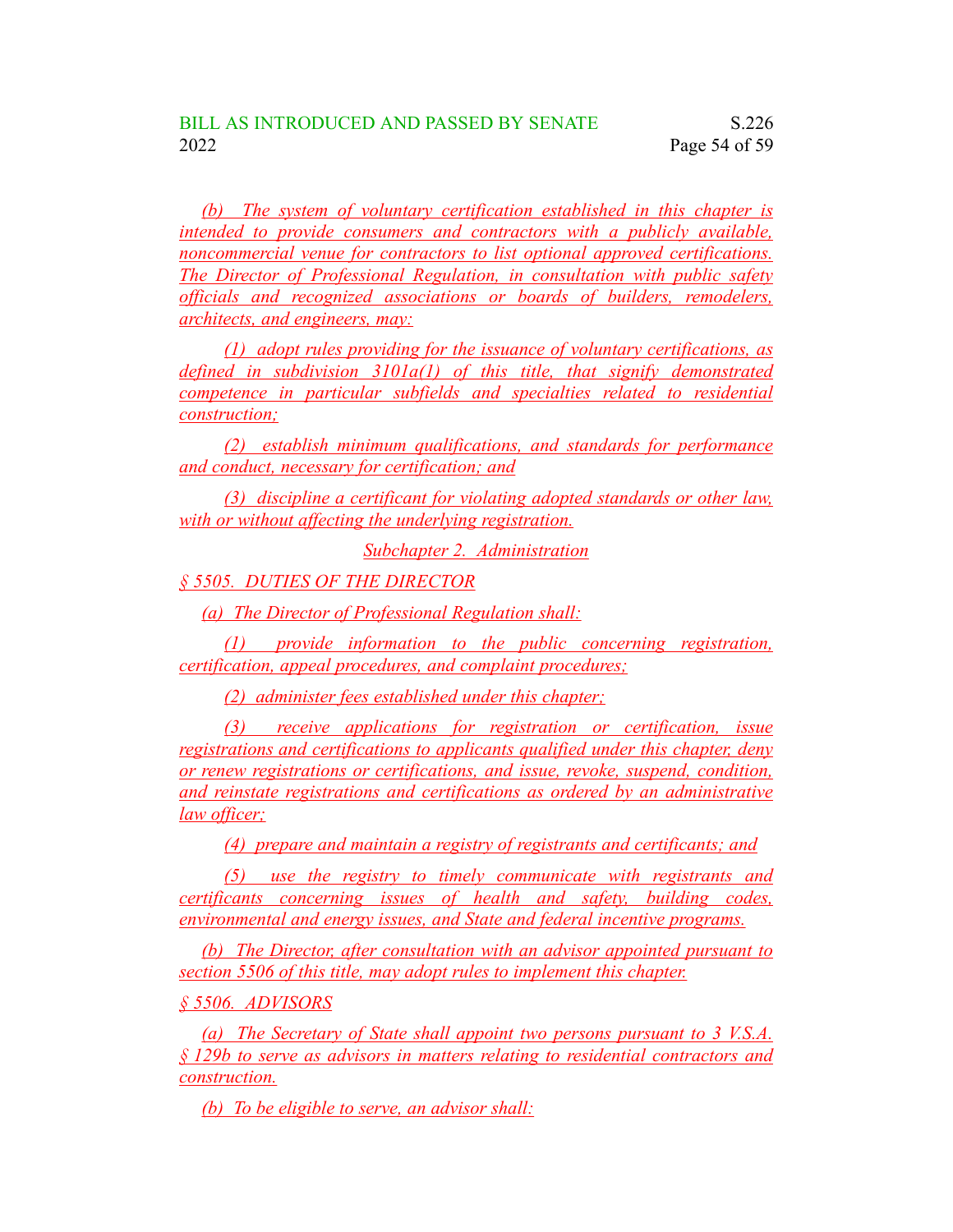*(b) The system of voluntary certification established in this chapter is intended to provide consumers and contractors with a publicly available, noncommercial venue for contractors to list optional approved certifications. The Director of Professional Regulation, in consultation with public safety officials and recognized associations or boards of builders, remodelers, architects, and engineers, may:*

*(1) adopt rules providing for the issuance of voluntary certifications, as defined in subdivision 3101a(1) of this title, that signify demonstrated competence in particular subfields and specialties related to residential construction;*

*(2) establish minimum qualifications, and standards for performance and conduct, necessary for certification; and*

*(3) discipline a certificant for violating adopted standards or other law, with or without affecting the underlying registration.*

*Subchapter 2. Administration*

*§ 5505. DUTIES OF THE DIRECTOR*

*(a) The Director of Professional Regulation shall:*

*(1) provide information to the public concerning registration, certification, appeal procedures, and complaint procedures;*

*(2) administer fees established under this chapter;*

*(3) receive applications for registration or certification, issue registrations and certifications to applicants qualified under this chapter, deny or renew registrations or certifications, and issue, revoke, suspend, condition, and reinstate registrations and certifications as ordered by an administrative law officer;*

*(4) prepare and maintain a registry of registrants and certificants; and*

*(5) use the registry to timely communicate with registrants and certificants concerning issues of health and safety, building codes, environmental and energy issues, and State and federal incentive programs.*

*(b) The Director, after consultation with an advisor appointed pursuant to section 5506 of this title, may adopt rules to implement this chapter.*

*§ 5506. ADVISORS*

*(a) The Secretary of State shall appoint two persons pursuant to 3 V.S.A. § 129b to serve as advisors in matters relating to residential contractors and construction.*

*(b) To be eligible to serve, an advisor shall:*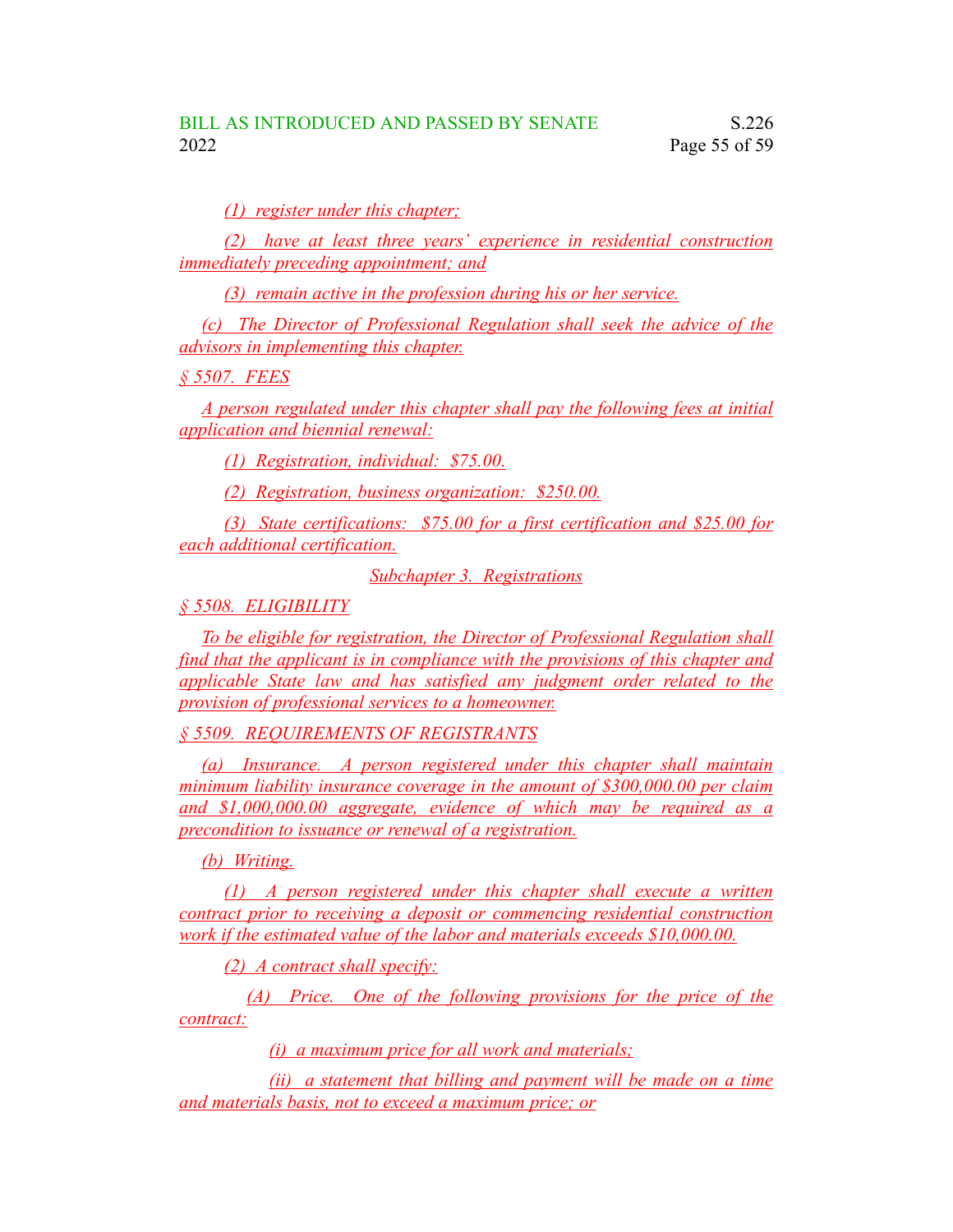*(1) register under this chapter;*

*(2) have at least three years' experience in residential construction immediately preceding appointment; and*

*(3) remain active in the profession during his or her service.*

*(c) The Director of Professional Regulation shall seek the advice of the advisors in implementing this chapter.*

*§ 5507. FEES*

*A person regulated under this chapter shall pay the following fees at initial application and biennial renewal:*

*(1) Registration, individual: \$75.00.*

*(2) Registration, business organization: \$250.00.*

*(3) State certifications: \$75.00 for a first certification and \$25.00 for each additional certification.*

*Subchapter 3. Registrations*

*§ 5508. ELIGIBILITY*

*To be eligible for registration, the Director of Professional Regulation shall find that the applicant is in compliance with the provisions of this chapter and applicable State law and has satisfied any judgment order related to the provision of professional services to a homeowner.*

*§ 5509. REQUIREMENTS OF REGISTRANTS*

*(a) Insurance. A person registered under this chapter shall maintain minimum liability insurance coverage in the amount of \$300,000.00 per claim and \$1,000,000.00 aggregate, evidence of which may be required as a precondition to issuance or renewal of a registration.*

*(b) Writing.*

*(1) A person registered under this chapter shall execute a written contract prior to receiving a deposit or commencing residential construction work if the estimated value of the labor and materials exceeds \$10,000.00.*

*(2) A contract shall specify:*

*(A) Price. One of the following provisions for the price of the contract:*

*(i) a maximum price for all work and materials;*

*(ii) a statement that billing and payment will be made on a time and materials basis, not to exceed a maximum price; or*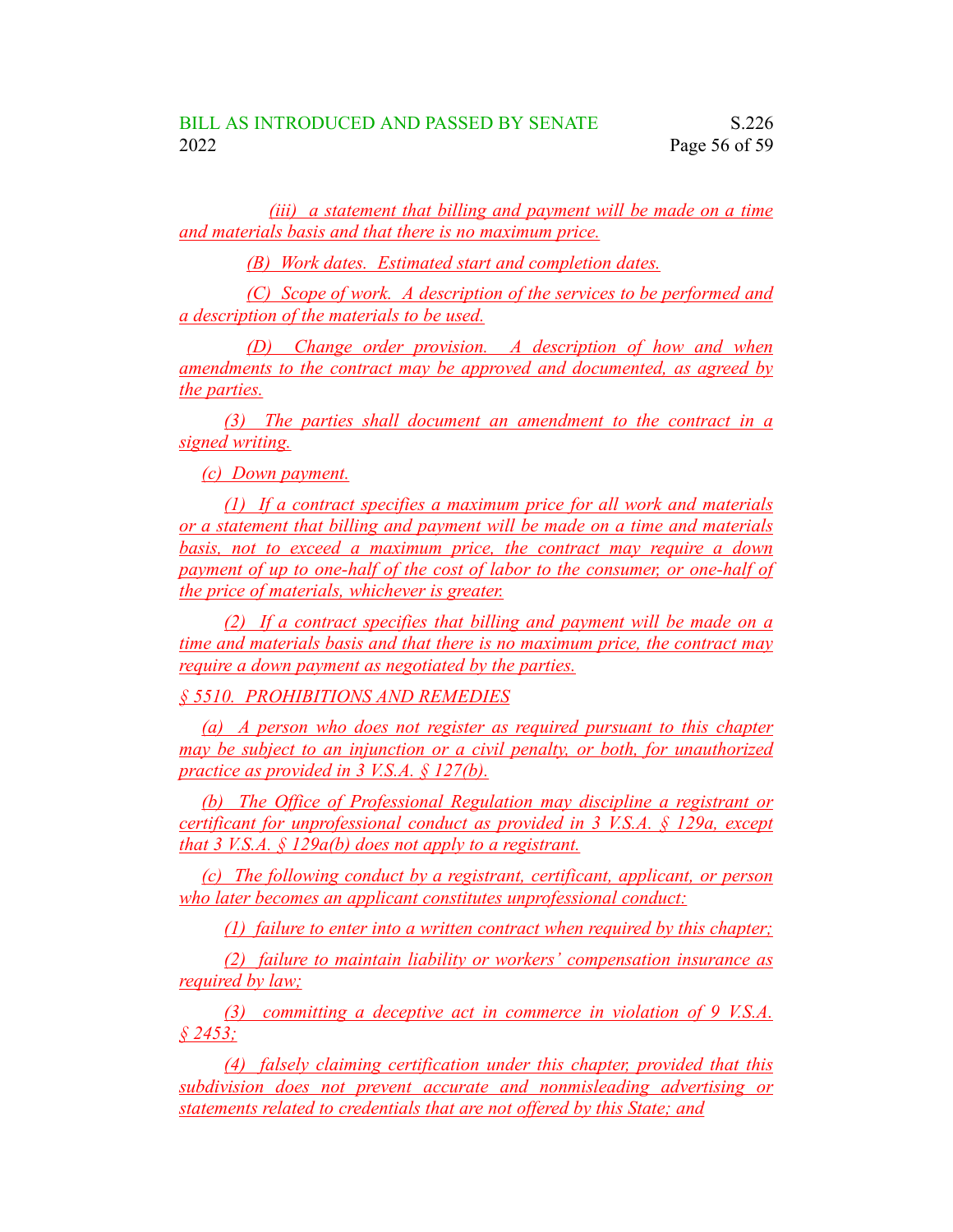*(iii) a statement that billing and payment will be made on a time and materials basis and that there is no maximum price.*

*(B) Work dates. Estimated start and completion dates.*

*(C) Scope of work. A description of the services to be performed and a description of the materials to be used.*

*(D) Change order provision. A description of how and when amendments to the contract may be approved and documented, as agreed by the parties.*

*(3) The parties shall document an amendment to the contract in a signed writing.*

*(c) Down payment.*

*(1) If a contract specifies a maximum price for all work and materials or a statement that billing and payment will be made on a time and materials basis, not to exceed a maximum price, the contract may require a down payment of up to one-half of the cost of labor to the consumer, or one-half of the price of materials, whichever is greater.*

*(2) If a contract specifies that billing and payment will be made on a time and materials basis and that there is no maximum price, the contract may require a down payment as negotiated by the parties.*

*§ 5510. PROHIBITIONS AND REMEDIES*

*(a) A person who does not register as required pursuant to this chapter may be subject to an injunction or a civil penalty, or both, for unauthorized practice as provided in 3 V.S.A. § 127(b).*

*(b) The Office of Professional Regulation may discipline a registrant or certificant for unprofessional conduct as provided in 3 V.S.A. § 129a, except that 3 V.S.A. § 129a(b) does not apply to a registrant.*

*(c) The following conduct by a registrant, certificant, applicant, or person who later becomes an applicant constitutes unprofessional conduct:*

*(1) failure to enter into a written contract when required by this chapter;*

*(2) failure to maintain liability or workers' compensation insurance as required by law;*

*(3) committing a deceptive act in commerce in violation of 9 V.S.A. § 2453;*

*(4) falsely claiming certification under this chapter, provided that this subdivision does not prevent accurate and nonmisleading advertising or statements related to credentials that are not offered by this State; and*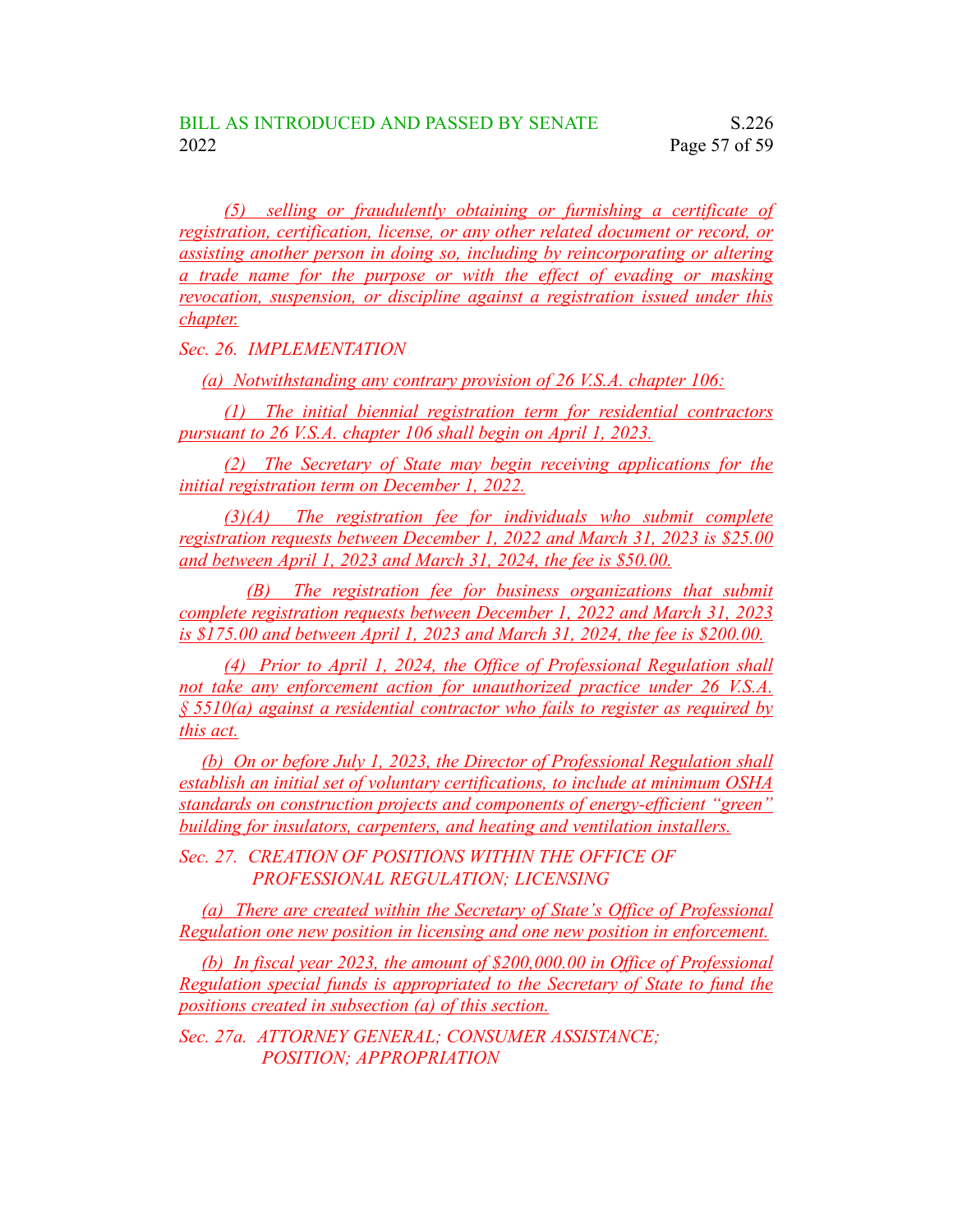*(5) selling or fraudulently obtaining or furnishing a certificate of registration, certification, license, or any other related document or record, or assisting another person in doing so, including by reincorporating or altering a trade name for the purpose or with the effect of evading or masking revocation, suspension, or discipline against a registration issued under this chapter.*

*Sec. 26. IMPLEMENTATION*

*(a) Notwithstanding any contrary provision of 26 V.S.A. chapter 106:*

*(1) The initial biennial registration term for residential contractors pursuant to 26 V.S.A. chapter 106 shall begin on April 1, 2023.*

*(2) The Secretary of State may begin receiving applications for the initial registration term on December 1, 2022.*

*(3)(A) The registration fee for individuals who submit complete registration requests between December 1, 2022 and March 31, 2023 is \$25.00 and between April 1, 2023 and March 31, 2024, the fee is \$50.00.*

*(B) The registration fee for business organizations that submit complete registration requests between December 1, 2022 and March 31, 2023 is \$175.00 and between April 1, 2023 and March 31, 2024, the fee is \$200.00.*

*(4) Prior to April 1, 2024, the Office of Professional Regulation shall not take any enforcement action for unauthorized practice under 26 V.S.A. § 5510(a) against a residential contractor who fails to register as required by this act.*

*(b) On or before July 1, 2023, the Director of Professional Regulation shall establish an initial set of voluntary certifications, to include at minimum OSHA standards on construction projects and components of energy-efficient "green" building for insulators, carpenters, and heating and ventilation installers.*

*Sec. 27. CREATION OF POSITIONS WITHIN THE OFFICE OF PROFESSIONAL REGULATION; LICENSING*

*(a) There are created within the Secretary of State's Office of Professional Regulation one new position in licensing and one new position in enforcement.*

*(b) In fiscal year 2023, the amount of \$200,000.00 in Office of Professional Regulation special funds is appropriated to the Secretary of State to fund the positions created in subsection (a) of this section.*

*Sec. 27a. ATTORNEY GENERAL; CONSUMER ASSISTANCE; POSITION; APPROPRIATION*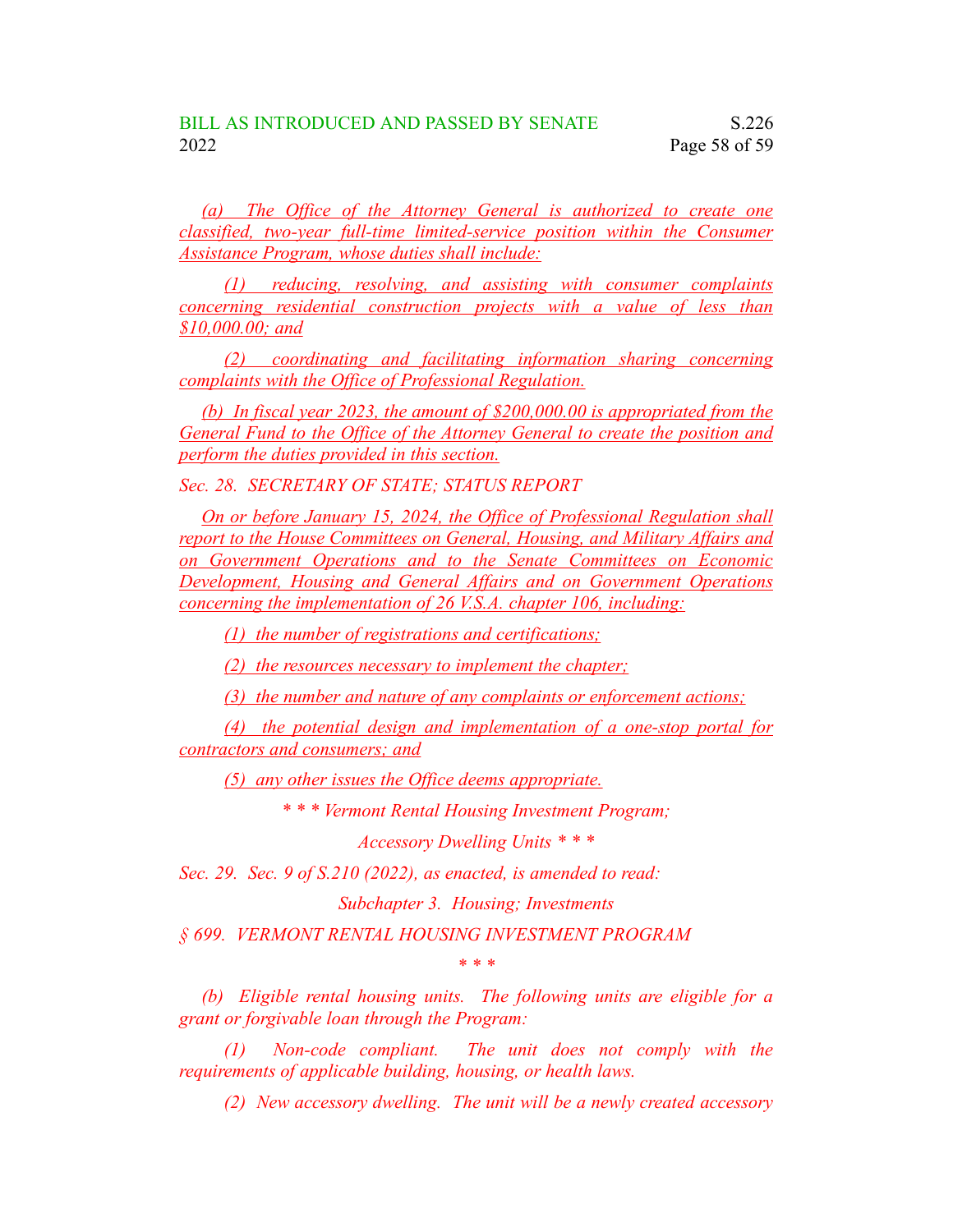*(a) The Office of the Attorney General is authorized to create one classified, two-year full-time limited-service position within the Consumer Assistance Program, whose duties shall include:*

*(1) reducing, resolving, and assisting with consumer complaints concerning residential construction projects with a value of less than \$10,000.00; and*

*(2) coordinating and facilitating information sharing concerning complaints with the Office of Professional Regulation.*

*(b) In fiscal year 2023, the amount of \$200,000.00 is appropriated from the General Fund to the Office of the Attorney General to create the position and perform the duties provided in this section.*

*Sec. 28. SECRETARY OF STATE; STATUS REPORT*

*On or before January 15, 2024, the Office of Professional Regulation shall report to the House Committees on General, Housing, and Military Affairs and on Government Operations and to the Senate Committees on Economic Development, Housing and General Affairs and on Government Operations concerning the implementation of 26 V.S.A. chapter 106, including:*

*(1) the number of registrations and certifications;*

*(2) the resources necessary to implement the chapter;*

*(3) the number and nature of any complaints or enforcement actions;*

*(4) the potential design and implementation of a one-stop portal for contractors and consumers; and*

*(5) any other issues the Office deems appropriate.*

*\* \* \* Vermont Rental Housing Investment Program;*

*Accessory Dwelling Units \* \* \**

*Sec. 29. Sec. 9 of S.210 (2022), as enacted, is amended to read:*

*Subchapter 3. Housing; Investments*

*§ 699. VERMONT RENTAL HOUSING INVESTMENT PROGRAM*

*\* \* \**

*(b) Eligible rental housing units. The following units are eligible for a grant or forgivable loan through the Program:*

*(1) Non-code compliant. The unit does not comply with the requirements of applicable building, housing, or health laws.*

*(2) New accessory dwelling. The unit will be a newly created accessory*